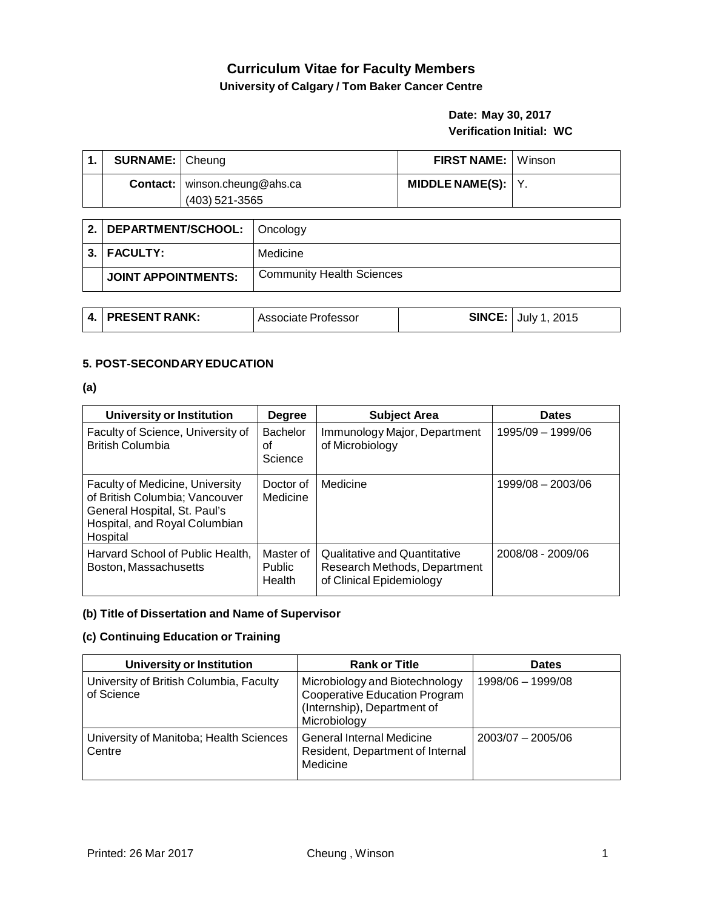# **Curriculum Vitae for Faculty Members University of Calgary / Tom Baker Cancer Centre**

# **Date: May 30, 2017 Verification Initial: WC**

| <b>SURNAME:</b> Cheung |                                                          | <b>FIRST NAME:</b> Winson |  |
|------------------------|----------------------------------------------------------|---------------------------|--|
|                        | <b>Contact:</b>   winson.cheung@ahs.ca<br>(403) 521-3565 | MIDDLE NAME(S): $ Y $ .   |  |

| 2.   DEPARTMENT/SCHOOL:   Oncology |                                  |
|------------------------------------|----------------------------------|
| $3.$ FACULTY:                      | Medicine                         |
| JOINT APPOINTMENTS:                | <b>Community Health Sciences</b> |

| 4. PRESENT RANK: | ⊪Associate Professor | <b>SINCE:</b> July 1, 2015 |
|------------------|----------------------|----------------------------|
|                  |                      |                            |

## **5. POST-SECONDARYEDUCATION**

#### **(a)**

| University or Institution                                                                                                                             | <b>Degree</b>                        | <b>Subject Area</b>                                                                      | <b>Dates</b>        |
|-------------------------------------------------------------------------------------------------------------------------------------------------------|--------------------------------------|------------------------------------------------------------------------------------------|---------------------|
| Faculty of Science, University of<br><b>British Columbia</b>                                                                                          | Bachelor<br>οt<br>Science            | Immunology Major, Department<br>of Microbiology                                          | 1995/09 - 1999/06   |
| <b>Faculty of Medicine, University</b><br>of British Columbia; Vancouver<br>General Hospital, St. Paul's<br>Hospital, and Royal Columbian<br>Hospital | Doctor of<br>Medicine                | Medicine                                                                                 | $1999/08 - 2003/06$ |
| Harvard School of Public Health,<br>Boston, Massachusetts                                                                                             | Master of<br><b>Public</b><br>Health | Qualitative and Quantitative<br>Research Methods, Department<br>of Clinical Epidemiology | 2008/08 - 2009/06   |

# **(b) Title of Dissertation and Name of Supervisor**

### **(c) Continuing Education or Training**

| <b>University or Institution</b>                      | <b>Rank or Title</b>                                                                                           | <b>Dates</b>        |
|-------------------------------------------------------|----------------------------------------------------------------------------------------------------------------|---------------------|
| University of British Columbia, Faculty<br>of Science | Microbiology and Biotechnology<br>Cooperative Education Program<br>(Internship), Department of<br>Microbiology | 1998/06 - 1999/08   |
| University of Manitoba; Health Sciences<br>Centre     | <b>General Internal Medicine</b><br>Resident, Department of Internal<br>Medicine                               | $2003/07 - 2005/06$ |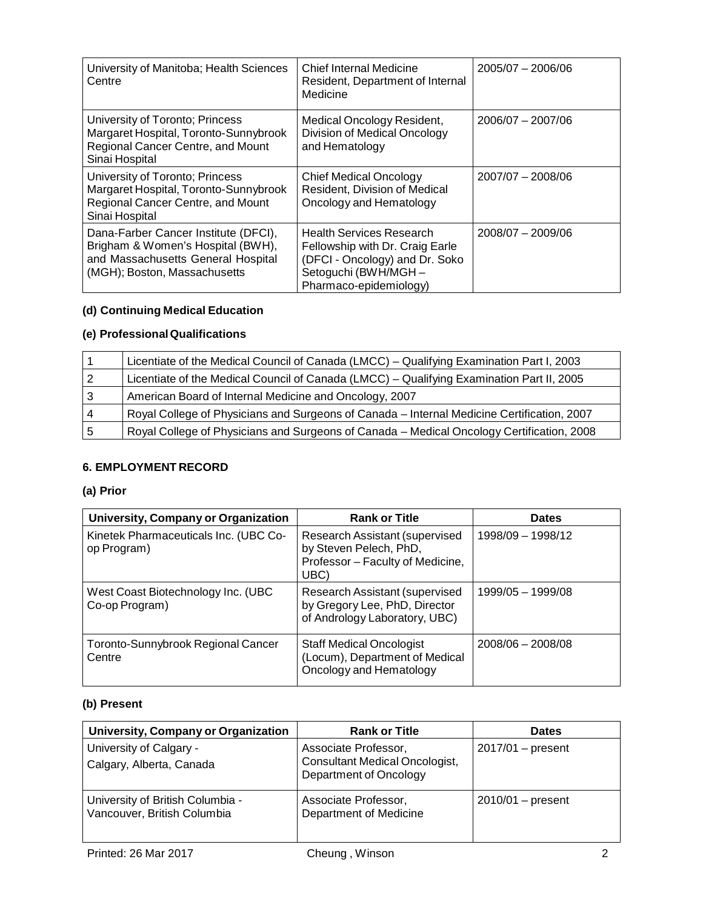| University of Manitoba; Health Sciences<br>Centre                                                                                               | Chief Internal Medicine<br>Resident, Department of Internal<br>Medicine                                                                               | $2005/07 - 2006/06$ |
|-------------------------------------------------------------------------------------------------------------------------------------------------|-------------------------------------------------------------------------------------------------------------------------------------------------------|---------------------|
| University of Toronto; Princess<br>Margaret Hospital, Toronto-Sunnybrook<br>Regional Cancer Centre, and Mount<br>Sinai Hospital                 | Medical Oncology Resident,<br>Division of Medical Oncology<br>and Hematology                                                                          | $2006/07 - 2007/06$ |
| University of Toronto; Princess<br>Margaret Hospital, Toronto-Sunnybrook<br>Regional Cancer Centre, and Mount<br>Sinai Hospital                 | <b>Chief Medical Oncology</b><br>Resident, Division of Medical<br>Oncology and Hematology                                                             | $2007/07 - 2008/06$ |
| Dana-Farber Cancer Institute (DFCI),<br>Brigham & Women's Hospital (BWH),<br>and Massachusetts General Hospital<br>(MGH); Boston, Massachusetts | <b>Health Services Research</b><br>Fellowship with Dr. Craig Earle<br>(DFCI - Oncology) and Dr. Soko<br>Setoguchi (BWH/MGH-<br>Pharmaco-epidemiology) | $2008/07 - 2009/06$ |

# **(d) Continuing Medical Education**

# **(e) ProfessionalQualifications**

|   | Licentiate of the Medical Council of Canada (LMCC) - Qualifying Examination Part I, 2003   |
|---|--------------------------------------------------------------------------------------------|
| 2 | Licentiate of the Medical Council of Canada (LMCC) – Qualifying Examination Part II, 2005  |
| 3 | American Board of Internal Medicine and Oncology, 2007                                     |
| 4 | Royal College of Physicians and Surgeons of Canada - Internal Medicine Certification, 2007 |
| 5 | Royal College of Physicians and Surgeons of Canada - Medical Oncology Certification, 2008  |

# **6. EMPLOYMENT RECORD**

# **(a) Prior**

| University, Company or Organization                  | <b>Rank or Title</b>                                                                                 | <b>Dates</b>        |
|------------------------------------------------------|------------------------------------------------------------------------------------------------------|---------------------|
| Kinetek Pharmaceuticals Inc. (UBC Co-<br>op Program) | Research Assistant (supervised<br>by Steven Pelech, PhD,<br>Professor - Faculty of Medicine,<br>UBC) | 1998/09 - 1998/12   |
| West Coast Biotechnology Inc. (UBC<br>Co-op Program) | Research Assistant (supervised<br>by Gregory Lee, PhD, Director<br>of Andrology Laboratory, UBC)     | 1999/05 - 1999/08   |
| Toronto-Sunnybrook Regional Cancer<br>Centre         | <b>Staff Medical Oncologist</b><br>(Locum), Department of Medical<br>Oncology and Hematology         | $2008/06 - 2008/08$ |

# **(b) Present**

| University, Company or Organization                             | <b>Rank or Title</b>                                                                    | <b>Dates</b>        |
|-----------------------------------------------------------------|-----------------------------------------------------------------------------------------|---------------------|
| University of Calgary -<br>Calgary, Alberta, Canada             | Associate Professor,<br><b>Consultant Medical Oncologist,</b><br>Department of Oncology | $2017/01$ – present |
| University of British Columbia -<br>Vancouver, British Columbia | Associate Professor,<br>Department of Medicine                                          | $2010/01$ – present |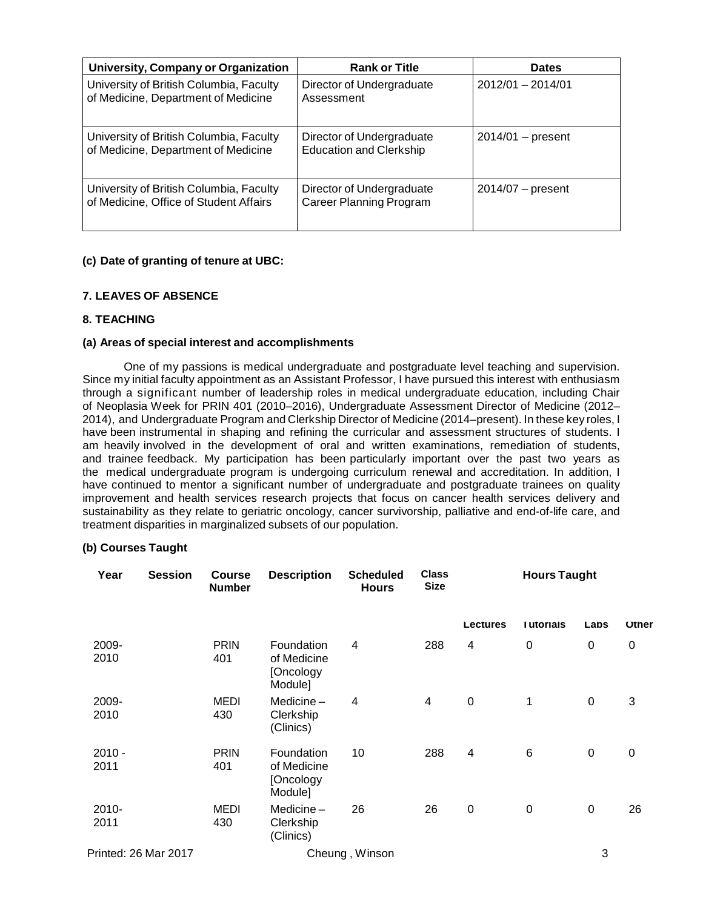| University, Company or Organization                                               | <b>Rank or Title</b>                                        | <b>Dates</b>        |
|-----------------------------------------------------------------------------------|-------------------------------------------------------------|---------------------|
| University of British Columbia, Faculty<br>of Medicine, Department of Medicine    | Director of Undergraduate<br>Assessment                     | $2012/01 - 2014/01$ |
| University of British Columbia, Faculty<br>of Medicine, Department of Medicine    | Director of Undergraduate<br><b>Education and Clerkship</b> | $2014/01$ – present |
| University of British Columbia, Faculty<br>of Medicine, Office of Student Affairs | Director of Undergraduate<br><b>Career Planning Program</b> | $2014/07$ – present |

### **(c) Date of granting of tenure at UBC:**

# **7. LEAVES OF ABSENCE**

### **8. TEACHING**

#### **(a) Areas of special interest and accomplishments**

One of my passions is medical undergraduate and postgraduate level teaching and supervision. Since my initial faculty appointment as an Assistant Professor, I have pursued this interest with enthusiasm through a significant number of leadership roles in medical undergraduate education, including Chair of Neoplasia Week for PRIN 401 (2010–2016), Undergraduate Assessment Director of Medicine (2012– 2014), and Undergraduate Program and Clerkship Director of Medicine (2014–present). In these key roles, I have been instrumental in shaping and refining the curricular and assessment structures of students. I am heavily involved in the development of oral and written examinations, remediation of students, and trainee feedback. My participation has been particularly important over the past two years as the medical undergraduate program is undergoing curriculum renewal and accreditation. In addition, I have continued to mentor a significant number of undergraduate and postgraduate trainees on quality improvement and health services research projects that focus on cancer health services delivery and sustainability as they relate to geriatric oncology, cancer survivorship, palliative and end-of-life care, and treatment disparities in marginalized subsets of our population.

## **(b) Courses Taught**

| Year                 | <b>Session</b> | <b>Course</b><br><b>Number</b> | <b>Description</b>                                | <b>Scheduled</b><br><b>Hours</b> | <b>Class</b><br><b>Size</b> |           | <b>Hours Taught</b> |                  |              |
|----------------------|----------------|--------------------------------|---------------------------------------------------|----------------------------------|-----------------------------|-----------|---------------------|------------------|--------------|
|                      |                |                                |                                                   |                                  |                             | Lectures  | <b>Tutorials</b>    | Labs             | <b>Other</b> |
| 2009-<br>2010        |                | <b>PRIN</b><br>401             | Foundation<br>of Medicine<br>[Oncology<br>Module] | $\overline{4}$                   | 288                         | 4         | $\mathbf 0$         | $\pmb{0}$        | 0            |
| 2009-<br>2010        |                | <b>MEDI</b><br>430             | Medicine $-$<br>Clerkship<br>(Clinics)            | $\overline{4}$                   | $\overline{4}$              | $\pmb{0}$ | 1                   | $\mathbf 0$      | 3            |
| $2010 -$<br>2011     |                | <b>PRIN</b><br>401             | Foundation<br>of Medicine<br>[Oncology<br>Module] | 10                               | 288                         | 4         | $\,6$               | $\pmb{0}$        | $\pmb{0}$    |
| 2010-<br>2011        |                | <b>MEDI</b><br>430             | Medicine $-$<br>Clerkship<br>(Clinics)            | 26                               | 26                          | $\pmb{0}$ | $\boldsymbol{0}$    | $\boldsymbol{0}$ | 26           |
| Printed: 26 Mar 2017 |                |                                |                                                   | Cheung, Winson                   |                             |           |                     | 3                |              |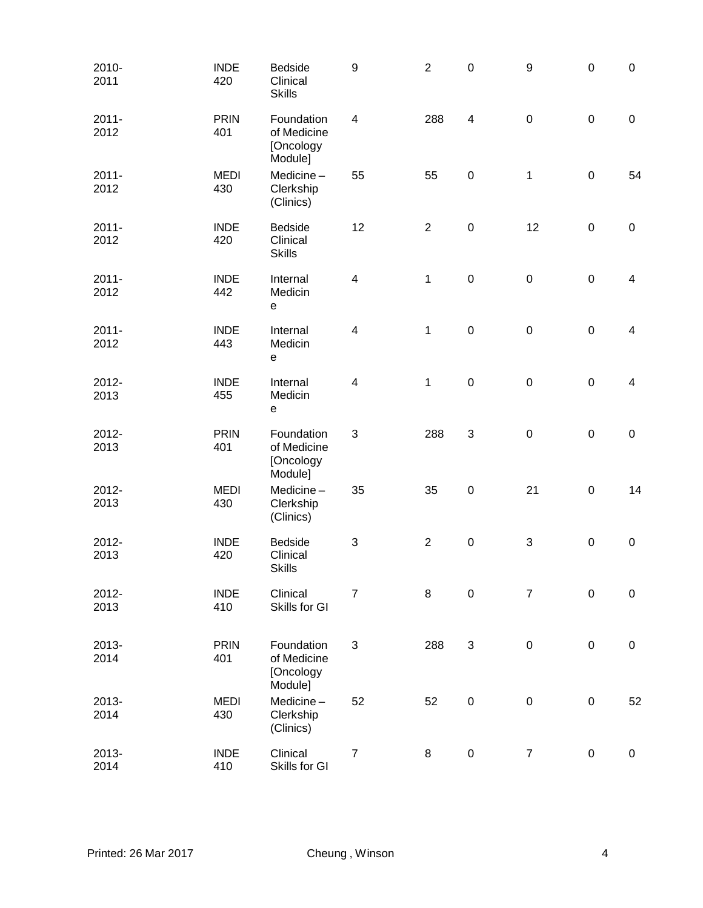| 2010-<br>2011    | <b>INDE</b><br>420 | <b>Bedside</b><br>Clinical<br><b>Skills</b>       | $\boldsymbol{9}$ | $\overline{2}$ | $\boldsymbol{0}$ | $\boldsymbol{9}$ | $\pmb{0}$   | $\pmb{0}$        |
|------------------|--------------------|---------------------------------------------------|------------------|----------------|------------------|------------------|-------------|------------------|
| $2011 -$<br>2012 | <b>PRIN</b><br>401 | Foundation<br>of Medicine<br>[Oncology<br>Module] | $\overline{4}$   | 288            | $\overline{4}$   | $\pmb{0}$        | $\pmb{0}$   | $\boldsymbol{0}$ |
| $2011 -$<br>2012 | <b>MEDI</b><br>430 | Medicine-<br>Clerkship<br>(Clinics)               | 55               | 55             | $\mathbf 0$      | $\mathbf{1}$     | $\mathsf 0$ | 54               |
| $2011 -$<br>2012 | <b>INDE</b><br>420 | <b>Bedside</b><br>Clinical<br><b>Skills</b>       | 12               | $\overline{2}$ | $\mathbf 0$      | 12               | $\pmb{0}$   | $\boldsymbol{0}$ |
| $2011 -$<br>2012 | <b>INDE</b><br>442 | Internal<br>Medicin<br>e                          | 4                | 1              | $\mathbf 0$      | $\pmb{0}$        | $\pmb{0}$   | $\overline{4}$   |
| $2011 -$<br>2012 | <b>INDE</b><br>443 | Internal<br>Medicin<br>e                          | $\overline{4}$   | 1              | $\mathbf 0$      | $\mathbf 0$      | $\pmb{0}$   | $\overline{4}$   |
| 2012-<br>2013    | <b>INDE</b><br>455 | Internal<br>Medicin<br>e                          | $\overline{4}$   | $\mathbf{1}$   | $\pmb{0}$        | $\pmb{0}$        | $\mathsf 0$ | $\overline{4}$   |
| 2012-<br>2013    | <b>PRIN</b><br>401 | Foundation<br>of Medicine<br>[Oncology<br>Module] | 3                | 288            | 3                | $\pmb{0}$        | $\pmb{0}$   | $\pmb{0}$        |
| 2012-<br>2013    | <b>MEDI</b><br>430 | Medicine-<br>Clerkship<br>(Clinics)               | 35               | 35             | $\pmb{0}$        | 21               | $\pmb{0}$   | 14               |
| 2012-<br>2013    | <b>INDE</b><br>420 | <b>Bedside</b><br>Clinical<br><b>Skills</b>       | $\sqrt{3}$       | $\overline{2}$ | $\pmb{0}$        | $\sqrt{3}$       | $\pmb{0}$   | $\pmb{0}$        |
| 2012-<br>2013    | <b>INDE</b><br>410 | Clinical<br>Skills for GI                         | $\overline{7}$   | 8              | $\mathbf 0$      | $\overline{7}$   | $\pmb{0}$   | 0                |
| 2013-<br>2014    | <b>PRIN</b><br>401 | Foundation<br>of Medicine<br>[Oncology<br>Module] | 3                | 288            | $\sqrt{3}$       | $\mathbf 0$      | $\pmb{0}$   | $\pmb{0}$        |
| 2013-<br>2014    | <b>MEDI</b><br>430 | Medicine-<br>Clerkship<br>(Clinics)               | 52               | 52             | $\pmb{0}$        | $\mathbf 0$      | $\pmb{0}$   | 52               |
| 2013-<br>2014    | <b>INDE</b><br>410 | Clinical<br>Skills for GI                         | $\boldsymbol{7}$ | 8              | $\pmb{0}$        | $\boldsymbol{7}$ | $\pmb{0}$   | $\pmb{0}$        |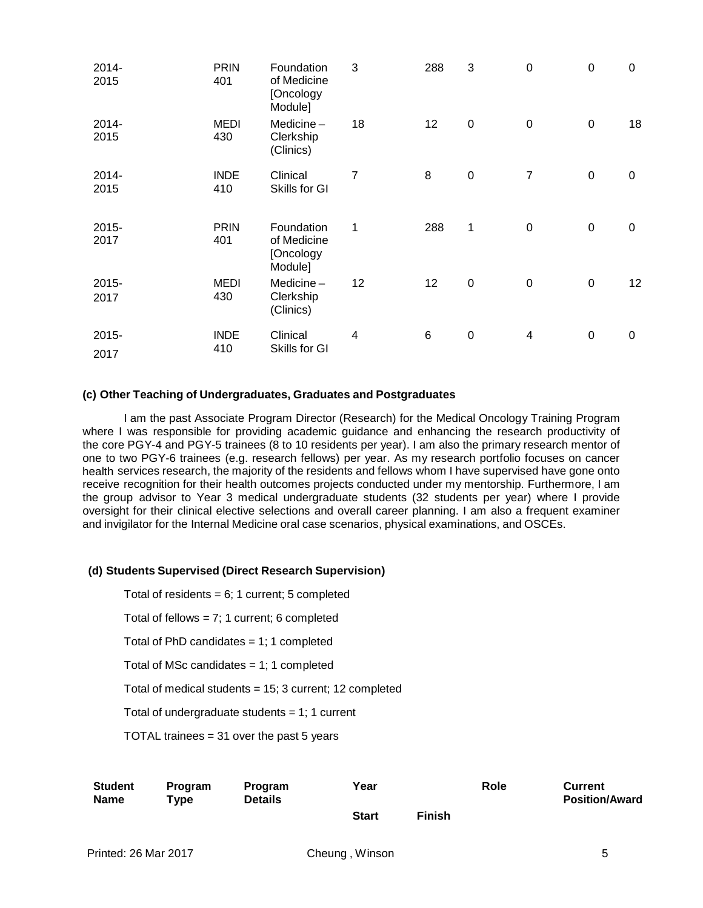| 2014-<br>2015 | <b>PRIN</b><br>401 | Foundation<br>of Medicine<br>[Oncology<br>Module] | 3  | 288 | 3                | $\mathbf 0$      | $\boldsymbol{0}$ | 0  |
|---------------|--------------------|---------------------------------------------------|----|-----|------------------|------------------|------------------|----|
| 2014-<br>2015 | <b>MEDI</b><br>430 | Medicine $-$<br>Clerkship<br>(Clinics)            | 18 | 12  | $\mathbf 0$      | $\boldsymbol{0}$ | $\mathbf 0$      | 18 |
| 2014-<br>2015 | <b>INDE</b><br>410 | Clinical<br>Skills for GI                         | 7  | 8   | $\boldsymbol{0}$ | $\overline{7}$   | $\pmb{0}$        | 0  |
| 2015-<br>2017 | <b>PRIN</b><br>401 | Foundation<br>of Medicine<br>[Oncology<br>Module] | 1  | 288 | $\mathbf 1$      | $\boldsymbol{0}$ | $\pmb{0}$        | 0  |
| 2015-<br>2017 | MEDI<br>430        | Medicine-<br>Clerkship<br>(Clinics)               | 12 | 12  | $\mathbf 0$      | $\boldsymbol{0}$ | $\pmb{0}$        | 12 |
| 2015-<br>2017 | <b>INDE</b><br>410 | Clinical<br>Skills for GI                         | 4  | 6   | $\boldsymbol{0}$ | 4                | $\pmb{0}$        | 0  |

#### **(c) Other Teaching of Undergraduates, Graduates and Postgraduates**

I am the past Associate Program Director (Research) for the Medical Oncology Training Program where I was responsible for providing academic guidance and enhancing the research productivity of the core PGY-4 and PGY-5 trainees (8 to 10 residents per year). I am also the primary research mentor of one to two PGY-6 trainees (e.g. research fellows) per year. As my research portfolio focuses on cancer health services research, the majority of the residents and fellows whom I have supervised have gone onto receive recognition for their health outcomes projects conducted under my mentorship. Furthermore, I am the group advisor to Year 3 medical undergraduate students (32 students per year) where I provide oversight for their clinical elective selections and overall career planning. I am also a frequent examiner and invigilator for the Internal Medicine oral case scenarios, physical examinations, and OSCEs.

#### **(d) Students Supervised (Direct Research Supervision)**

Total of residents =  $6$ ; 1 current; 5 completed

Total of fellows = 7; 1 current; 6 completed

Total of PhD candidates  $= 1$ ; 1 completed

Total of MSc candidates  $= 1$ ; 1 completed

Total of medical students = 15; 3 current; 12 completed

Total of undergraduate students  $= 1$ ; 1 current

TOTAL trainees = 31 over the past 5 years

| <b>Student</b><br><b>Name</b> | <b>Program</b><br>$T$ vpe | <b>Program</b><br><b>Details</b> | Year         |               | Role | <b>Current</b><br><b>Position/Award</b> |
|-------------------------------|---------------------------|----------------------------------|--------------|---------------|------|-----------------------------------------|
|                               |                           |                                  | <b>Start</b> | <b>Finish</b> |      |                                         |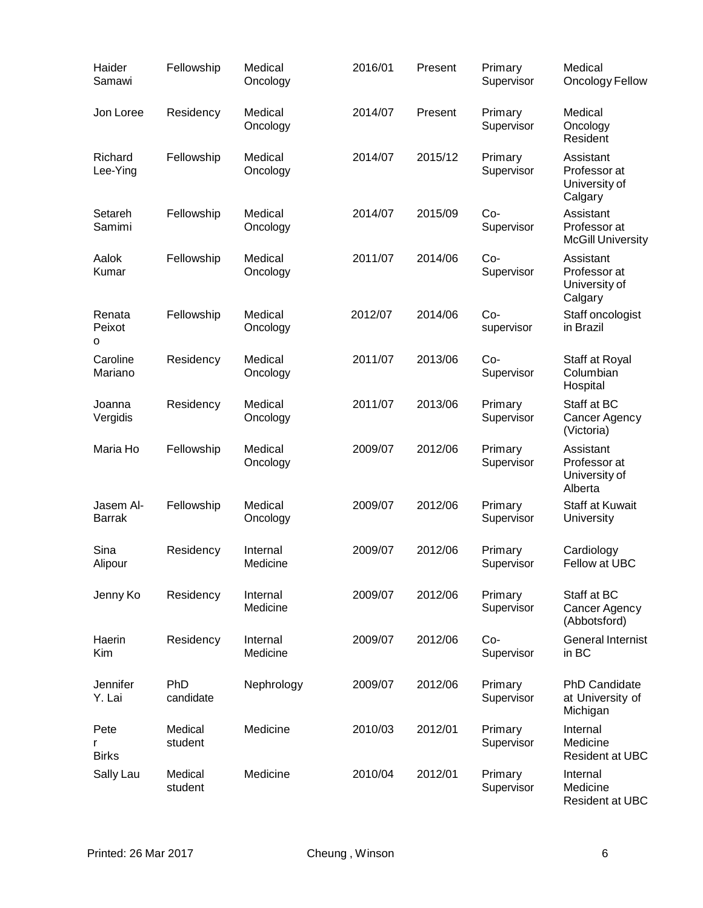| Haider<br>Samawi           | Fellowship              | Medical<br>Oncology  | 2016/01 | Present | Primary<br>Supervisor | Medical<br>Oncology Fellow                            |
|----------------------------|-------------------------|----------------------|---------|---------|-----------------------|-------------------------------------------------------|
| Jon Loree                  | Residency               | Medical<br>Oncology  | 2014/07 | Present | Primary<br>Supervisor | Medical<br>Oncology<br>Resident                       |
| Richard<br>Lee-Ying        | Fellowship              | Medical<br>Oncology  | 2014/07 | 2015/12 | Primary<br>Supervisor | Assistant<br>Professor at<br>University of<br>Calgary |
| Setareh<br>Samimi          | Fellowship              | Medical<br>Oncology  | 2014/07 | 2015/09 | Co-<br>Supervisor     | Assistant<br>Professor at<br><b>McGill University</b> |
| Aalok<br>Kumar             | Fellowship              | Medical<br>Oncology  | 2011/07 | 2014/06 | Co-<br>Supervisor     | Assistant<br>Professor at<br>University of<br>Calgary |
| Renata<br>Peixot<br>o      | Fellowship              | Medical<br>Oncology  | 2012/07 | 2014/06 | Co-<br>supervisor     | Staff oncologist<br>in Brazil                         |
| Caroline<br>Mariano        | Residency               | Medical<br>Oncology  | 2011/07 | 2013/06 | Co-<br>Supervisor     | Staff at Royal<br>Columbian<br>Hospital               |
| Joanna<br>Vergidis         | Residency               | Medical<br>Oncology  | 2011/07 | 2013/06 | Primary<br>Supervisor | Staff at BC<br>Cancer Agency<br>(Victoria)            |
| Maria Ho                   | Fellowship              | Medical<br>Oncology  | 2009/07 | 2012/06 | Primary<br>Supervisor | Assistant<br>Professor at<br>University of<br>Alberta |
| Jasem Al-<br><b>Barrak</b> | Fellowship              | Medical<br>Oncology  | 2009/07 | 2012/06 | Primary<br>Supervisor | Staff at Kuwait<br>University                         |
| Sina<br>Alipour            | Residency               | Internal<br>Medicine | 2009/07 | 2012/06 | Primary<br>Supervisor | Cardiology<br>Fellow at UBC                           |
| Jenny Ko                   | Residency               | Internal<br>Medicine | 2009/07 | 2012/06 | Primary<br>Supervisor | Staff at BC<br>Cancer Agency<br>(Abbotsford)          |
| Haerin<br>Kim              | Residency               | Internal<br>Medicine | 2009/07 | 2012/06 | Co-<br>Supervisor     | <b>General Internist</b><br>in BC                     |
| Jennifer<br>Y. Lai         | <b>PhD</b><br>candidate | Nephrology           | 2009/07 | 2012/06 | Primary<br>Supervisor | <b>PhD Candidate</b><br>at University of<br>Michigan  |
| Pete<br><b>Birks</b>       | Medical<br>student      | Medicine             | 2010/03 | 2012/01 | Primary<br>Supervisor | Internal<br>Medicine<br><b>Resident at UBC</b>        |
| Sally Lau                  | Medical<br>student      | Medicine             | 2010/04 | 2012/01 | Primary<br>Supervisor | Internal<br>Medicine<br><b>Resident at UBC</b>        |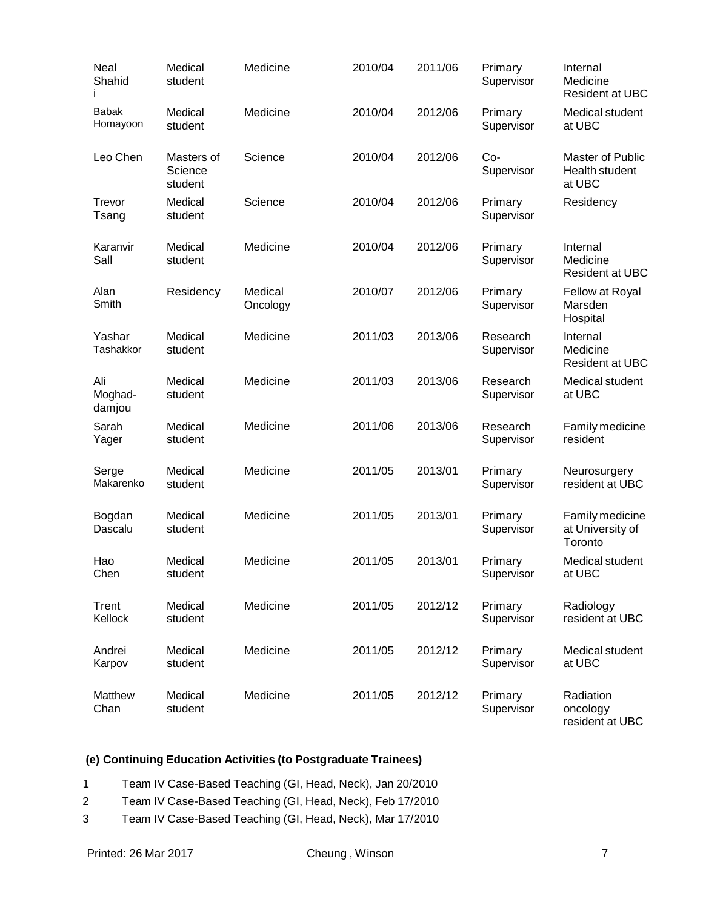| Neal<br>Shahid           | Medical<br>student               | Medicine            | 2010/04 | 2011/06 | Primary<br>Supervisor  | Internal<br>Medicine<br>Resident at UBC        |
|--------------------------|----------------------------------|---------------------|---------|---------|------------------------|------------------------------------------------|
| <b>Babak</b><br>Homayoon | Medical<br>student               | Medicine            | 2010/04 | 2012/06 | Primary<br>Supervisor  | Medical student<br>at UBC                      |
| Leo Chen                 | Masters of<br>Science<br>student | Science             | 2010/04 | 2012/06 | Co-<br>Supervisor      | Master of Public<br>Health student<br>at UBC   |
| Trevor<br>Tsang          | Medical<br>student               | Science             | 2010/04 | 2012/06 | Primary<br>Supervisor  | Residency                                      |
| Karanvir<br>Sall         | Medical<br>student               | Medicine            | 2010/04 | 2012/06 | Primary<br>Supervisor  | Internal<br>Medicine<br><b>Resident at UBC</b> |
| Alan<br>Smith            | Residency                        | Medical<br>Oncology | 2010/07 | 2012/06 | Primary<br>Supervisor  | Fellow at Royal<br>Marsden<br>Hospital         |
| Yashar<br>Tashakkor      | Medical<br>student               | Medicine            | 2011/03 | 2013/06 | Research<br>Supervisor | Internal<br>Medicine<br><b>Resident at UBC</b> |
| Ali<br>Moghad-<br>damjou | Medical<br>student               | Medicine            | 2011/03 | 2013/06 | Research<br>Supervisor | Medical student<br>at UBC                      |
| Sarah<br>Yager           | Medical<br>student               | Medicine            | 2011/06 | 2013/06 | Research<br>Supervisor | Family medicine<br>resident                    |
| Serge<br>Makarenko       | Medical<br>student               | Medicine            | 2011/05 | 2013/01 | Primary<br>Supervisor  | Neurosurgery<br>resident at UBC                |
| Bogdan<br>Dascalu        | Medical<br>student               | Medicine            | 2011/05 | 2013/01 | Primary<br>Supervisor  | Family medicine<br>at University of<br>Toronto |
| Hao<br>Chen              | Medical<br>student               | Medicine            | 2011/05 | 2013/01 | Primary<br>Supervisor  | Medical student<br>at UBC                      |
| Trent<br>Kellock         | Medical<br>student               | Medicine            | 2011/05 | 2012/12 | Primary<br>Supervisor  | Radiology<br>resident at UBC                   |
| Andrei<br>Karpov         | Medical<br>student               | Medicine            | 2011/05 | 2012/12 | Primary<br>Supervisor  | Medical student<br>at UBC                      |
| Matthew<br>Chan          | Medical<br>student               | Medicine            | 2011/05 | 2012/12 | Primary<br>Supervisor  | Radiation<br>oncology<br>resident at UBC       |

# **(e) Continuing Education Activities (to Postgraduate Trainees)**

1 Team IV Case-Based Teaching (GI, Head, Neck), Jan 20/2010

- 2 Team IV Case-Based Teaching (GI, Head, Neck), Feb 17/2010
- 3 Team IV Case-Based Teaching (GI, Head, Neck), Mar 17/2010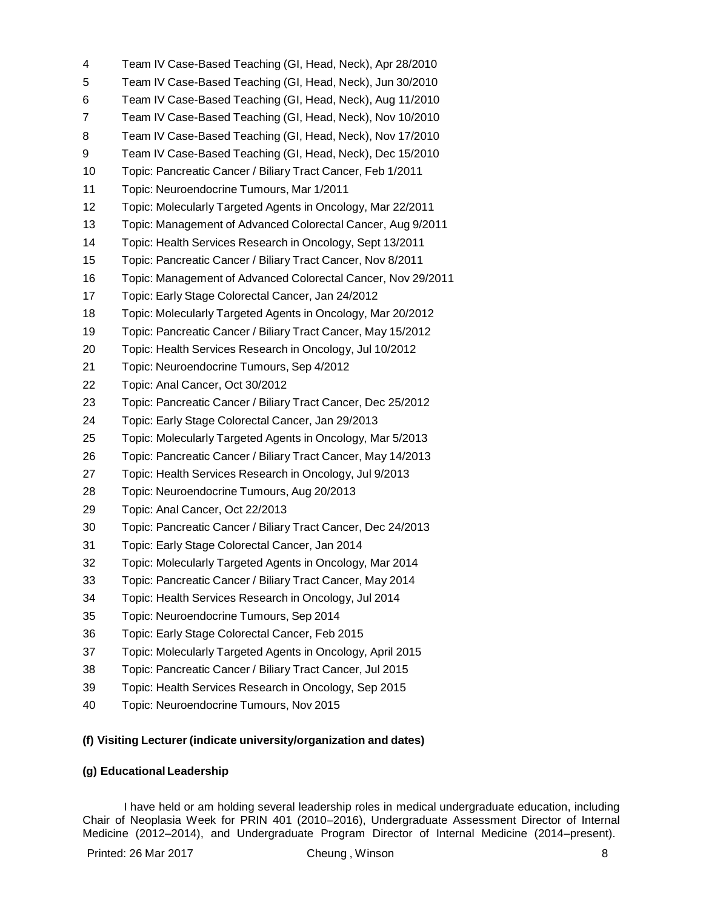| 4  | Team IV Case-Based Teaching (GI, Head, Neck), Apr 28/2010    |
|----|--------------------------------------------------------------|
| 5  | Team IV Case-Based Teaching (GI, Head, Neck), Jun 30/2010    |
| 6  | Team IV Case-Based Teaching (GI, Head, Neck), Aug 11/2010    |
| 7  | Team IV Case-Based Teaching (GI, Head, Neck), Nov 10/2010    |
| 8  | Team IV Case-Based Teaching (GI, Head, Neck), Nov 17/2010    |
| 9  | Team IV Case-Based Teaching (GI, Head, Neck), Dec 15/2010    |
| 10 | Topic: Pancreatic Cancer / Biliary Tract Cancer, Feb 1/2011  |
| 11 | Topic: Neuroendocrine Tumours, Mar 1/2011                    |
| 12 | Topic: Molecularly Targeted Agents in Oncology, Mar 22/2011  |
| 13 | Topic: Management of Advanced Colorectal Cancer, Aug 9/2011  |
| 14 | Topic: Health Services Research in Oncology, Sept 13/2011    |
| 15 | Topic: Pancreatic Cancer / Biliary Tract Cancer, Nov 8/2011  |
| 16 | Topic: Management of Advanced Colorectal Cancer, Nov 29/2011 |
| 17 | Topic: Early Stage Colorectal Cancer, Jan 24/2012            |
| 18 | Topic: Molecularly Targeted Agents in Oncology, Mar 20/2012  |
| 19 | Topic: Pancreatic Cancer / Biliary Tract Cancer, May 15/2012 |
| 20 | Topic: Health Services Research in Oncology, Jul 10/2012     |
| 21 | Topic: Neuroendocrine Tumours, Sep 4/2012                    |
| 22 | Topic: Anal Cancer, Oct 30/2012                              |
| 23 | Topic: Pancreatic Cancer / Biliary Tract Cancer, Dec 25/2012 |
| 24 | Topic: Early Stage Colorectal Cancer, Jan 29/2013            |
| 25 | Topic: Molecularly Targeted Agents in Oncology, Mar 5/2013   |
| 26 | Topic: Pancreatic Cancer / Biliary Tract Cancer, May 14/2013 |
| 27 | Topic: Health Services Research in Oncology, Jul 9/2013      |
| 28 | Topic: Neuroendocrine Tumours, Aug 20/2013                   |
| 29 | Topic: Anal Cancer, Oct 22/2013                              |
| 30 | Topic: Pancreatic Cancer / Biliary Tract Cancer, Dec 24/2013 |
| 31 | Topic: Early Stage Colorectal Cancer, Jan 2014               |
| 32 | Topic: Molecularly Targeted Agents in Oncology, Mar 2014     |
| 33 | Topic: Pancreatic Cancer / Biliary Tract Cancer, May 2014    |
| 34 | Topic: Health Services Research in Oncology, Jul 2014        |
| 35 | Topic: Neuroendocrine Tumours, Sep 2014                      |
| 36 | Topic: Early Stage Colorectal Cancer, Feb 2015               |
| 37 | Topic: Molecularly Targeted Agents in Oncology, April 2015   |
| 38 | Topic: Pancreatic Cancer / Biliary Tract Cancer, Jul 2015    |
| 39 | Topic: Health Services Research in Oncology, Sep 2015        |
| 40 | Topic: Neuroendocrine Tumours, Nov 2015                      |

# **(f) Visiting Lecturer (indicate university/organization and dates)**

# **(g) Educational Leadership**

I have held or am holding several leadership roles in medical undergraduate education, including Chair of Neoplasia Week for PRIN 401 (2010–2016), Undergraduate Assessment Director of Internal Medicine (2012–2014), and Undergraduate Program Director of Internal Medicine (2014–present).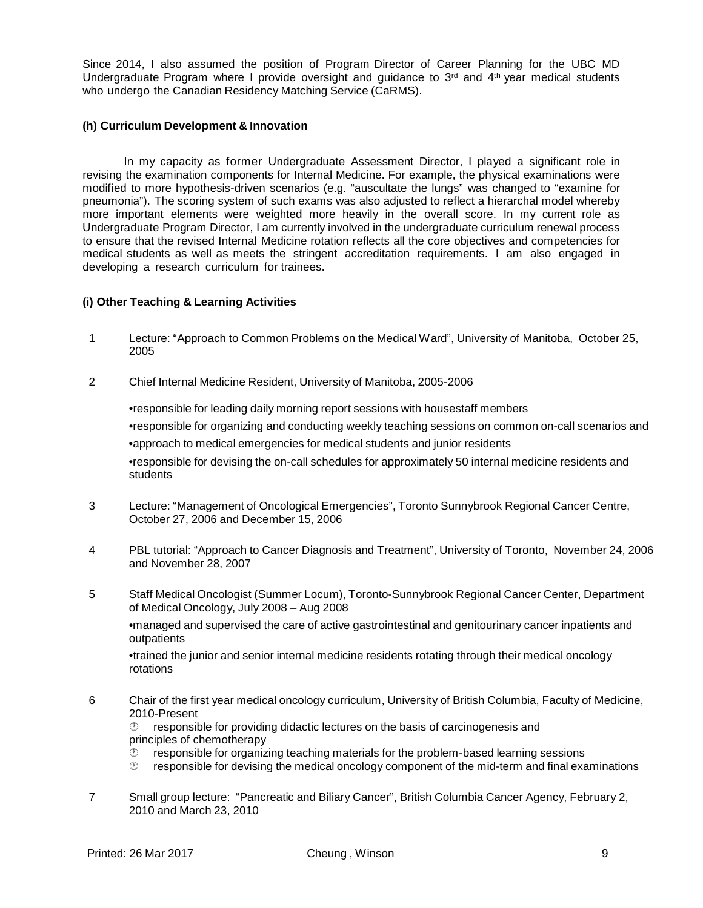Since 2014, I also assumed the position of Program Director of Career Planning for the UBC MD Undergraduate Program where I provide oversight and guidance to  $3<sup>rd</sup>$  and  $4<sup>th</sup>$  year medical students who undergo the Canadian Residency Matching Service (CaRMS).

#### **(h) Curriculum Development & Innovation**

In my capacity as former Undergraduate Assessment Director, I played a significant role in revising the examination components for Internal Medicine. For example, the physical examinations were modified to more hypothesis-driven scenarios (e.g. "auscultate the lungs" was changed to "examine for pneumonia"). The scoring system of such exams was also adjusted to reflect a hierarchal model whereby more important elements were weighted more heavily in the overall score. In my current role as Undergraduate Program Director, I am currently involved in the undergraduate curriculum renewal process to ensure that the revised Internal Medicine rotation reflects all the core objectives and competencies for medical students as well as meets the stringent accreditation requirements. I am also engaged in developing a research curriculum for trainees.

### **(i) Other Teaching & Learning Activities**

- 1 Lecture: "Approach to Common Problems on the Medical Ward", University of Manitoba, October 25, 2005
- 2 Chief Internal Medicine Resident, University of Manitoba, 2005-2006

•responsible for leading daily morning report sessions with housestaff members •responsible for organizing and conducting weekly teaching sessions on common on-call scenarios and •approach to medical emergencies for medical students and junior residents •responsible for devising the on-call schedules for approximately 50 internal medicine residents and students

- 3 Lecture: "Management of Oncological Emergencies", Toronto Sunnybrook Regional Cancer Centre, October 27, 2006 and December 15, 2006
- 4 PBL tutorial: "Approach to Cancer Diagnosis and Treatment", University of Toronto, November 24, 2006 and November 28, 2007
- 5 Staff Medical Oncologist (Summer Locum), Toronto-Sunnybrook Regional Cancer Center, Department of Medical Oncology, July 2008 – Aug 2008

•managed and supervised the care of active gastrointestinal and genitourinary cancer inpatients and outpatients

•trained the junior and senior internal medicine residents rotating through their medical oncology rotations

6 Chair of the first year medical oncology curriculum, University of British Columbia, Faculty of Medicine, 2010-Present

 $\heartsuit$  responsible for providing didactic lectures on the basis of carcinogenesis and principles of chemotherapy

- $\heartsuit$  responsible for organizing teaching materials for the problem-based learning sessions
- $\heartsuit$  responsible for devising the medical oncology component of the mid-term and final examinations
- 7 Small group lecture: "Pancreatic and Biliary Cancer", British Columbia Cancer Agency, February 2, 2010 and March 23, 2010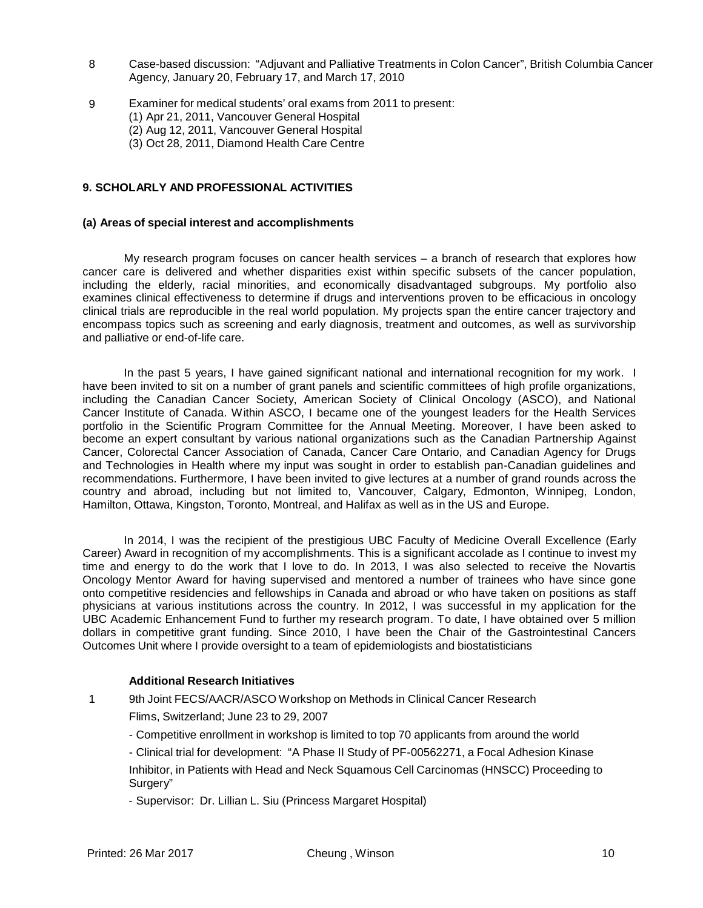- 8 Case-based discussion: "Adjuvant and Palliative Treatments in Colon Cancer", British Columbia Cancer Agency, January 20, February 17, and March 17, 2010
- 9 Examiner for medical students' oral exams from 2011 to present: (1) Apr 21, 2011, Vancouver General Hospital (2) Aug 12, 2011, Vancouver General Hospital
	- (3) Oct 28, 2011, Diamond Health Care Centre

### **9. SCHOLARLY AND PROFESSIONAL ACTIVITIES**

#### **(a) Areas of special interest and accomplishments**

My research program focuses on cancer health services – a branch of research that explores how cancer care is delivered and whether disparities exist within specific subsets of the cancer population, including the elderly, racial minorities, and economically disadvantaged subgroups. My portfolio also examines clinical effectiveness to determine if drugs and interventions proven to be efficacious in oncology clinical trials are reproducible in the real world population. My projects span the entire cancer trajectory and encompass topics such as screening and early diagnosis, treatment and outcomes, as well as survivorship and palliative or end-of-life care.

In the past 5 years, I have gained significant national and international recognition for my work. I have been invited to sit on a number of grant panels and scientific committees of high profile organizations, including the Canadian Cancer Society, American Society of Clinical Oncology (ASCO), and National Cancer Institute of Canada. Within ASCO, I became one of the youngest leaders for the Health Services portfolio in the Scientific Program Committee for the Annual Meeting. Moreover, I have been asked to become an expert consultant by various national organizations such as the Canadian Partnership Against Cancer, Colorectal Cancer Association of Canada, Cancer Care Ontario, and Canadian Agency for Drugs and Technologies in Health where my input was sought in order to establish pan-Canadian guidelines and recommendations. Furthermore, I have been invited to give lectures at a number of grand rounds across the country and abroad, including but not limited to, Vancouver, Calgary, Edmonton, Winnipeg, London, Hamilton, Ottawa, Kingston, Toronto, Montreal, and Halifax as well as in the US and Europe.

In 2014, I was the recipient of the prestigious UBC Faculty of Medicine Overall Excellence (Early Career) Award in recognition of my accomplishments. This is a significant accolade as I continue to invest my time and energy to do the work that I love to do. In 2013, I was also selected to receive the Novartis Oncology Mentor Award for having supervised and mentored a number of trainees who have since gone onto competitive residencies and fellowships in Canada and abroad or who have taken on positions as staff physicians at various institutions across the country. In 2012, I was successful in my application for the UBC Academic Enhancement Fund to further my research program. To date, I have obtained over 5 million dollars in competitive grant funding. Since 2010, I have been the Chair of the Gastrointestinal Cancers Outcomes Unit where I provide oversight to a team of epidemiologists and biostatisticians

#### **Additional Research Initiatives**

- 1 9th Joint FECS/AACR/ASCO Workshop on Methods in Clinical Cancer Research
	- Flims, Switzerland; June 23 to 29, 2007
	- Competitive enrollment in workshop is limited to top 70 applicants from around the world
	- Clinical trial for development: "A Phase II Study of PF-00562271, a Focal Adhesion Kinase

Inhibitor, in Patients with Head and Neck Squamous Cell Carcinomas (HNSCC) Proceeding to Surgery"

- Supervisor: Dr. Lillian L. Siu (Princess Margaret Hospital)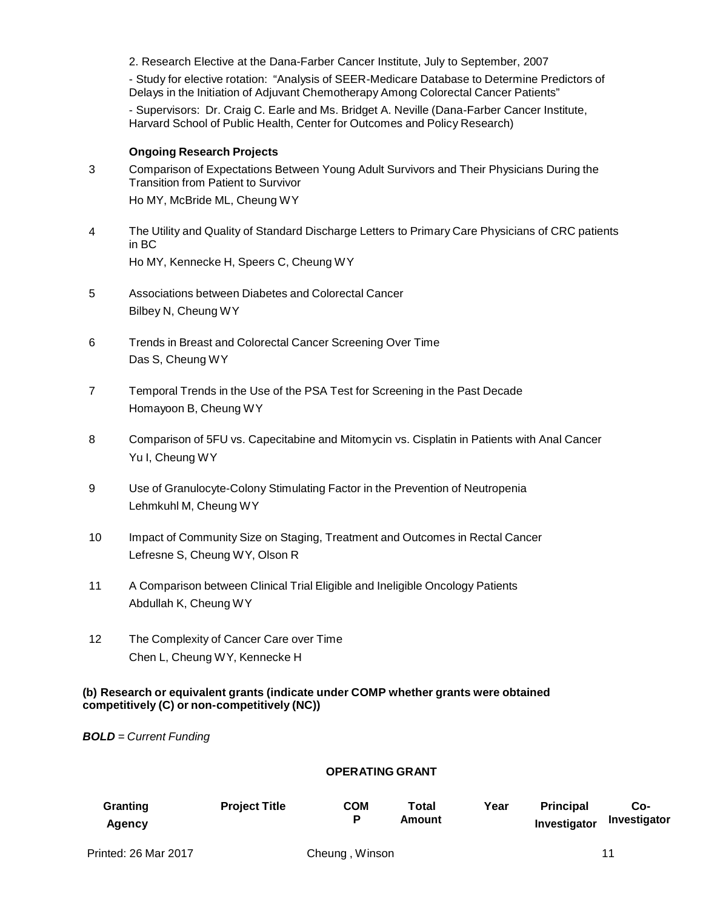2. Research Elective at the Dana-Farber Cancer Institute, July to September, 2007

- Study for elective rotation: "Analysis of SEER-Medicare Database to Determine Predictors of Delays in the Initiation of Adjuvant Chemotherapy Among Colorectal Cancer Patients"

- Supervisors: Dr. Craig C. Earle and Ms. Bridget A. Neville (Dana-Farber Cancer Institute, Harvard School of Public Health, Center for Outcomes and Policy Research)

#### **Ongoing Research Projects**

- 3 Comparison of Expectations Between Young Adult Survivors and Their Physicians During the Transition from Patient to Survivor Ho MY, McBride ML, Cheung WY
- 4 The Utility and Quality of Standard Discharge Letters to Primary Care Physicians of CRC patients in BC Ho MY, Kennecke H, Speers C, Cheung WY
- 5 Associations between Diabetes and Colorectal Cancer Bilbey N, Cheung WY
- 6 Trends in Breast and Colorectal Cancer Screening Over Time Das S, Cheung WY
- 7 Temporal Trends in the Use of the PSA Test for Screening in the Past Decade Homayoon B, Cheung WY
- 8 Comparison of 5FU vs. Capecitabine and Mitomycin vs. Cisplatin in Patients with Anal Cancer Yu I, Cheung WY
- 9 Use of Granulocyte-Colony Stimulating Factor in the Prevention of Neutropenia Lehmkuhl M, Cheung WY
- 10 Impact of Community Size on Staging, Treatment and Outcomes in Rectal Cancer Lefresne S, Cheung WY, Olson R
- 11 A Comparison between Clinical Trial Eligible and Ineligible Oncology Patients Abdullah K, Cheung WY
- 12 The Complexity of Cancer Care over Time Chen L, Cheung WY, Kennecke H

### **(b) Research or equivalent grants (indicate under COMP whether grants were obtained competitively (C) or non-competitively (NC))**

*BOLD = Current Funding*

### **OPERATING GRANT**

| Granting<br>Agency          | <b>Project Title</b> | COM<br>P        | <b>Total</b><br>Amount | Year | <b>Principal</b><br>Investigator | Co-<br>Investigator |
|-----------------------------|----------------------|-----------------|------------------------|------|----------------------------------|---------------------|
| <b>Printed: 26 Mar 2017</b> |                      | Cheuna . Winson |                        |      |                                  | 11                  |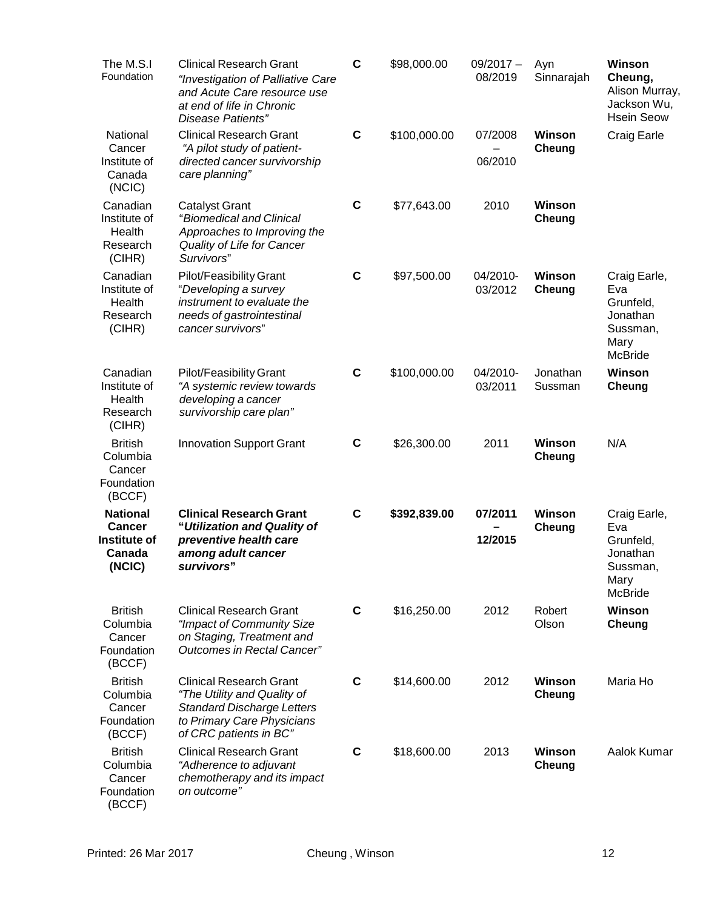| The M.S.I<br>Foundation                                              | <b>Clinical Research Grant</b><br>"Investigation of Palliative Care<br>and Acute Care resource use<br>at end of life in Chronic<br>Disease Patients"       | $\mathbf c$ | \$98,000.00  | $09/2017 -$<br>08/2019 | Ayn<br>Sinnarajah       | Winson<br>Cheung,<br>Alison Murray,<br>Jackson Wu,<br><b>Hsein Seow</b>            |
|----------------------------------------------------------------------|------------------------------------------------------------------------------------------------------------------------------------------------------------|-------------|--------------|------------------------|-------------------------|------------------------------------------------------------------------------------|
| National<br>Cancer<br>Institute of<br>Canada<br>(NC)                 | <b>Clinical Research Grant</b><br>"A pilot study of patient-<br>directed cancer survivorship<br>care planning"                                             | $\mathbf c$ | \$100,000.00 | 07/2008<br>06/2010     | <b>Winson</b><br>Cheung | Craig Earle                                                                        |
| Canadian<br>Institute of<br>Health<br>Research<br>(CIHR)             | <b>Catalyst Grant</b><br>"Biomedical and Clinical<br>Approaches to Improving the<br>Quality of Life for Cancer<br>Survivors"                               | $\mathbf C$ | \$77,643.00  | 2010                   | <b>Winson</b><br>Cheung |                                                                                    |
| Canadian<br>Institute of<br>Health<br>Research<br>(CIHR)             | Pilot/Feasibility Grant<br>"Developing a survey<br>instrument to evaluate the<br>needs of gastrointestinal<br>cancer survivors"                            | $\mathbf C$ | \$97,500.00  | 04/2010-<br>03/2012    | Winson<br>Cheung        | Craig Earle,<br>Eva<br>Grunfeld,<br>Jonathan<br>Sussman,<br>Mary<br><b>McBride</b> |
| Canadian<br>Institute of<br>Health<br>Research<br>(CIHR)             | Pilot/Feasibility Grant<br>"A systemic review towards<br>developing a cancer<br>survivorship care plan"                                                    | $\mathbf c$ | \$100,000.00 | 04/2010-<br>03/2011    | Jonathan<br>Sussman     | Winson<br>Cheung                                                                   |
| <b>British</b><br>Columbia<br>Cancer<br>Foundation<br>(BCCF)         | <b>Innovation Support Grant</b>                                                                                                                            | $\mathbf c$ | \$26,300.00  | 2011                   | <b>Winson</b><br>Cheung | N/A                                                                                |
| <b>National</b><br><b>Cancer</b><br>Institute of<br>Canada<br>(NCIC) | <b>Clinical Research Grant</b><br>"Utilization and Quality of<br>preventive health care<br>among adult cancer<br>survivors"                                | $\mathbf c$ | \$392,839.00 | 07/2011<br>12/2015     | <b>Winson</b><br>Cheung | Craig Earle,<br>Eva<br>Grunfeld,<br>Jonathan<br>Sussman,<br>Mary<br><b>McBride</b> |
| <b>British</b><br>Columbia<br>Cancer<br>Foundation<br>(BCCF)         | <b>Clinical Research Grant</b><br>"Impact of Community Size<br>on Staging, Treatment and<br><b>Outcomes in Rectal Cancer"</b>                              | C           | \$16,250.00  | 2012                   | Robert<br>Olson         | Winson<br>Cheung                                                                   |
| <b>British</b><br>Columbia<br>Cancer<br>Foundation<br>(BCCF)         | <b>Clinical Research Grant</b><br>"The Utility and Quality of<br><b>Standard Discharge Letters</b><br>to Primary Care Physicians<br>of CRC patients in BC" | $\mathbf c$ | \$14,600.00  | 2012                   | <b>Winson</b><br>Cheung | Maria Ho                                                                           |
| <b>British</b><br>Columbia<br>Cancer<br>Foundation<br>(BCCF)         | <b>Clinical Research Grant</b><br>"Adherence to adjuvant<br>chemotherapy and its impact<br>on outcome"                                                     | C           | \$18,600.00  | 2013                   | <b>Winson</b><br>Cheung | Aalok Kumar                                                                        |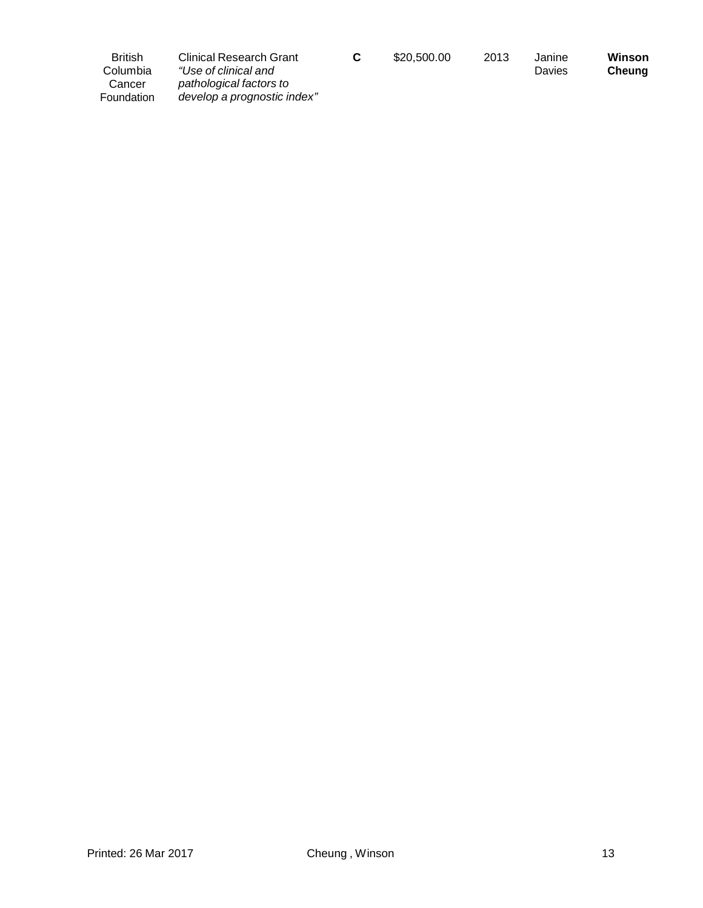| <b>British</b><br>Columbia | Clinical Research Grant<br>"Use of clinical and        | \$20,500.00 | 2013 | Janine<br>Davies | Winson<br>Cheuna |
|----------------------------|--------------------------------------------------------|-------------|------|------------------|------------------|
| Cancer<br>Foundation       | pathological factors to<br>develop a prognostic index" |             |      |                  |                  |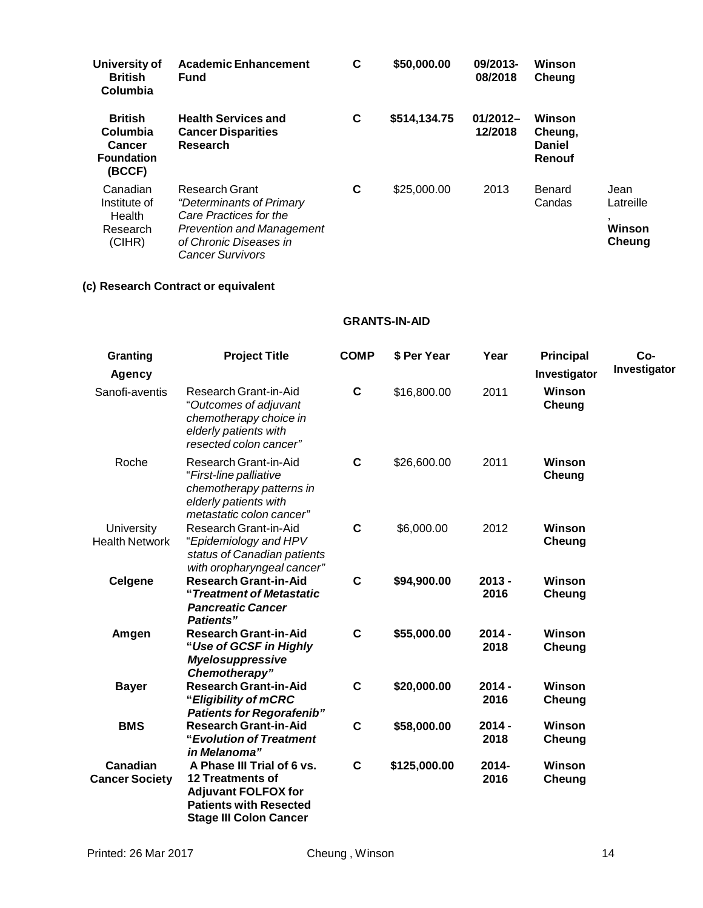| University of<br><b>British</b><br>Columbia                                | <b>Academic Enhancement</b><br><b>Fund</b>                                                                                                                                  | С | \$50,000.00  | 09/2013-<br>08/2018   | Winson<br>Cheung                             |                                       |
|----------------------------------------------------------------------------|-----------------------------------------------------------------------------------------------------------------------------------------------------------------------------|---|--------------|-----------------------|----------------------------------------------|---------------------------------------|
| <b>British</b><br>Columbia<br><b>Cancer</b><br><b>Foundation</b><br>(BCCF) | <b>Health Services and</b><br><b>Cancer Disparities</b><br><b>Research</b>                                                                                                  | С | \$514,134.75 | $01/2012-$<br>12/2018 | Winson<br>Cheung,<br><b>Daniel</b><br>Renouf |                                       |
| Canadian<br>Institute of<br>Health<br>Research<br>(CIHR)                   | <b>Research Grant</b><br><i>"Determinants of Primary</i><br>Care Practices for the<br><b>Prevention and Management</b><br>of Chronic Diseases in<br><b>Cancer Survivors</b> | С | \$25,000.00  | 2013                  | Benard<br>Candas                             | Jean<br>Latreille<br>Winson<br>Cheung |

# **(c) Research Contract or equivalent**

# **GRANTS-IN-AID**

| Granting                            | <b>Project Title</b>                                                                                                                           | <b>COMP</b> | \$ Per Year  | Year             | <b>Principal</b>        | Co-          |
|-------------------------------------|------------------------------------------------------------------------------------------------------------------------------------------------|-------------|--------------|------------------|-------------------------|--------------|
| <b>Agency</b>                       |                                                                                                                                                |             |              |                  | Investigator            | Investigator |
| Sanofi-aventis                      | Research Grant-in-Aid<br>"Outcomes of adjuvant<br>chemotherapy choice in<br>elderly patients with<br>resected colon cancer"                    | C           | \$16,800.00  | 2011             | Winson<br>Cheung        |              |
| Roche                               | Research Grant-in-Aid<br>"First-line palliative<br>chemotherapy patterns in<br>elderly patients with<br>metastatic colon cancer"               | $\mathbf c$ | \$26,600.00  | 2011             | Winson<br>Cheung        |              |
| University<br><b>Health Network</b> | Research Grant-in-Aid<br>"Epidemiology and HPV<br>status of Canadian patients<br>with oropharyngeal cancer"                                    | C           | \$6,000.00   | 2012             | <b>Winson</b><br>Cheung |              |
| <b>Celgene</b>                      | <b>Research Grant-in-Aid</b><br>"Treatment of Metastatic<br><b>Pancreatic Cancer</b><br><b>Patients"</b>                                       | $\mathbf C$ | \$94,900.00  | $2013 -$<br>2016 | <b>Winson</b><br>Cheung |              |
| Amgen                               | <b>Research Grant-in-Aid</b><br>"Use of GCSF in Highly<br><b>Myelosuppressive</b><br>Chemotherapy"                                             | $\mathbf c$ | \$55,000.00  | $2014 -$<br>2018 | Winson<br>Cheung        |              |
| <b>Bayer</b>                        | <b>Research Grant-in-Aid</b><br>"Eligibility of mCRC<br><b>Patients for Regorafenib"</b>                                                       | $\mathbf c$ | \$20,000.00  | $2014 -$<br>2016 | Winson<br>Cheung        |              |
| <b>BMS</b>                          | <b>Research Grant-in-Aid</b><br>"Evolution of Treatment<br>in Melanoma"                                                                        | $\mathbf c$ | \$58,000.00  | $2014 -$<br>2018 | Winson<br>Cheung        |              |
| Canadian<br><b>Cancer Society</b>   | A Phase III Trial of 6 vs.<br>12 Treatments of<br><b>Adjuvant FOLFOX for</b><br><b>Patients with Resected</b><br><b>Stage III Colon Cancer</b> | $\mathbf c$ | \$125,000.00 | $2014 -$<br>2016 | Winson<br>Cheung        |              |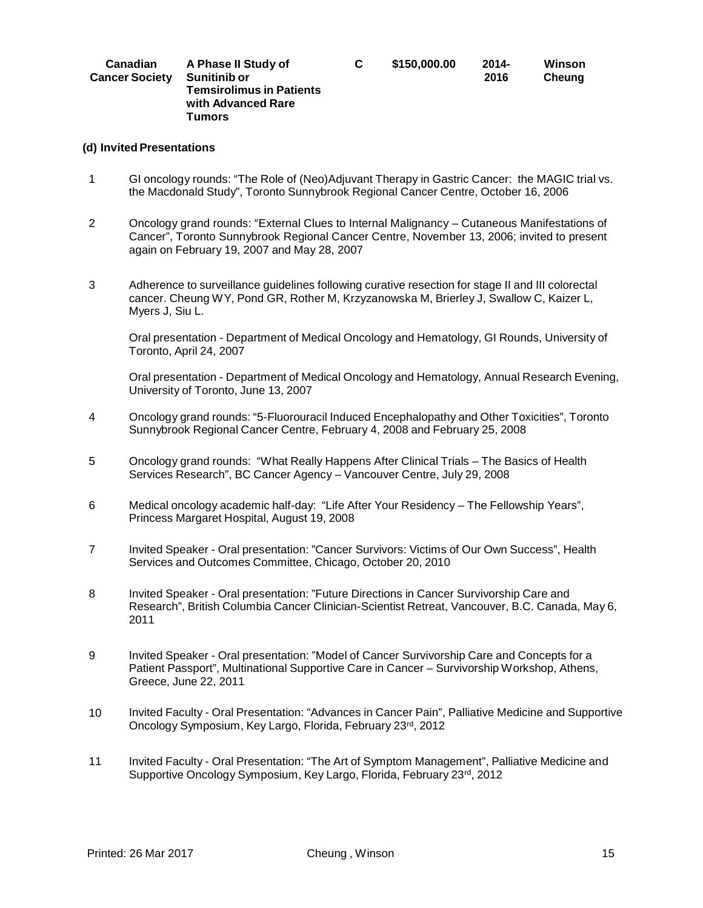| Canadian<br><b>Cancer Society</b> | A Phase II Study of<br>Sunitinib or<br><b>Temsirolimus in Patients</b><br>with Advanced Rare | C. | \$150,000,00 | $2014 -$<br>2016 | Winson<br>Cheung |
|-----------------------------------|----------------------------------------------------------------------------------------------|----|--------------|------------------|------------------|
|                                   | Tumors                                                                                       |    |              |                  |                  |

#### **(d) Invited Presentations**

- 1 GI oncology rounds: "The Role of (Neo)Adjuvant Therapy in Gastric Cancer: the MAGIC trial vs. the Macdonald Study", Toronto Sunnybrook Regional Cancer Centre, October 16, 2006
- 2 Oncology grand rounds: "External Clues to Internal Malignancy Cutaneous Manifestations of Cancer", Toronto Sunnybrook Regional Cancer Centre, November 13, 2006; invited to present again on February 19, 2007 and May 28, 2007
- 3 Adherence to surveillance guidelines following curative resection for stage II and III colorectal cancer. Cheung WY, Pond GR, Rother M, Krzyzanowska M, Brierley J, Swallow C, Kaizer L, Myers J, Siu L.

Oral presentation - Department of Medical Oncology and Hematology, GI Rounds, University of Toronto, April 24, 2007

Oral presentation - Department of Medical Oncology and Hematology, Annual Research Evening, University of Toronto, June 13, 2007

- 4 Oncology grand rounds: "5-Fluorouracil Induced Encephalopathy and Other Toxicities", Toronto Sunnybrook Regional Cancer Centre, February 4, 2008 and February 25, 2008
- 5 Oncology grand rounds: "What Really Happens After Clinical Trials The Basics of Health Services Research", BC Cancer Agency – Vancouver Centre, July 29, 2008
- 6 Medical oncology academic half-day: "Life After Your Residency The Fellowship Years", Princess Margaret Hospital, August 19, 2008
- 7 Invited Speaker Oral presentation: "Cancer Survivors: Victims of Our Own Success", Health Services and Outcomes Committee, Chicago, October 20, 2010
- 8 Invited Speaker Oral presentation: "Future Directions in Cancer Survivorship Care and Research", British Columbia Cancer Clinician-Scientist Retreat, Vancouver, B.C. Canada, May 6, 2011
- 9 Invited Speaker Oral presentation: "Model of Cancer Survivorship Care and Concepts for a Patient Passport", Multinational Supportive Care in Cancer – Survivorship Workshop, Athens, Greece, June 22, 2011
- 10 Invited Faculty Oral Presentation: "Advances in Cancer Pain", Palliative Medicine and Supportive Oncology Symposium, Key Largo, Florida, February 23rd, 2012
- 11 Invited Faculty Oral Presentation: "The Art of Symptom Management", Palliative Medicine and Supportive Oncology Symposium, Key Largo, Florida, February 23rd, 2012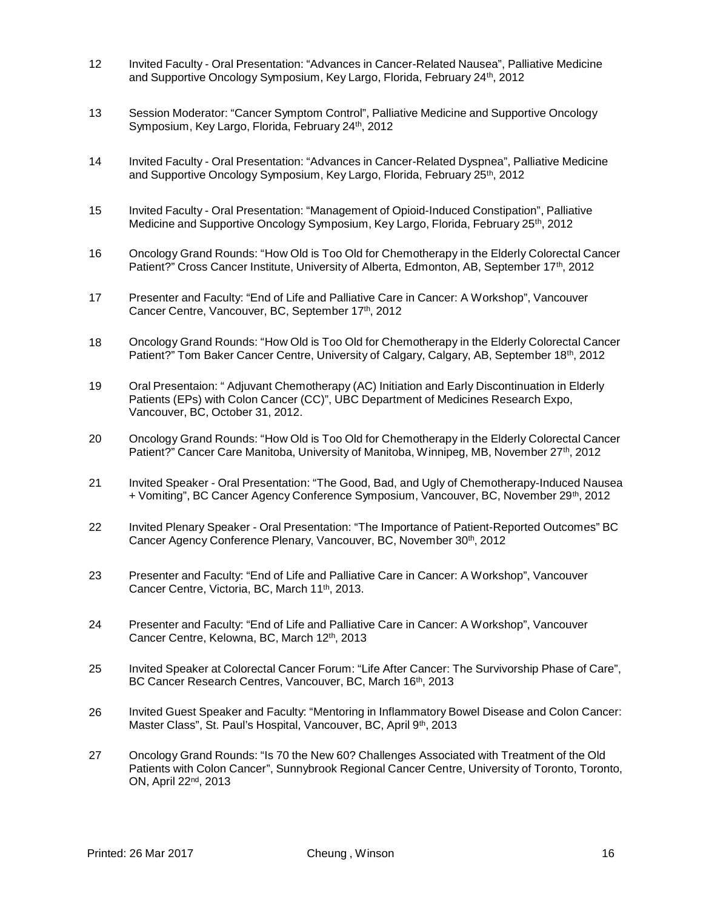- 12 Invited Faculty Oral Presentation: "Advances in Cancer-Related Nausea", Palliative Medicine and Supportive Oncology Symposium, Key Largo, Florida, February 24<sup>th</sup>, 2012
- 13 Session Moderator: "Cancer Symptom Control", Palliative Medicine and Supportive Oncology Symposium, Key Largo, Florida, February 24th, 2012
- 14 Invited Faculty Oral Presentation: "Advances in Cancer-Related Dyspnea", Palliative Medicine and Supportive Oncology Symposium, Key Largo, Florida, February 25th, 2012
- 15 Invited Faculty Oral Presentation: "Management of Opioid-Induced Constipation", Palliative Medicine and Supportive Oncology Symposium, Key Largo, Florida, February 25th, 2012
- 16 Oncology Grand Rounds: "How Old is Too Old for Chemotherapy in the Elderly Colorectal Cancer Patient?" Cross Cancer Institute, University of Alberta, Edmonton, AB, September 17<sup>th</sup>, 2012
- 17 Presenter and Faculty: "End of Life and Palliative Care in Cancer: A Workshop", Vancouver Cancer Centre, Vancouver, BC, September 17th, 2012
- 18 Oncology Grand Rounds: "How Old is Too Old for Chemotherapy in the Elderly Colorectal Cancer Patient?" Tom Baker Cancer Centre, University of Calgary, Calgary, AB, September 18<sup>th</sup>, 2012
- 19 Oral Presentaion: " Adjuvant Chemotherapy (AC) Initiation and Early Discontinuation in Elderly Patients (EPs) with Colon Cancer (CC)", UBC Department of Medicines Research Expo, Vancouver, BC, October 31, 2012.
- 20 Oncology Grand Rounds: "How Old is Too Old for Chemotherapy in the Elderly Colorectal Cancer Patient?" Cancer Care Manitoba, University of Manitoba, Winnipeg, MB, November 27<sup>th</sup>, 2012
- 21 Invited Speaker Oral Presentation: "The Good, Bad, and Ugly of Chemotherapy-Induced Nausea + Vomiting", BC Cancer Agency Conference Symposium, Vancouver, BC, November 29th, 2012
- 22 Invited Plenary Speaker Oral Presentation: "The Importance of Patient-Reported Outcomes" BC Cancer Agency Conference Plenary, Vancouver, BC, November 30<sup>th</sup>, 2012
- 23 Presenter and Faculty: "End of Life and Palliative Care in Cancer: A Workshop", Vancouver Cancer Centre, Victoria, BC, March 11<sup>th</sup>, 2013.
- 24 Presenter and Faculty: "End of Life and Palliative Care in Cancer: A Workshop", Vancouver Cancer Centre, Kelowna, BC, March 12th, 2013
- 25 Invited Speaker at Colorectal Cancer Forum: "Life After Cancer: The Survivorship Phase of Care", BC Cancer Research Centres, Vancouver, BC, March 16th, 2013
- 26 Invited Guest Speaker and Faculty: "Mentoring in Inflammatory Bowel Disease and Colon Cancer: Master Class", St. Paul's Hospital, Vancouver, BC, April 9th, 2013
- 27 Oncology Grand Rounds: "Is 70 the New 60? Challenges Associated with Treatment of the Old Patients with Colon Cancer", Sunnybrook Regional Cancer Centre, University of Toronto, Toronto, ON, April 22nd, 2013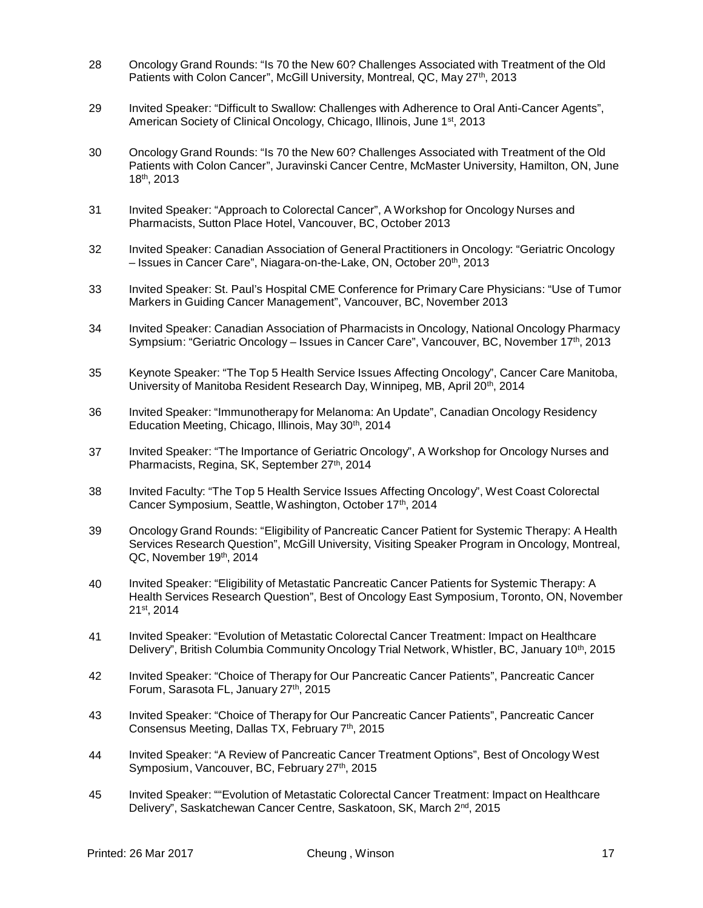- 28 Oncology Grand Rounds: "Is 70 the New 60? Challenges Associated with Treatment of the Old Patients with Colon Cancer", McGill University, Montreal, QC, May 27<sup>th</sup>, 2013
- 29 Invited Speaker: "Difficult to Swallow: Challenges with Adherence to Oral Anti-Cancer Agents", American Society of Clinical Oncology, Chicago, Illinois, June 1st, 2013
- 30 Oncology Grand Rounds: "Is 70 the New 60? Challenges Associated with Treatment of the Old Patients with Colon Cancer", Juravinski Cancer Centre, McMaster University, Hamilton, ON, June 18th, 2013
- 31 Invited Speaker: "Approach to Colorectal Cancer", A Workshop for Oncology Nurses and Pharmacists, Sutton Place Hotel, Vancouver, BC, October 2013
- 32 Invited Speaker: Canadian Association of General Practitioners in Oncology: "Geriatric Oncology – Issues in Cancer Care", Niagara-on-the-Lake, ON, October 20th, 2013
- 33 Invited Speaker: St. Paul's Hospital CME Conference for Primary Care Physicians: "Use of Tumor Markers in Guiding Cancer Management", Vancouver, BC, November 2013
- 34 Invited Speaker: Canadian Association of Pharmacists in Oncology, National Oncology Pharmacy Sympsium: "Geriatric Oncology – Issues in Cancer Care", Vancouver, BC, November 17th, 2013
- 35 Keynote Speaker: "The Top 5 Health Service Issues Affecting Oncology", Cancer Care Manitoba, University of Manitoba Resident Research Day, Winnipeg, MB, April 20<sup>th</sup>, 2014
- 36 Invited Speaker: "Immunotherapy for Melanoma: An Update", Canadian Oncology Residency Education Meeting, Chicago, Illinois, May 30th, 2014
- 37 Invited Speaker: "The Importance of Geriatric Oncology", A Workshop for Oncology Nurses and Pharmacists, Regina, SK, September 27<sup>th</sup>, 2014
- 38 Invited Faculty: "The Top 5 Health Service Issues Affecting Oncology", West Coast Colorectal Cancer Symposium, Seattle, Washington, October 17th, 2014
- 39 Oncology Grand Rounds: "Eligibility of Pancreatic Cancer Patient for Systemic Therapy: A Health Services Research Question", McGill University, Visiting Speaker Program in Oncology, Montreal, QC, November 19th, 2014
- 40 Invited Speaker: "Eligibility of Metastatic Pancreatic Cancer Patients for Systemic Therapy: A Health Services Research Question", Best of Oncology East Symposium, Toronto, ON, November 21st , 2014
- 41 Invited Speaker: "Evolution of Metastatic Colorectal Cancer Treatment: Impact on Healthcare Delivery", British Columbia Community Oncology Trial Network, Whistler, BC, January 10<sup>th</sup>, 2015
- 42 Invited Speaker: "Choice of Therapy for Our Pancreatic Cancer Patients", Pancreatic Cancer Forum, Sarasota FL, January 27th, 2015
- 43 Invited Speaker: "Choice of Therapy for Our Pancreatic Cancer Patients", Pancreatic Cancer Consensus Meeting, Dallas TX, February 7th, 2015
- 44 Invited Speaker: "A Review of Pancreatic Cancer Treatment Options", Best of Oncology West Symposium, Vancouver, BC, February 27<sup>th</sup>, 2015
- 45 Invited Speaker: ""Evolution of Metastatic Colorectal Cancer Treatment: Impact on Healthcare Delivery", Saskatchewan Cancer Centre, Saskatoon, SK, March 2<sup>nd</sup>, 2015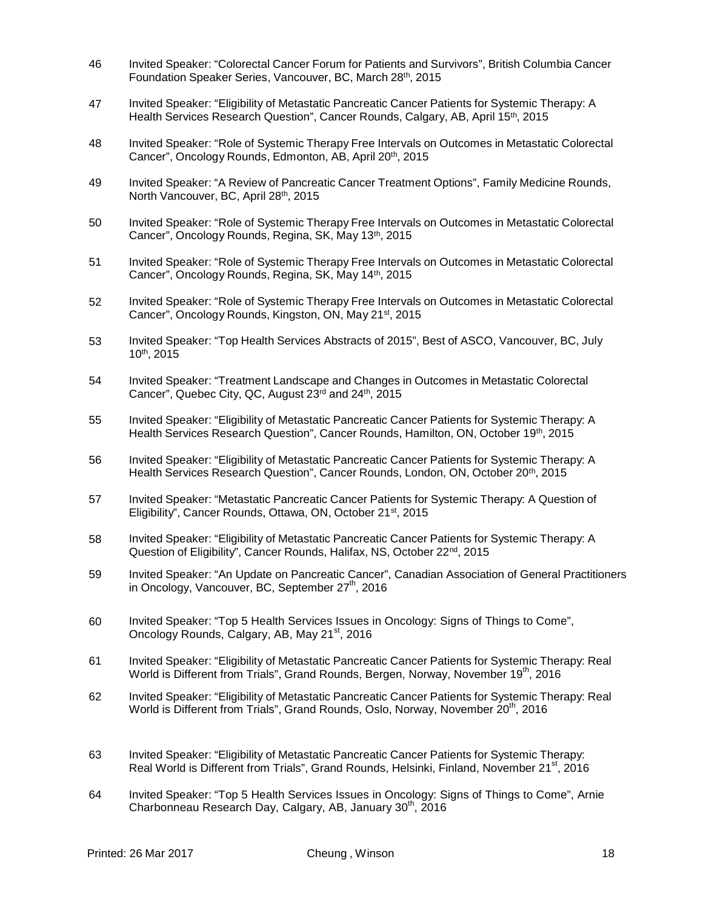- 46 Invited Speaker: "Colorectal Cancer Forum for Patients and Survivors", British Columbia Cancer Foundation Speaker Series, Vancouver, BC, March 28th, 2015
- 47 Invited Speaker: "Eligibility of Metastatic Pancreatic Cancer Patients for Systemic Therapy: A Health Services Research Question", Cancer Rounds, Calgary, AB, April 15th, 2015
- 48 Invited Speaker: "Role of Systemic Therapy Free Intervals on Outcomes in Metastatic Colorectal Cancer", Oncology Rounds, Edmonton, AB, April 20<sup>th</sup>, 2015
- 49 Invited Speaker: "A Review of Pancreatic Cancer Treatment Options", Family Medicine Rounds, North Vancouver, BC, April 28th, 2015
- 50 Invited Speaker: "Role of Systemic Therapy Free Intervals on Outcomes in Metastatic Colorectal Cancer", Oncology Rounds, Regina, SK, May 13th, 2015
- 51 Invited Speaker: "Role of Systemic Therapy Free Intervals on Outcomes in Metastatic Colorectal Cancer", Oncology Rounds, Regina, SK, May 14th, 2015
- 52 Invited Speaker: "Role of Systemic Therapy Free Intervals on Outcomes in Metastatic Colorectal Cancer", Oncology Rounds, Kingston, ON, May 21<sup>st</sup>, 2015
- 53 Invited Speaker: "Top Health Services Abstracts of 2015", Best of ASCO, Vancouver, BC, July 10th, 2015
- 54 Invited Speaker: "Treatment Landscape and Changes in Outcomes in Metastatic Colorectal Cancer", Quebec City, QC, August 23rd and 24th, 2015
- 55 Invited Speaker: "Eligibility of Metastatic Pancreatic Cancer Patients for Systemic Therapy: A Health Services Research Question", Cancer Rounds, Hamilton, ON, October 19th, 2015
- 56 Invited Speaker: "Eligibility of Metastatic Pancreatic Cancer Patients for Systemic Therapy: A Health Services Research Question", Cancer Rounds, London, ON, October 20<sup>th</sup>, 2015
- 57 Invited Speaker: "Metastatic Pancreatic Cancer Patients for Systemic Therapy: A Question of Eligibility", Cancer Rounds, Ottawa, ON, October 21<sup>st</sup>, 2015
- 58 Invited Speaker: "Eligibility of Metastatic Pancreatic Cancer Patients for Systemic Therapy: A Question of Eligibility", Cancer Rounds, Halifax, NS, October 22<sup>nd</sup>, 2015
- 59 Invited Speaker: "An Update on Pancreatic Cancer", Canadian Association of General Practitioners in Oncology, Vancouver, BC, September  $27<sup>th</sup>$ , 2016
- 60 Invited Speaker: "Top 5 Health Services Issues in Oncology: Signs of Things to Come", Oncology Rounds, Calgary, AB, May 21<sup>st</sup>, 2016
- 61 Invited Speaker: "Eligibility of Metastatic Pancreatic Cancer Patients for Systemic Therapy: Real World is Different from Trials", Grand Rounds, Bergen, Norway, November 19<sup>th</sup>, 2016
- 62 Invited Speaker: "Eligibility of Metastatic Pancreatic Cancer Patients for Systemic Therapy: Real World is Different from Trials", Grand Rounds, Oslo, Norway, November 20<sup>th</sup>, 2016
- 63 Invited Speaker: "Eligibility of Metastatic Pancreatic Cancer Patients for Systemic Therapy: Real World is Different from Trials", Grand Rounds, Helsinki, Finland, November 21<sup>st</sup>, 2016
- 64 Invited Speaker: "Top 5 Health Services Issues in Oncology: Signs of Things to Come", Arnie Charbonneau Research Day, Calgary, AB, January 30<sup>th</sup>, 2016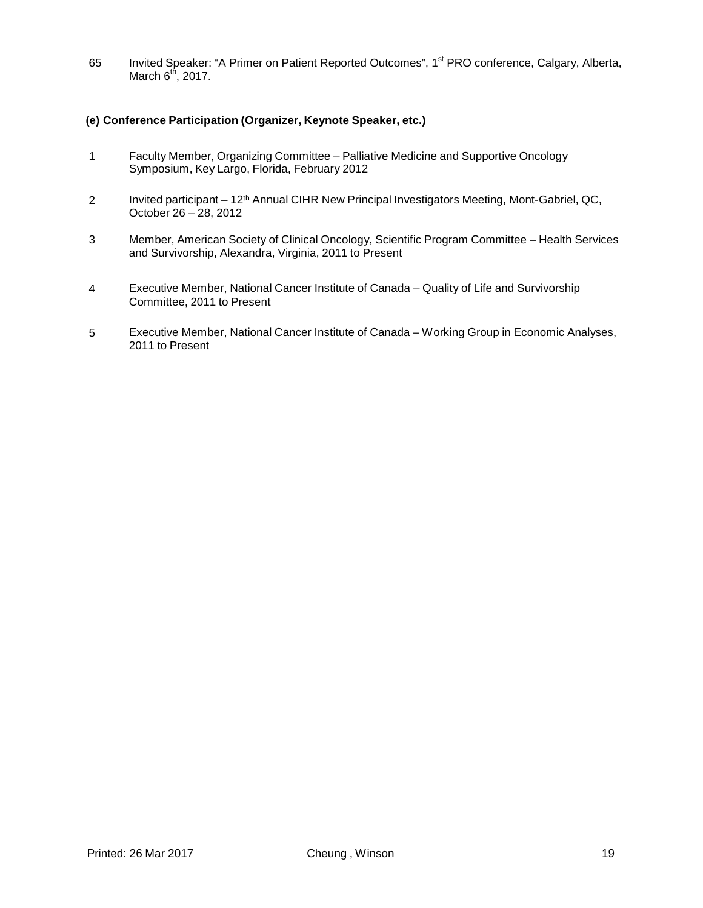65 Invited Speaker: "A Primer on Patient Reported Outcomes", 1<sup>st</sup> PRO conference, Calgary, Alberta, March  $6<sup>th</sup>$ , 2017.

## **(e) Conference Participation (Organizer, Keynote Speaker, etc.)**

- 1 Faculty Member, Organizing Committee Palliative Medicine and Supportive Oncology Symposium, Key Largo, Florida, February 2012
- 2 Invited participant 12<sup>th</sup> Annual CIHR New Principal Investigators Meeting, Mont-Gabriel, QC, October 26 – 28, 2012
- 3 Member, American Society of Clinical Oncology, Scientific Program Committee Health Services and Survivorship, Alexandra, Virginia, 2011 to Present
- 4 Executive Member, National Cancer Institute of Canada Quality of Life and Survivorship Committee, 2011 to Present
- 5 Executive Member, National Cancer Institute of Canada Working Group in Economic Analyses, 2011 to Present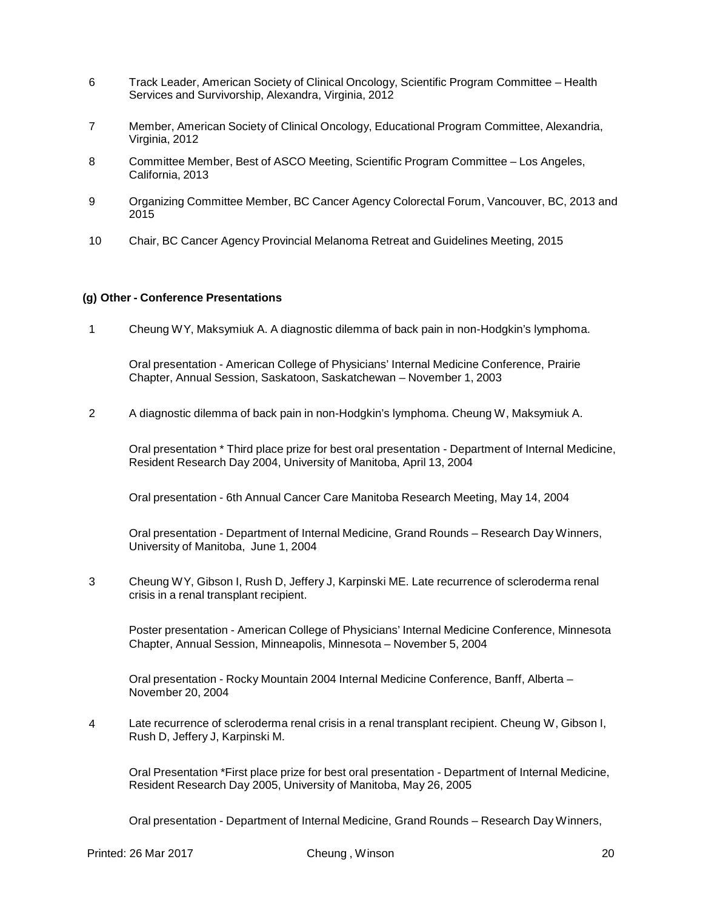- 6 Track Leader, American Society of Clinical Oncology, Scientific Program Committee Health Services and Survivorship, Alexandra, Virginia, 2012
- 7 Member, American Society of Clinical Oncology, Educational Program Committee, Alexandria, Virginia, 2012
- 8 Committee Member, Best of ASCO Meeting, Scientific Program Committee Los Angeles, California, 2013
- 9 Organizing Committee Member, BC Cancer Agency Colorectal Forum, Vancouver, BC, 2013 and 2015
- 10 Chair, BC Cancer Agency Provincial Melanoma Retreat and Guidelines Meeting, 2015

#### **(g) Other - Conference Presentations**

1 Cheung WY, Maksymiuk A. A diagnostic dilemma of back pain in non-Hodgkin's lymphoma.

Oral presentation - American College of Physicians' Internal Medicine Conference, Prairie Chapter, Annual Session, Saskatoon, Saskatchewan – November 1, 2003

2 A diagnostic dilemma of back pain in non-Hodgkin's lymphoma. Cheung W, Maksymiuk A.

Oral presentation \* Third place prize for best oral presentation - Department of Internal Medicine, Resident Research Day 2004, University of Manitoba, April 13, 2004

Oral presentation - 6th Annual Cancer Care Manitoba Research Meeting, May 14, 2004

Oral presentation - Department of Internal Medicine, Grand Rounds – Research Day Winners, University of Manitoba, June 1, 2004

3 Cheung WY, Gibson I, Rush D, Jeffery J, Karpinski ME. Late recurrence of scleroderma renal crisis in a renal transplant recipient.

Poster presentation - American College of Physicians' Internal Medicine Conference, Minnesota Chapter, Annual Session, Minneapolis, Minnesota – November 5, 2004

Oral presentation - Rocky Mountain 2004 Internal Medicine Conference, Banff, Alberta – November 20, 2004

4 Late recurrence of scleroderma renal crisis in a renal transplant recipient. Cheung W, Gibson I, Rush D, Jeffery J, Karpinski M.

Oral Presentation \*First place prize for best oral presentation - Department of Internal Medicine, Resident Research Day 2005, University of Manitoba, May 26, 2005

Oral presentation - Department of Internal Medicine, Grand Rounds – Research Day Winners,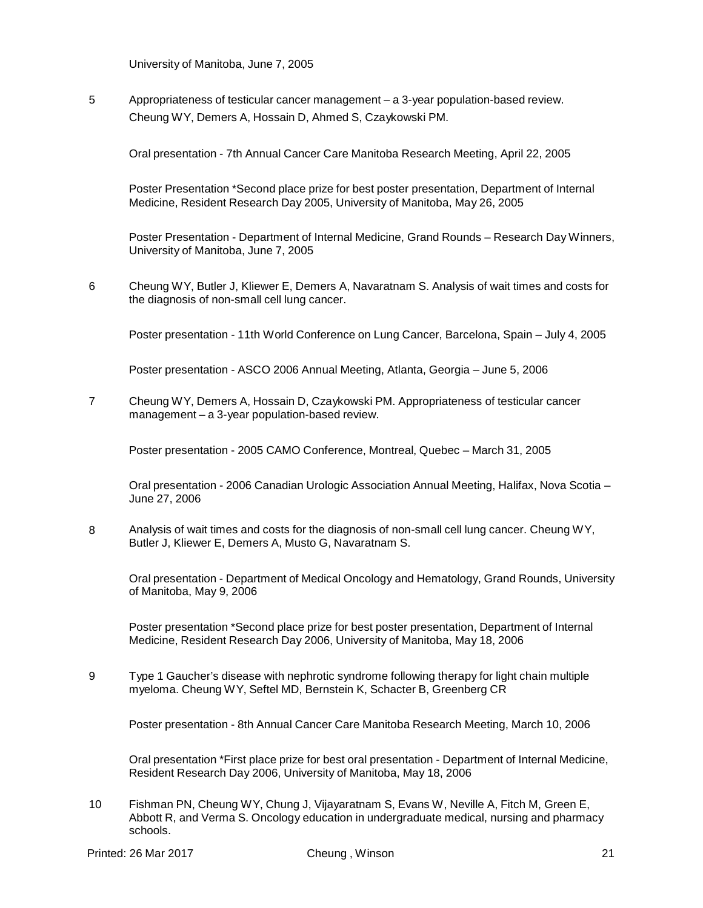University of Manitoba, June 7, 2005

5 Appropriateness of testicular cancer management – a 3-year population-based review. Cheung WY, Demers A, Hossain D, Ahmed S, Czaykowski PM.

Oral presentation - 7th Annual Cancer Care Manitoba Research Meeting, April 22, 2005

Poster Presentation \*Second place prize for best poster presentation, Department of Internal Medicine, Resident Research Day 2005, University of Manitoba, May 26, 2005

Poster Presentation - Department of Internal Medicine, Grand Rounds – Research Day Winners, University of Manitoba, June 7, 2005

6 Cheung WY, Butler J, Kliewer E, Demers A, Navaratnam S. Analysis of wait times and costs for the diagnosis of non-small cell lung cancer.

Poster presentation - 11th World Conference on Lung Cancer, Barcelona, Spain – July 4, 2005

Poster presentation - ASCO 2006 Annual Meeting, Atlanta, Georgia – June 5, 2006

7 Cheung WY, Demers A, Hossain D, Czaykowski PM. Appropriateness of testicular cancer management – a 3-year population-based review.

Poster presentation - 2005 CAMO Conference, Montreal, Quebec – March 31, 2005

Oral presentation - 2006 Canadian Urologic Association Annual Meeting, Halifax, Nova Scotia – June 27, 2006

8 Analysis of wait times and costs for the diagnosis of non-small cell lung cancer. Cheung WY, Butler J, Kliewer E, Demers A, Musto G, Navaratnam S.

Oral presentation - Department of Medical Oncology and Hematology, Grand Rounds, University of Manitoba, May 9, 2006

Poster presentation \*Second place prize for best poster presentation, Department of Internal Medicine, Resident Research Day 2006, University of Manitoba, May 18, 2006

9 Type 1 Gaucher's disease with nephrotic syndrome following therapy for light chain multiple myeloma. Cheung WY, Seftel MD, Bernstein K, Schacter B, Greenberg CR

Poster presentation - 8th Annual Cancer Care Manitoba Research Meeting, March 10, 2006

Oral presentation \*First place prize for best oral presentation - Department of Internal Medicine, Resident Research Day 2006, University of Manitoba, May 18, 2006

10 Fishman PN, Cheung WY, Chung J, Vijayaratnam S, Evans W, Neville A, Fitch M, Green E, Abbott R, and Verma S. Oncology education in undergraduate medical, nursing and pharmacy schools.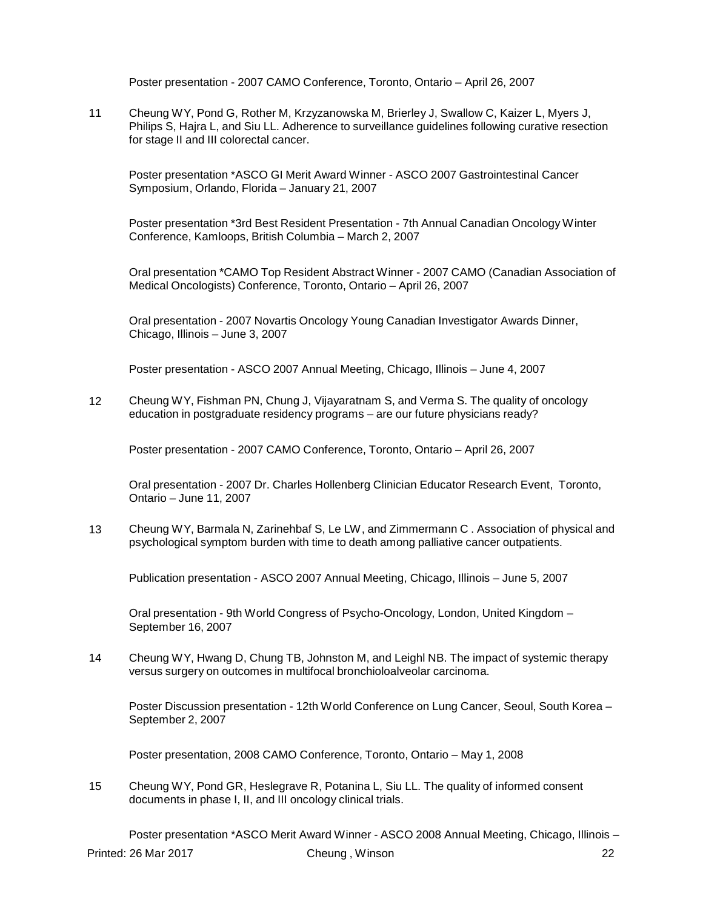Poster presentation - 2007 CAMO Conference, Toronto, Ontario – April 26, 2007

11 Cheung WY, Pond G, Rother M, Krzyzanowska M, Brierley J, Swallow C, Kaizer L, Myers J, Philips S, Hajra L, and Siu LL. Adherence to surveillance guidelines following curative resection for stage II and III colorectal cancer.

Poster presentation \*ASCO GI Merit Award Winner - ASCO 2007 Gastrointestinal Cancer Symposium, Orlando, Florida – January 21, 2007

Poster presentation \*3rd Best Resident Presentation - 7th Annual Canadian Oncology Winter Conference, Kamloops, British Columbia – March 2, 2007

Oral presentation \*CAMO Top Resident Abstract Winner - 2007 CAMO (Canadian Association of Medical Oncologists) Conference, Toronto, Ontario – April 26, 2007

Oral presentation - 2007 Novartis Oncology Young Canadian Investigator Awards Dinner, Chicago, Illinois – June 3, 2007

Poster presentation - ASCO 2007 Annual Meeting, Chicago, Illinois – June 4, 2007

12 Cheung WY, Fishman PN, Chung J, Vijayaratnam S, and Verma S. The quality of oncology education in postgraduate residency programs – are our future physicians ready?

Poster presentation - 2007 CAMO Conference, Toronto, Ontario – April 26, 2007

Oral presentation - 2007 Dr. Charles Hollenberg Clinician Educator Research Event, Toronto, Ontario – June 11, 2007

13 Cheung WY, Barmala N, Zarinehbaf S, Le LW, and Zimmermann C . Association of physical and psychological symptom burden with time to death among palliative cancer outpatients.

Publication presentation - ASCO 2007 Annual Meeting, Chicago, Illinois – June 5, 2007

Oral presentation - 9th World Congress of Psycho-Oncology, London, United Kingdom – September 16, 2007

14 Cheung WY, Hwang D, Chung TB, Johnston M, and Leighl NB. The impact of systemic therapy versus surgery on outcomes in multifocal bronchioloalveolar carcinoma.

Poster Discussion presentation - 12th World Conference on Lung Cancer, Seoul, South Korea – September 2, 2007

Poster presentation, 2008 CAMO Conference, Toronto, Ontario – May 1, 2008

15 Cheung WY, Pond GR, Heslegrave R, Potanina L, Siu LL. The quality of informed consent documents in phase I, II, and III oncology clinical trials.

Poster presentation \*ASCO Merit Award Winner - ASCO 2008 Annual Meeting, Chicago, Illinois – Printed: 26 Mar 2017 Cheung , Winson 22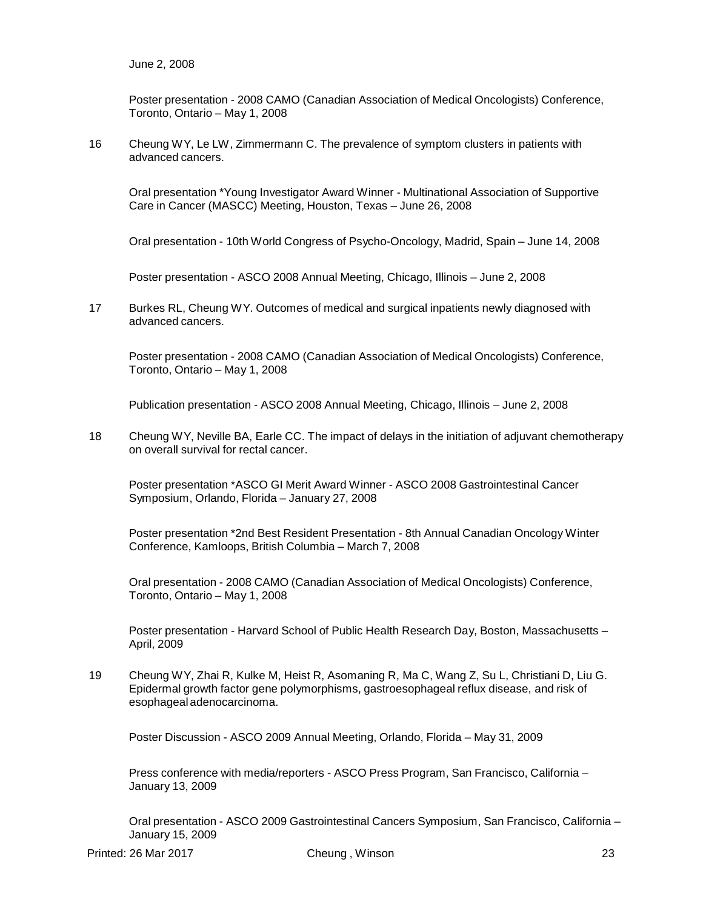Poster presentation - 2008 CAMO (Canadian Association of Medical Oncologists) Conference, Toronto, Ontario – May 1, 2008

16 Cheung WY, Le LW, Zimmermann C. The prevalence of symptom clusters in patients with advanced cancers.

Oral presentation \*Young Investigator Award Winner - Multinational Association of Supportive Care in Cancer (MASCC) Meeting, Houston, Texas – June 26, 2008

Oral presentation - 10th World Congress of Psycho-Oncology, Madrid, Spain – June 14, 2008

Poster presentation - ASCO 2008 Annual Meeting, Chicago, Illinois – June 2, 2008

17 Burkes RL, Cheung WY. Outcomes of medical and surgical inpatients newly diagnosed with advanced cancers.

Poster presentation - 2008 CAMO (Canadian Association of Medical Oncologists) Conference, Toronto, Ontario – May 1, 2008

Publication presentation - ASCO 2008 Annual Meeting, Chicago, Illinois – June 2, 2008

18 Cheung WY, Neville BA, Earle CC. The impact of delays in the initiation of adjuvant chemotherapy on overall survival for rectal cancer.

Poster presentation \*ASCO GI Merit Award Winner - ASCO 2008 Gastrointestinal Cancer Symposium, Orlando, Florida – January 27, 2008

Poster presentation \*2nd Best Resident Presentation - 8th Annual Canadian Oncology Winter Conference, Kamloops, British Columbia – March 7, 2008

Oral presentation - 2008 CAMO (Canadian Association of Medical Oncologists) Conference, Toronto, Ontario – May 1, 2008

Poster presentation - Harvard School of Public Health Research Day, Boston, Massachusetts – April, 2009

19 Cheung WY, Zhai R, Kulke M, Heist R, Asomaning R, Ma C, Wang Z, Su L, Christiani D, Liu G. Epidermal growth factor gene polymorphisms, gastroesophageal reflux disease, and risk of esophageal adenocarcinoma.

Poster Discussion - ASCO 2009 Annual Meeting, Orlando, Florida – May 31, 2009

Press conference with media/reporters - ASCO Press Program, San Francisco, California – January 13, 2009

Oral presentation - ASCO 2009 Gastrointestinal Cancers Symposium, San Francisco, California – January 15, 2009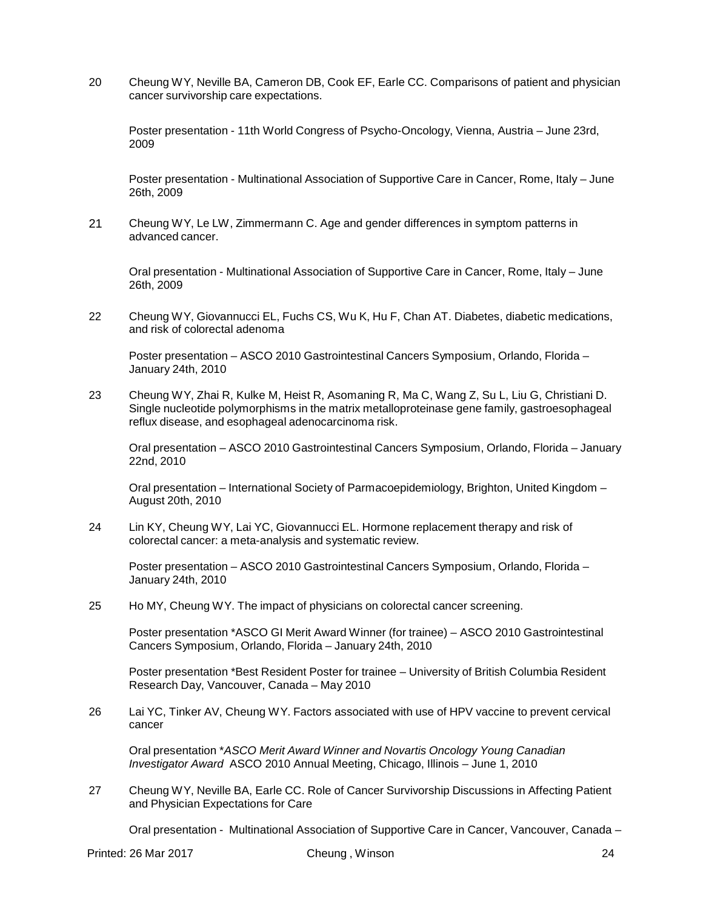20 Cheung WY, Neville BA, Cameron DB, Cook EF, Earle CC. Comparisons of patient and physician cancer survivorship care expectations.

Poster presentation - 11th World Congress of Psycho-Oncology, Vienna, Austria – June 23rd, 2009

Poster presentation - Multinational Association of Supportive Care in Cancer, Rome, Italy – June 26th, 2009

21 Cheung WY, Le LW, Zimmermann C. Age and gender differences in symptom patterns in advanced cancer.

Oral presentation - Multinational Association of Supportive Care in Cancer, Rome, Italy – June 26th, 2009

22 Cheung WY, Giovannucci EL, Fuchs CS, Wu K, Hu F, Chan AT. Diabetes, diabetic medications, and risk of colorectal adenoma

Poster presentation – ASCO 2010 Gastrointestinal Cancers Symposium, Orlando, Florida – January 24th, 2010

23 Cheung WY, Zhai R, Kulke M, Heist R, Asomaning R, Ma C, Wang Z, Su L, Liu G, Christiani D. Single nucleotide polymorphisms in the matrix metalloproteinase gene family, gastroesophageal reflux disease, and esophageal adenocarcinoma risk.

Oral presentation – ASCO 2010 Gastrointestinal Cancers Symposium, Orlando, Florida – January 22nd, 2010

Oral presentation – International Society of Parmacoepidemiology, Brighton, United Kingdom – August 20th, 2010

24 Lin KY, Cheung WY, Lai YC, Giovannucci EL. Hormone replacement therapy and risk of colorectal cancer: a meta-analysis and systematic review.

Poster presentation – ASCO 2010 Gastrointestinal Cancers Symposium, Orlando, Florida – January 24th, 2010

25 Ho MY, Cheung WY. The impact of physicians on colorectal cancer screening.

Poster presentation \*ASCO GI Merit Award Winner (for trainee) – ASCO 2010 Gastrointestinal Cancers Symposium, Orlando, Florida – January 24th, 2010

Poster presentation \*Best Resident Poster for trainee – University of British Columbia Resident Research Day, Vancouver, Canada – May 2010

26 Lai YC, Tinker AV, Cheung WY. Factors associated with use of HPV vaccine to prevent cervical cancer

Oral presentation \**ASCO Merit Award Winner and Novartis Oncology Young Canadian Investigator Award* ASCO 2010 Annual Meeting, Chicago, Illinois – June 1, 2010

27 Cheung WY, Neville BA, Earle CC. Role of Cancer Survivorship Discussions in Affecting Patient and Physician Expectations for Care

Oral presentation - Multinational Association of Supportive Care in Cancer, Vancouver, Canada –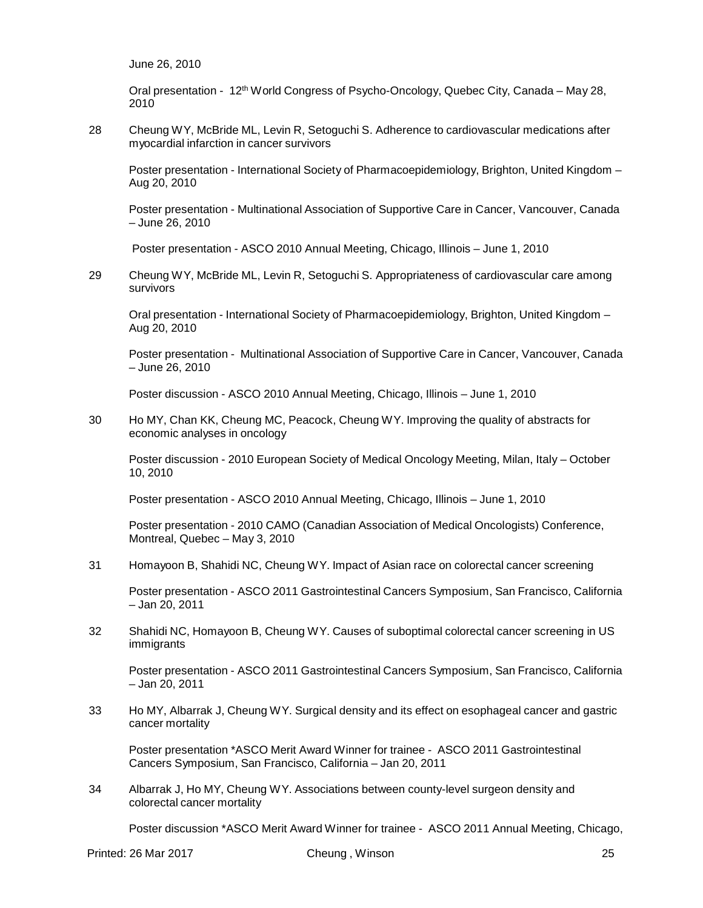June 26, 2010

Oral presentation - 12th World Congress of Psycho-Oncology, Quebec City, Canada – May 28, 2010

28 Cheung WY, McBride ML, Levin R, Setoguchi S. Adherence to cardiovascular medications after myocardial infarction in cancer survivors

Poster presentation - International Society of Pharmacoepidemiology, Brighton, United Kingdom – Aug 20, 2010

Poster presentation - Multinational Association of Supportive Care in Cancer, Vancouver, Canada – June 26, 2010

Poster presentation - ASCO 2010 Annual Meeting, Chicago, Illinois – June 1, 2010

29 Cheung WY, McBride ML, Levin R, Setoguchi S. Appropriateness of cardiovascular care among survivors

Oral presentation - International Society of Pharmacoepidemiology, Brighton, United Kingdom – Aug 20, 2010

Poster presentation - Multinational Association of Supportive Care in Cancer, Vancouver, Canada – June 26, 2010

Poster discussion - ASCO 2010 Annual Meeting, Chicago, Illinois – June 1, 2010

30 Ho MY, Chan KK, Cheung MC, Peacock, Cheung WY. Improving the quality of abstracts for economic analyses in oncology

Poster discussion - 2010 European Society of Medical Oncology Meeting, Milan, Italy – October 10, 2010

Poster presentation - ASCO 2010 Annual Meeting, Chicago, Illinois – June 1, 2010

Poster presentation - 2010 CAMO (Canadian Association of Medical Oncologists) Conference, Montreal, Quebec – May 3, 2010

31 Homayoon B, Shahidi NC, Cheung WY. Impact of Asian race on colorectal cancer screening

Poster presentation - ASCO 2011 Gastrointestinal Cancers Symposium, San Francisco, California – Jan 20, 2011

32 Shahidi NC, Homayoon B, Cheung WY. Causes of suboptimal colorectal cancer screening in US immigrants

Poster presentation - ASCO 2011 Gastrointestinal Cancers Symposium, San Francisco, California – Jan 20, 2011

33 Ho MY, Albarrak J, Cheung WY. Surgical density and its effect on esophageal cancer and gastric cancer mortality

Poster presentation \*ASCO Merit Award Winner for trainee - ASCO 2011 Gastrointestinal Cancers Symposium, San Francisco, California – Jan 20, 2011

34 Albarrak J, Ho MY, Cheung WY. Associations between county-level surgeon density and colorectal cancer mortality

Poster discussion \*ASCO Merit Award Winner for trainee - ASCO 2011 Annual Meeting, Chicago,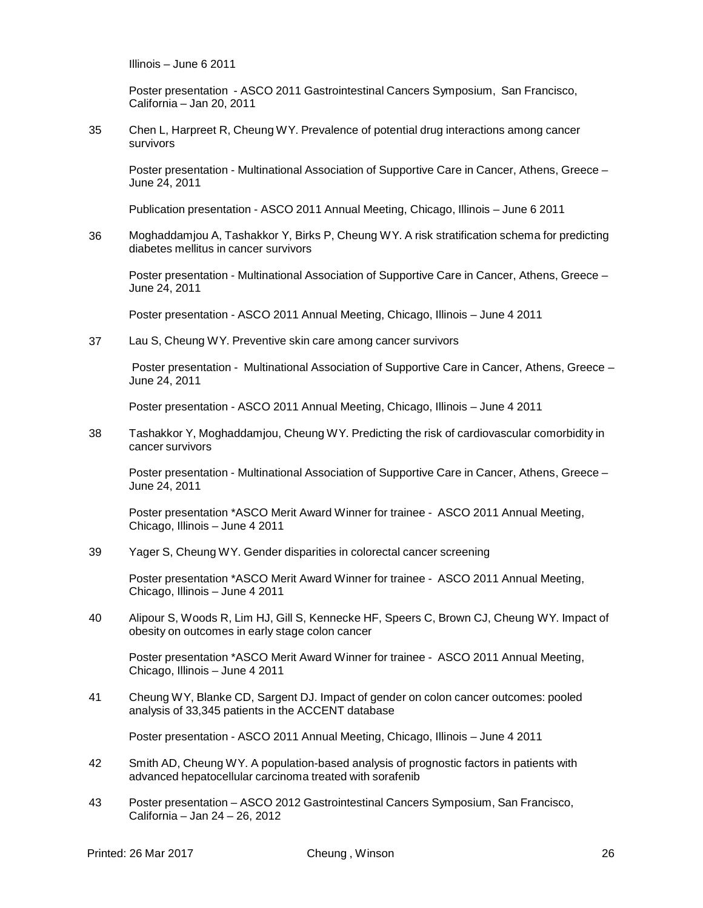Illinois – June 6 2011

Poster presentation - ASCO 2011 Gastrointestinal Cancers Symposium, San Francisco, California – Jan 20, 2011

35 Chen L, Harpreet R, Cheung WY. Prevalence of potential drug interactions among cancer survivors

Poster presentation - Multinational Association of Supportive Care in Cancer, Athens, Greece – June 24, 2011

Publication presentation - ASCO 2011 Annual Meeting, Chicago, Illinois – June 6 2011

36 Moghaddamjou A, Tashakkor Y, Birks P, Cheung WY. A risk stratification schema for predicting diabetes mellitus in cancer survivors

Poster presentation - Multinational Association of Supportive Care in Cancer, Athens, Greece – June 24, 2011

Poster presentation - ASCO 2011 Annual Meeting, Chicago, Illinois – June 4 2011

37 Lau S, Cheung WY. Preventive skin care among cancer survivors

Poster presentation - Multinational Association of Supportive Care in Cancer, Athens, Greece – June 24, 2011

Poster presentation - ASCO 2011 Annual Meeting, Chicago, Illinois – June 4 2011

38 Tashakkor Y, Moghaddamjou, Cheung WY. Predicting the risk of cardiovascular comorbidity in cancer survivors

Poster presentation - Multinational Association of Supportive Care in Cancer, Athens, Greece – June 24, 2011

Poster presentation \*ASCO Merit Award Winner for trainee - ASCO 2011 Annual Meeting, Chicago, Illinois – June 4 2011

39 Yager S, Cheung WY. Gender disparities in colorectal cancer screening

Poster presentation \*ASCO Merit Award Winner for trainee - ASCO 2011 Annual Meeting, Chicago, Illinois – June 4 2011

40 Alipour S, Woods R, Lim HJ, Gill S, Kennecke HF, Speers C, Brown CJ, Cheung WY. Impact of obesity on outcomes in early stage colon cancer

Poster presentation \*ASCO Merit Award Winner for trainee - ASCO 2011 Annual Meeting, Chicago, Illinois – June 4 2011

41 Cheung WY, Blanke CD, Sargent DJ. Impact of gender on colon cancer outcomes: pooled analysis of 33,345 patients in the ACCENT database

Poster presentation - ASCO 2011 Annual Meeting, Chicago, Illinois – June 4 2011

- 42 Smith AD, Cheung WY. A population-based analysis of prognostic factors in patients with advanced hepatocellular carcinoma treated with sorafenib
- 43 Poster presentation ASCO 2012 Gastrointestinal Cancers Symposium, San Francisco, California – Jan 24 – 26, 2012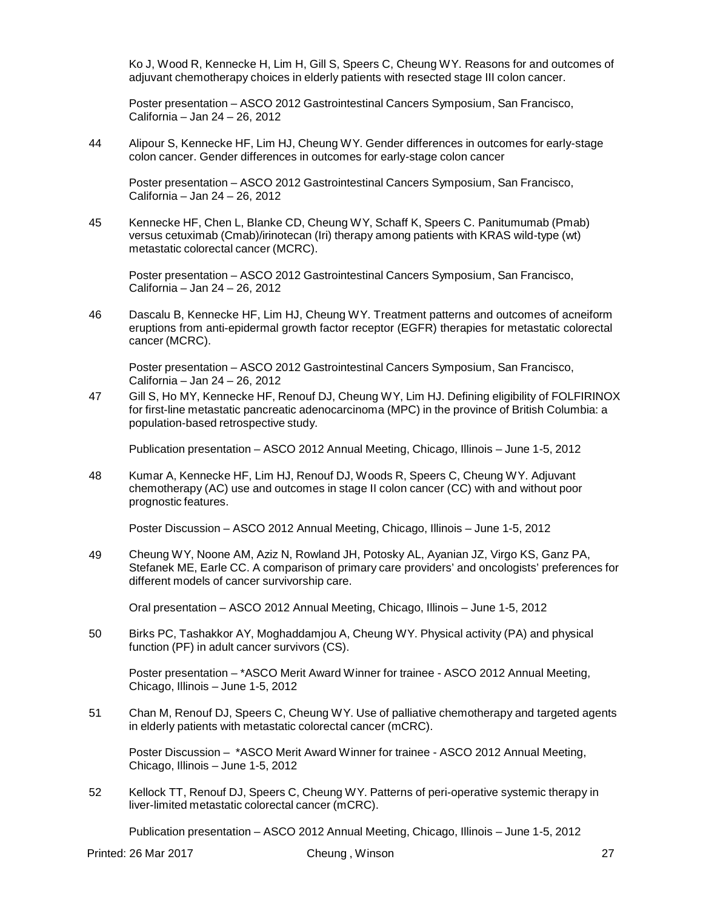Ko J, Wood R, Kennecke H, Lim H, Gill S, Speers C, Cheung WY. Reasons for and outcomes of adjuvant chemotherapy choices in elderly patients with resected stage III colon cancer.

Poster presentation – ASCO 2012 Gastrointestinal Cancers Symposium, San Francisco, California – Jan 24 – 26, 2012

44 Alipour S, Kennecke HF, Lim HJ, Cheung WY. Gender differences in outcomes for early-stage colon cancer. Gender differences in outcomes for early-stage colon cancer

Poster presentation – ASCO 2012 Gastrointestinal Cancers Symposium, San Francisco, California – Jan 24 – 26, 2012

45 Kennecke HF, Chen L, Blanke CD, Cheung WY, Schaff K, Speers C. Panitumumab (Pmab) versus cetuximab (Cmab)/irinotecan (Iri) therapy among patients with KRAS wild-type (wt) metastatic colorectal cancer (MCRC).

Poster presentation – ASCO 2012 Gastrointestinal Cancers Symposium, San Francisco, California – Jan 24 – 26, 2012

46 Dascalu B, Kennecke HF, Lim HJ, Cheung WY. Treatment patterns and outcomes of acneiform eruptions from anti-epidermal growth factor receptor (EGFR) therapies for metastatic colorectal cancer (MCRC).

Poster presentation – ASCO 2012 Gastrointestinal Cancers Symposium, San Francisco, California – Jan 24 – 26, 2012

47 Gill S, Ho MY, Kennecke HF, Renouf DJ, Cheung WY, Lim HJ. Defining eligibility of FOLFIRINOX for first-line metastatic pancreatic adenocarcinoma (MPC) in the province of British Columbia: a population-based retrospective study.

Publication presentation – ASCO 2012 Annual Meeting, Chicago, Illinois – June 1-5, 2012

48 Kumar A, Kennecke HF, Lim HJ, Renouf DJ, Woods R, Speers C, Cheung WY. Adjuvant chemotherapy (AC) use and outcomes in stage II colon cancer (CC) with and without poor prognostic features.

Poster Discussion – ASCO 2012 Annual Meeting, Chicago, Illinois – June 1-5, 2012

49 Cheung WY, Noone AM, Aziz N, Rowland JH, Potosky AL, Ayanian JZ, Virgo KS, Ganz PA, Stefanek ME, Earle CC. A comparison of primary care providers' and oncologists' preferences for different models of cancer survivorship care.

Oral presentation – ASCO 2012 Annual Meeting, Chicago, Illinois – June 1-5, 2012

50 Birks PC, Tashakkor AY, Moghaddamjou A, Cheung WY. Physical activity (PA) and physical function (PF) in adult cancer survivors (CS).

Poster presentation – \*ASCO Merit Award Winner for trainee - ASCO 2012 Annual Meeting, Chicago, Illinois – June 1-5, 2012

51 Chan M, Renouf DJ, Speers C, Cheung WY. Use of palliative chemotherapy and targeted agents in elderly patients with metastatic colorectal cancer (mCRC).

Poster Discussion – \*ASCO Merit Award Winner for trainee - ASCO 2012 Annual Meeting, Chicago, Illinois – June 1-5, 2012

52 Kellock TT, Renouf DJ, Speers C, Cheung WY. Patterns of peri-operative systemic therapy in liver-limited metastatic colorectal cancer (mCRC).

Publication presentation – ASCO 2012 Annual Meeting, Chicago, Illinois – June 1-5, 2012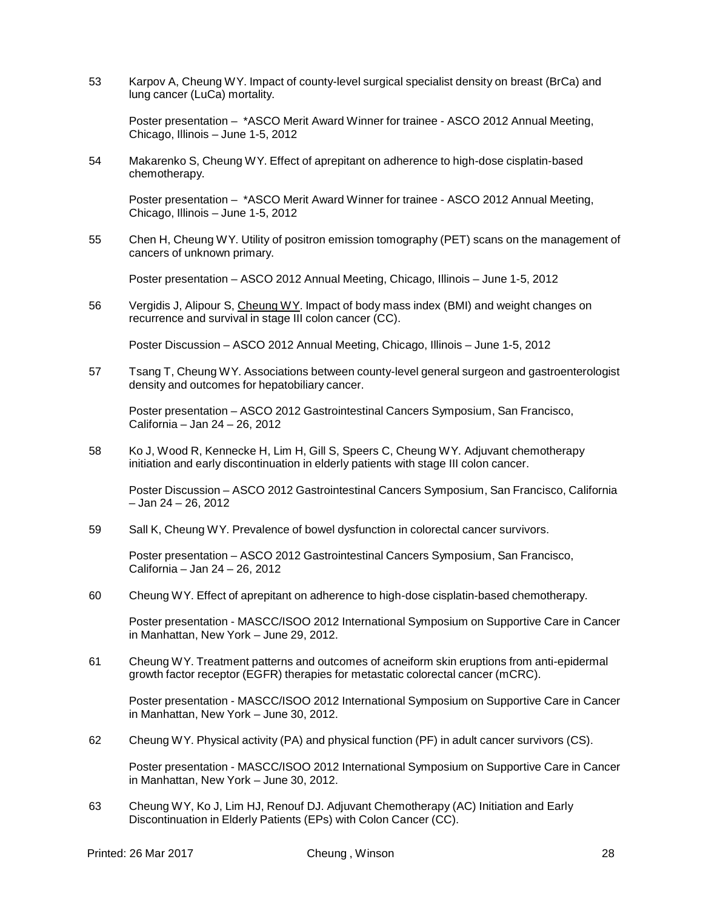53 Karpov A, Cheung WY. Impact of county-level surgical specialist density on breast (BrCa) and lung cancer (LuCa) mortality.

Poster presentation – \*ASCO Merit Award Winner for trainee - ASCO 2012 Annual Meeting, Chicago, Illinois – June 1-5, 2012

54 Makarenko S, Cheung WY. Effect of aprepitant on adherence to high-dose cisplatin-based chemotherapy.

Poster presentation – \*ASCO Merit Award Winner for trainee - ASCO 2012 Annual Meeting, Chicago, Illinois – June 1-5, 2012

55 Chen H, Cheung WY. Utility of positron emission tomography (PET) scans on the management of cancers of unknown primary.

Poster presentation – ASCO 2012 Annual Meeting, Chicago, Illinois – June 1-5, 2012

56 Vergidis J, Alipour S, Cheung WY. Impact of body mass index (BMI) and weight changes on recurrence and survival in stage III colon cancer (CC).

Poster Discussion – ASCO 2012 Annual Meeting, Chicago, Illinois – June 1-5, 2012

57 Tsang T, Cheung WY. Associations between county-level general surgeon and gastroenterologist density and outcomes for hepatobiliary cancer.

Poster presentation – ASCO 2012 Gastrointestinal Cancers Symposium, San Francisco, California – Jan 24 – 26, 2012

58 Ko J, Wood R, Kennecke H, Lim H, Gill S, Speers C, Cheung WY. Adjuvant chemotherapy initiation and early discontinuation in elderly patients with stage III colon cancer.

Poster Discussion – ASCO 2012 Gastrointestinal Cancers Symposium, San Francisco, California – Jan 24 – 26, 2012

59 Sall K, Cheung WY. Prevalence of bowel dysfunction in colorectal cancer survivors.

Poster presentation – ASCO 2012 Gastrointestinal Cancers Symposium, San Francisco, California – Jan 24 – 26, 2012

60 Cheung WY. Effect of aprepitant on adherence to high-dose cisplatin-based chemotherapy.

Poster presentation - MASCC/ISOO 2012 International Symposium on Supportive Care in Cancer in Manhattan, New York – June 29, 2012.

61 Cheung WY. Treatment patterns and outcomes of acneiform skin eruptions from anti-epidermal growth factor receptor (EGFR) therapies for metastatic colorectal cancer (mCRC).

Poster presentation - MASCC/ISOO 2012 International Symposium on Supportive Care in Cancer in Manhattan, New York – June 30, 2012.

62 Cheung WY. Physical activity (PA) and physical function (PF) in adult cancer survivors (CS).

Poster presentation - MASCC/ISOO 2012 International Symposium on Supportive Care in Cancer in Manhattan, New York – June 30, 2012.

63 Cheung WY, Ko J, Lim HJ, Renouf DJ. Adjuvant Chemotherapy (AC) Initiation and Early Discontinuation in Elderly Patients (EPs) with Colon Cancer (CC).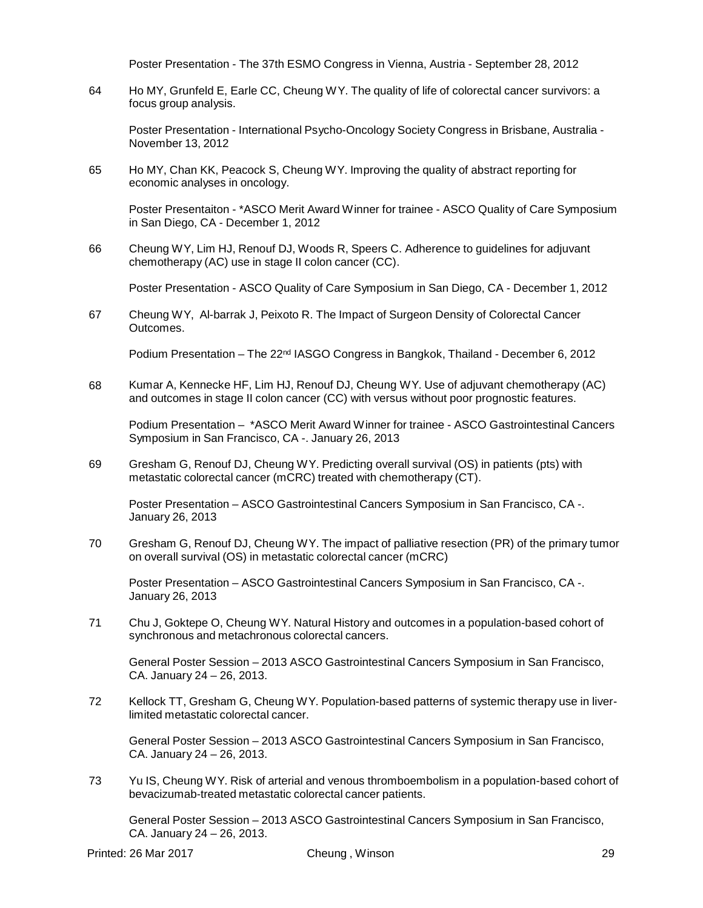Poster Presentation - The 37th ESMO Congress in Vienna, Austria - September 28, 2012

64 Ho MY, Grunfeld E, Earle CC, Cheung WY. The quality of life of colorectal cancer survivors: a focus group analysis.

Poster Presentation - International Psycho-Oncology Society Congress in Brisbane, Australia - November 13, 2012

65 Ho MY, Chan KK, Peacock S, Cheung WY. Improving the quality of abstract reporting for economic analyses in oncology.

Poster Presentaiton - \*ASCO Merit Award Winner for trainee - ASCO Quality of Care Symposium in San Diego, CA - December 1, 2012

66 Cheung WY, Lim HJ, Renouf DJ, Woods R, Speers C. Adherence to guidelines for adjuvant chemotherapy (AC) use in stage II colon cancer (CC).

Poster Presentation - ASCO Quality of Care Symposium in San Diego, CA - December 1, 2012

67 Cheung WY, Al-barrak J, Peixoto R. The Impact of Surgeon Density of Colorectal Cancer Outcomes.

Podium Presentation – The 22<sup>nd</sup> IASGO Congress in Bangkok, Thailand - December 6, 2012

68 Kumar A, Kennecke HF, Lim HJ, Renouf DJ, Cheung WY. Use of adjuvant chemotherapy (AC) and outcomes in stage II colon cancer (CC) with versus without poor prognostic features.

Podium Presentation – \*ASCO Merit Award Winner for trainee - ASCO Gastrointestinal Cancers Symposium in San Francisco, CA -. January 26, 2013

69 Gresham G, Renouf DJ, Cheung WY. Predicting overall survival (OS) in patients (pts) with metastatic colorectal cancer (mCRC) treated with chemotherapy (CT).

Poster Presentation – ASCO Gastrointestinal Cancers Symposium in San Francisco, CA -. January 26, 2013

70 Gresham G, Renouf DJ, Cheung WY. The impact of palliative resection (PR) of the primary tumor on overall survival (OS) in metastatic colorectal cancer (mCRC)

Poster Presentation – ASCO Gastrointestinal Cancers Symposium in San Francisco, CA -. January 26, 2013

71 Chu J, Goktepe O, Cheung WY. Natural History and outcomes in a population-based cohort of synchronous and metachronous colorectal cancers.

General Poster Session – 2013 ASCO Gastrointestinal Cancers Symposium in San Francisco, CA. January 24 – 26, 2013.

72 Kellock TT, Gresham G, Cheung WY. Population-based patterns of systemic therapy use in liverlimited metastatic colorectal cancer.

General Poster Session – 2013 ASCO Gastrointestinal Cancers Symposium in San Francisco, CA. January 24 – 26, 2013.

73 Yu IS, Cheung WY. Risk of arterial and venous thromboembolism in a population-based cohort of bevacizumab-treated metastatic colorectal cancer patients.

General Poster Session – 2013 ASCO Gastrointestinal Cancers Symposium in San Francisco, CA. January 24 – 26, 2013.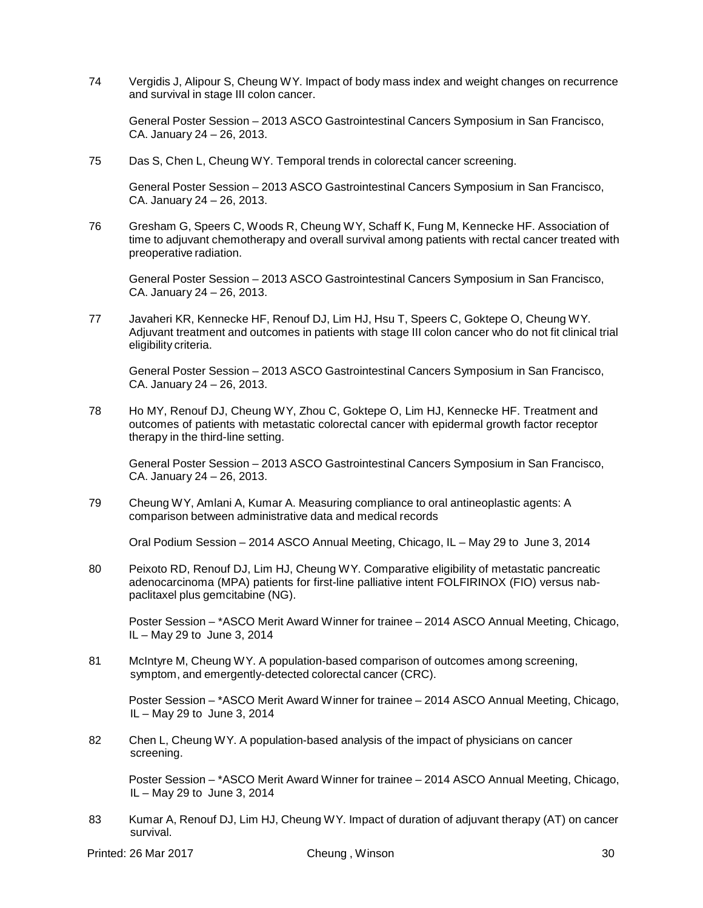74 Vergidis J, Alipour S, Cheung WY. Impact of body mass index and weight changes on recurrence and survival in stage III colon cancer.

General Poster Session – 2013 ASCO Gastrointestinal Cancers Symposium in San Francisco, CA. January 24 – 26, 2013.

75 Das S, Chen L, Cheung WY. Temporal trends in colorectal cancer screening.

General Poster Session – 2013 ASCO Gastrointestinal Cancers Symposium in San Francisco, CA. January 24 – 26, 2013.

76 Gresham G, Speers C, Woods R, Cheung WY, Schaff K, Fung M, Kennecke HF. Association of time to adjuvant chemotherapy and overall survival among patients with rectal cancer treated with preoperative radiation.

General Poster Session – 2013 ASCO Gastrointestinal Cancers Symposium in San Francisco, CA. January 24 – 26, 2013.

77 Javaheri KR, Kennecke HF, Renouf DJ, Lim HJ, Hsu T, Speers C, Goktepe O, Cheung WY. Adjuvant treatment and outcomes in patients with stage III colon cancer who do not fit clinical trial eligibility criteria.

General Poster Session – 2013 ASCO Gastrointestinal Cancers Symposium in San Francisco, CA. January 24 – 26, 2013.

78 Ho MY, Renouf DJ, Cheung WY, Zhou C, Goktepe O, Lim HJ, Kennecke HF. Treatment and outcomes of patients with metastatic colorectal cancer with epidermal growth factor receptor therapy in the third-line setting.

General Poster Session – 2013 ASCO Gastrointestinal Cancers Symposium in San Francisco, CA. January 24 – 26, 2013.

79 Cheung WY, Amlani A, Kumar A. Measuring compliance to oral antineoplastic agents: A comparison between administrative data and medical records

Oral Podium Session – 2014 ASCO Annual Meeting, Chicago, IL – May 29 to June 3, 2014

80 Peixoto RD, Renouf DJ, Lim HJ, Cheung WY. Comparative eligibility of metastatic pancreatic adenocarcinoma (MPA) patients for first-line palliative intent FOLFIRINOX (FIO) versus nabpaclitaxel plus gemcitabine (NG).

Poster Session – \*ASCO Merit Award Winner for trainee – 2014 ASCO Annual Meeting, Chicago, IL – May 29 to June 3, 2014

81 McIntyre M, Cheung WY. A population-based comparison of outcomes among screening, symptom, and emergently-detected colorectal cancer (CRC).

Poster Session – \*ASCO Merit Award Winner for trainee – 2014 ASCO Annual Meeting, Chicago, IL – May 29 to June 3, 2014

82 Chen L, Cheung WY. A population-based analysis of the impact of physicians on cancer screening.

Poster Session – \*ASCO Merit Award Winner for trainee – 2014 ASCO Annual Meeting, Chicago, IL – May 29 to June 3, 2014

83 Kumar A, Renouf DJ, Lim HJ, Cheung WY. Impact of duration of adjuvant therapy (AT) on cancer survival.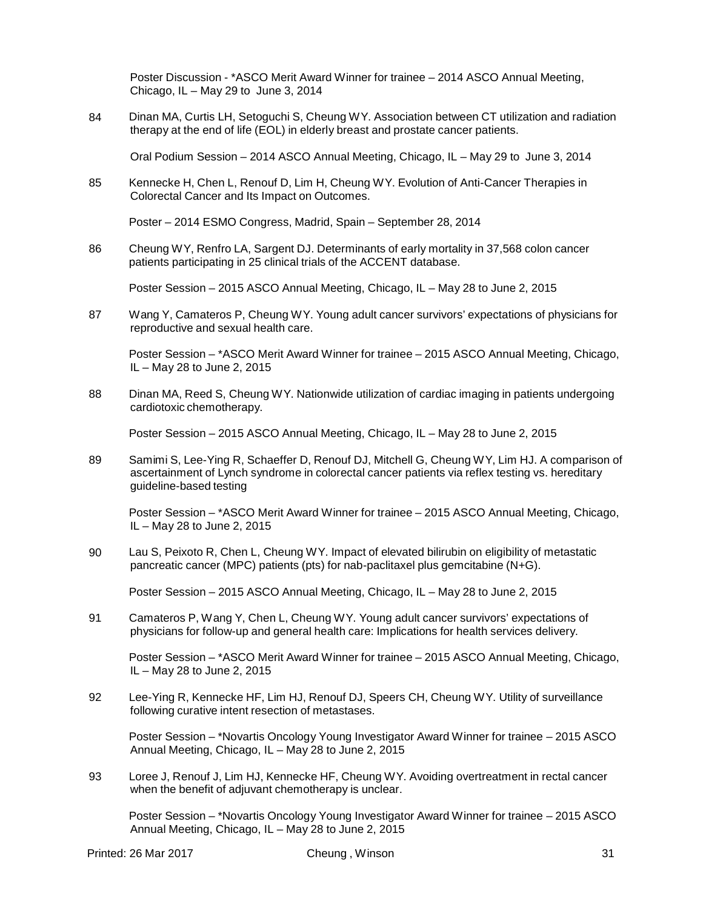Poster Discussion - \*ASCO Merit Award Winner for trainee – 2014 ASCO Annual Meeting, Chicago, IL – May 29 to June 3, 2014

84 Dinan MA, Curtis LH, Setoguchi S, Cheung WY. Association between CT utilization and radiation therapy at the end of life (EOL) in elderly breast and prostate cancer patients.

Oral Podium Session – 2014 ASCO Annual Meeting, Chicago, IL – May 29 to June 3, 2014

85 Kennecke H, Chen L, Renouf D, Lim H, Cheung WY. Evolution of Anti-Cancer Therapies in Colorectal Cancer and Its Impact on Outcomes.

Poster – 2014 ESMO Congress, Madrid, Spain – September 28, 2014

86 Cheung WY, Renfro LA, Sargent DJ. Determinants of early mortality in 37,568 colon cancer patients participating in 25 clinical trials of the ACCENT database.

Poster Session – 2015 ASCO Annual Meeting, Chicago, IL – May 28 to June 2, 2015

87 Wang Y, Camateros P, Cheung WY. Young adult cancer survivors' expectations of physicians for reproductive and sexual health care.

Poster Session – \*ASCO Merit Award Winner for trainee – 2015 ASCO Annual Meeting, Chicago, IL – May 28 to June 2, 2015

88 Dinan MA, Reed S, Cheung WY. Nationwide utilization of cardiac imaging in patients undergoing cardiotoxic chemotherapy.

Poster Session – 2015 ASCO Annual Meeting, Chicago, IL – May 28 to June 2, 2015

89 Samimi S, Lee-Ying R, Schaeffer D, Renouf DJ, Mitchell G, Cheung WY, Lim HJ. A comparison of ascertainment of Lynch syndrome in colorectal cancer patients via reflex testing vs. hereditary guideline-based testing

Poster Session – \*ASCO Merit Award Winner for trainee – 2015 ASCO Annual Meeting, Chicago, IL – May 28 to June 2, 2015

90 Lau S, Peixoto R, Chen L, Cheung WY. Impact of elevated bilirubin on eligibility of metastatic pancreatic cancer (MPC) patients (pts) for nab-paclitaxel plus gemcitabine (N+G).

Poster Session – 2015 ASCO Annual Meeting, Chicago, IL – May 28 to June 2, 2015

91 Camateros P, Wang Y, Chen L, Cheung WY. Young adult cancer survivors' expectations of physicians for follow-up and general health care: Implications for health services delivery.

Poster Session – \*ASCO Merit Award Winner for trainee – 2015 ASCO Annual Meeting, Chicago, IL – May 28 to June 2, 2015

92 Lee-Ying R, Kennecke HF, Lim HJ, Renouf DJ, Speers CH, Cheung WY. Utility of surveillance following curative intent resection of metastases.

Poster Session – \*Novartis Oncology Young Investigator Award Winner for trainee – 2015 ASCO Annual Meeting, Chicago, IL – May 28 to June 2, 2015

93 Loree J, Renouf J, Lim HJ, Kennecke HF, Cheung WY. Avoiding overtreatment in rectal cancer when the benefit of adjuvant chemotherapy is unclear.

Poster Session – \*Novartis Oncology Young Investigator Award Winner for trainee – 2015 ASCO Annual Meeting, Chicago, IL – May 28 to June 2, 2015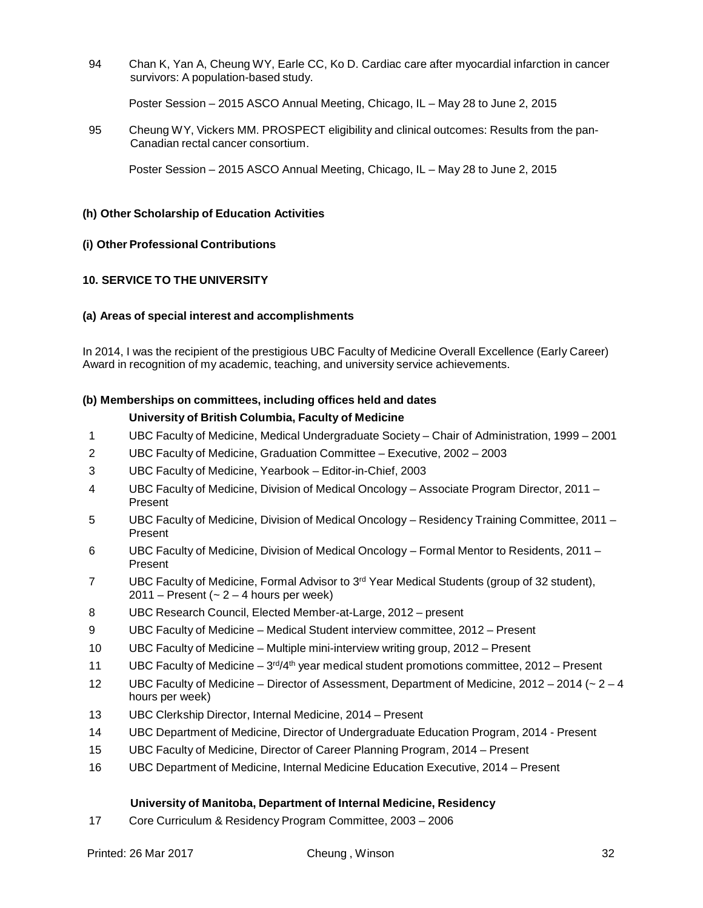94 Chan K, Yan A, Cheung WY, Earle CC, Ko D. Cardiac care after myocardial infarction in cancer survivors: A population-based study.

Poster Session – 2015 ASCO Annual Meeting, Chicago, IL – May 28 to June 2, 2015

95 Cheung WY, Vickers MM. PROSPECT eligibility and clinical outcomes: Results from the pan-Canadian rectal cancer consortium.

Poster Session – 2015 ASCO Annual Meeting, Chicago, IL – May 28 to June 2, 2015

### **(h) Other Scholarship of Education Activities**

### **(i) Other Professional Contributions**

# **10. SERVICE TO THE UNIVERSITY**

### **(a) Areas of special interest and accomplishments**

In 2014, I was the recipient of the prestigious UBC Faculty of Medicine Overall Excellence (Early Career) Award in recognition of my academic, teaching, and university service achievements.

# **(b) Memberships on committees, including offices held and dates University of British Columbia, Faculty of Medicine**

- 1 UBC Faculty of Medicine, Medical Undergraduate Society Chair of Administration, 1999 2001
- 2 UBC Faculty of Medicine, Graduation Committee Executive, 2002 2003
- 3 UBC Faculty of Medicine, Yearbook Editor-in-Chief, 2003
- 4 UBC Faculty of Medicine, Division of Medical Oncology Associate Program Director, 2011 Present
- 5 UBC Faculty of Medicine, Division of Medical Oncology Residency Training Committee, 2011 Present
- 6 UBC Faculty of Medicine, Division of Medical Oncology Formal Mentor to Residents, 2011 Present
- 7 UBC Faculty of Medicine, Formal Advisor to 3<sup>rd</sup> Year Medical Students (group of 32 student),  $2011$  – Present ( $\sim$  2 – 4 hours per week)
- 8 UBC Research Council, Elected Member-at-Large, 2012 present
- 9 UBC Faculty of Medicine Medical Student interview committee, 2012 Present
- 10 UBC Faculty of Medicine Multiple mini-interview writing group, 2012 Present
- 11 UBC Faculty of Medicine  $-3^{rd/4th}$  year medical student promotions committee, 2012 Present
- 12 UBC Faculty of Medicine Director of Assessment, Department of Medicine, 2012 2014 (~ 2 4 hours per week)
- 13 UBC Clerkship Director, Internal Medicine, 2014 Present
- 14 UBC Department of Medicine, Director of Undergraduate Education Program, 2014 Present
- 15 UBC Faculty of Medicine, Director of Career Planning Program, 2014 Present
- 16 UBC Department of Medicine, Internal Medicine Education Executive, 2014 Present

#### **University of Manitoba, Department of Internal Medicine, Residency**

17 Core Curriculum & Residency Program Committee, 2003 – 2006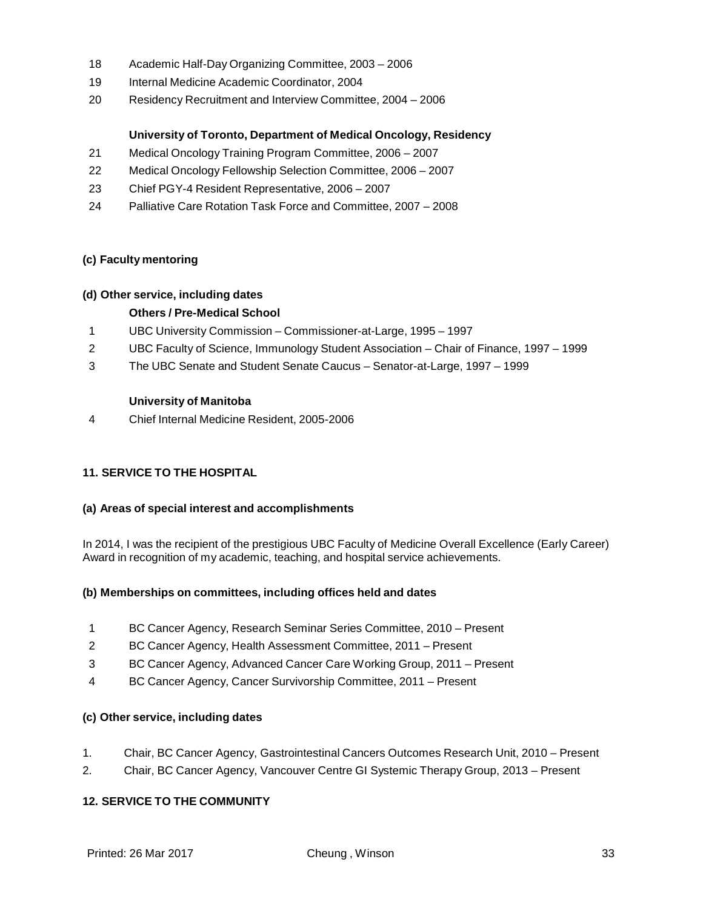- 18 Academic Half-Day Organizing Committee, 2003 2006
- 19 Internal Medicine Academic Coordinator, 2004
- 20 Residency Recruitment and Interview Committee, 2004 2006

# **University of Toronto, Department of Medical Oncology, Residency**

- 21 Medical Oncology Training Program Committee, 2006 2007
- 22 Medical Oncology Fellowship Selection Committee, 2006 2007
- 23 Chief PGY-4 Resident Representative, 2006 2007
- 24 Palliative Care Rotation Task Force and Committee, 2007 2008

### **(c) Faculty mentoring**

### **(d) Other service, including dates**

# **Others / Pre-Medical School**

- 1 UBC University Commission Commissioner-at-Large, 1995 1997
- 2 UBC Faculty of Science, Immunology Student Association Chair of Finance, 1997 1999
- 3 The UBC Senate and Student Senate Caucus Senator-at-Large, 1997 1999

#### **University of Manitoba**

4 Chief Internal Medicine Resident, 2005-2006

# **11. SERVICE TO THE HOSPITAL**

#### **(a) Areas of special interest and accomplishments**

In 2014, I was the recipient of the prestigious UBC Faculty of Medicine Overall Excellence (Early Career) Award in recognition of my academic, teaching, and hospital service achievements.

# **(b) Memberships on committees, including offices held and dates**

- 1 BC Cancer Agency, Research Seminar Series Committee, 2010 Present
- 2 BC Cancer Agency, Health Assessment Committee, 2011 Present
- 3 BC Cancer Agency, Advanced Cancer Care Working Group, 2011 Present
- 4 BC Cancer Agency, Cancer Survivorship Committee, 2011 Present

#### **(c) Other service, including dates**

- 1. Chair, BC Cancer Agency, Gastrointestinal Cancers Outcomes Research Unit, 2010 Present
- 2. Chair, BC Cancer Agency, Vancouver Centre GI Systemic Therapy Group, 2013 Present

# **12. SERVICE TO THE COMMUNITY**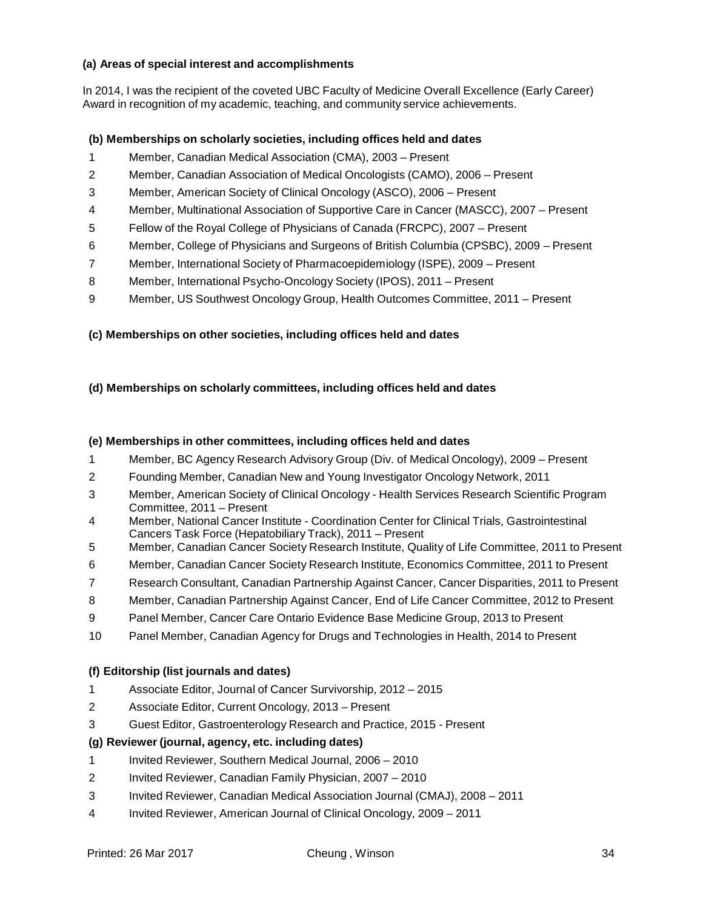## **(a) Areas of special interest and accomplishments**

In 2014, I was the recipient of the coveted UBC Faculty of Medicine Overall Excellence (Early Career) Award in recognition of my academic, teaching, and community service achievements.

# **(b) Memberships on scholarly societies, including offices held and dates**

- Member, Canadian Medical Association (CMA), 2003 Present
- Member, Canadian Association of Medical Oncologists (CAMO), 2006 Present
- Member, American Society of Clinical Oncology (ASCO), 2006 Present
- Member, Multinational Association of Supportive Care in Cancer (MASCC), 2007 Present
- Fellow of the Royal College of Physicians of Canada (FRCPC), 2007 Present
- Member, College of Physicians and Surgeons of British Columbia (CPSBC), 2009 Present
- Member, International Society of Pharmacoepidemiology (ISPE), 2009 Present
- Member, International Psycho-Oncology Society (IPOS), 2011 Present
- Member, US Southwest Oncology Group, Health Outcomes Committee, 2011 Present

# **(c) Memberships on other societies, including offices held and dates**

# **(d) Memberships on scholarly committees, including offices held and dates**

# **(e) Memberships in other committees, including offices held and dates**

- Member, BC Agency Research Advisory Group (Div. of Medical Oncology), 2009 Present
- Founding Member, Canadian New and Young Investigator Oncology Network, 2011
- Member, American Society of Clinical Oncology Health Services Research Scientific Program Committee, 2011 – Present
- Member, National Cancer Institute Coordination Center for Clinical Trials, Gastrointestinal Cancers Task Force (Hepatobiliary Track), 2011 – Present
- Member, Canadian Cancer Society Research Institute, Quality of Life Committee, 2011 to Present
- Member, Canadian Cancer Society Research Institute, Economics Committee, 2011 to Present
- Research Consultant, Canadian Partnership Against Cancer, Cancer Disparities, 2011 to Present
- Member, Canadian Partnership Against Cancer, End of Life Cancer Committee, 2012 to Present
- Panel Member, Cancer Care Ontario Evidence Base Medicine Group, 2013 to Present
- Panel Member, Canadian Agency for Drugs and Technologies in Health, 2014 to Present

# **(f) Editorship (list journals and dates)**

- Associate Editor, Journal of Cancer Survivorship, 2012 2015
- Associate Editor, Current Oncology, 2013 Present
- Guest Editor, Gastroenterology Research and Practice, 2015 Present

# **(g) Reviewer (journal, agency, etc. including dates)**

- Invited Reviewer, Southern Medical Journal, 2006 2010
- Invited Reviewer, Canadian Family Physician, 2007 2010
- Invited Reviewer, Canadian Medical Association Journal (CMAJ), 2008 2011
- Invited Reviewer, American Journal of Clinical Oncology, 2009 2011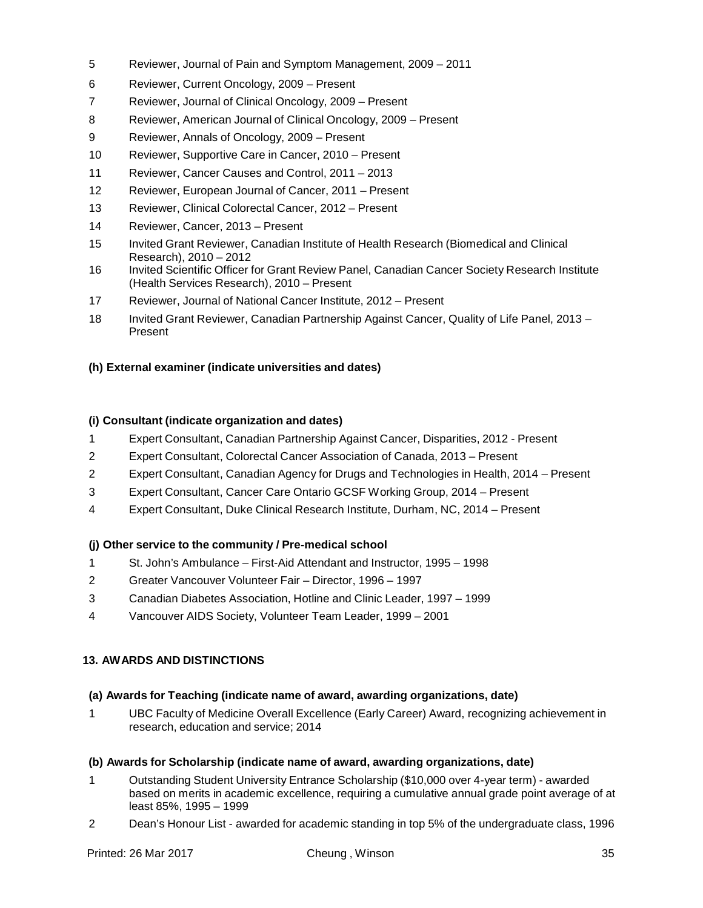- Reviewer, Journal of Pain and Symptom Management, 2009 2011
- Reviewer, Current Oncology, 2009 Present
- Reviewer, Journal of Clinical Oncology, 2009 Present
- Reviewer, American Journal of Clinical Oncology, 2009 Present
- Reviewer, Annals of Oncology, 2009 Present
- Reviewer, Supportive Care in Cancer, 2010 Present
- Reviewer, Cancer Causes and Control, 2011 2013
- Reviewer, European Journal of Cancer, 2011 Present
- Reviewer, Clinical Colorectal Cancer, 2012 Present
- Reviewer, Cancer, 2013 Present
- Invited Grant Reviewer, Canadian Institute of Health Research (Biomedical and Clinical Research), 2010 – 2012
- 16 Invited Scientific Officer for Grant Review Panel, Canadian Cancer Society Research Institute (Health Services Research), 2010 – Present
- Reviewer, Journal of National Cancer Institute, 2012 Present
- Invited Grant Reviewer, Canadian Partnership Against Cancer, Quality of Life Panel, 2013 Present

### **(h) External examiner (indicate universities and dates)**

#### **(i) Consultant (indicate organization and dates)**

- Expert Consultant, Canadian Partnership Against Cancer, Disparities, 2012 Present
- Expert Consultant, Colorectal Cancer Association of Canada, 2013 Present
- Expert Consultant, Canadian Agency for Drugs and Technologies in Health, 2014 Present
- Expert Consultant, Cancer Care Ontario GCSF Working Group, 2014 Present
- Expert Consultant, Duke Clinical Research Institute, Durham, NC, 2014 Present

#### **(j) Other service to the community / Pre-medical school**

- St. John's Ambulance First-Aid Attendant and Instructor, 1995 1998
- Greater Vancouver Volunteer Fair Director, 1996 1997
- Canadian Diabetes Association, Hotline and Clinic Leader, 1997 1999
- Vancouver AIDS Society, Volunteer Team Leader, 1999 2001

#### **13. AWARDS AND DISTINCTIONS**

#### **(a) Awards for Teaching (indicate name of award, awarding organizations, date)**

 UBC Faculty of Medicine Overall Excellence (Early Career) Award, recognizing achievement in research, education and service; 2014

#### **(b) Awards for Scholarship (indicate name of award, awarding organizations, date)**

- Outstanding Student University Entrance Scholarship (\$10,000 over 4-year term) awarded based on merits in academic excellence, requiring a cumulative annual grade point average of at least 85%, 1995 – 1999
- Dean's Honour List awarded for academic standing in top 5% of the undergraduate class, 1996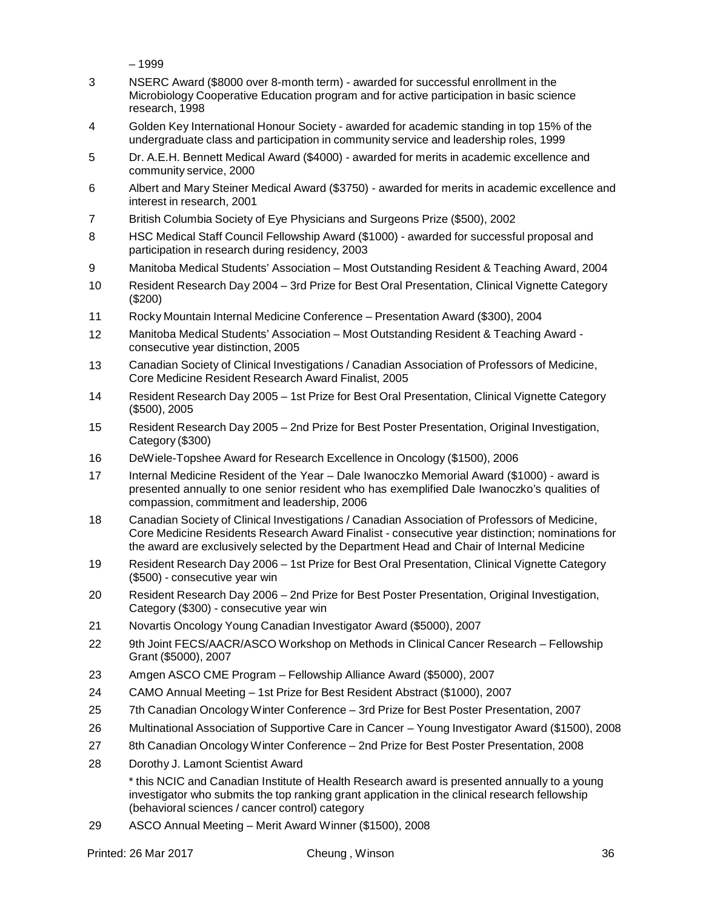– 1999

- 3 NSERC Award (\$8000 over 8-month term) awarded for successful enrollment in the Microbiology Cooperative Education program and for active participation in basic science research, 1998
- 4 Golden Key International Honour Society awarded for academic standing in top 15% of the undergraduate class and participation in community service and leadership roles, 1999
- 5 Dr. A.E.H. Bennett Medical Award (\$4000) awarded for merits in academic excellence and community service, 2000
- 6 Albert and Mary Steiner Medical Award (\$3750) awarded for merits in academic excellence and interest in research, 2001
- 7 British Columbia Society of Eye Physicians and Surgeons Prize (\$500), 2002
- 8 HSC Medical Staff Council Fellowship Award (\$1000) awarded for successful proposal and participation in research during residency, 2003
- 9 Manitoba Medical Students' Association Most Outstanding Resident & Teaching Award, 2004
- 10 Resident Research Day 2004 3rd Prize for Best Oral Presentation, Clinical Vignette Category (\$200)
- 11 Rocky Mountain Internal Medicine Conference Presentation Award (\$300), 2004
- 12 Manitoba Medical Students' Association Most Outstanding Resident & Teaching Award consecutive year distinction, 2005
- 13 Canadian Society of Clinical Investigations / Canadian Association of Professors of Medicine, Core Medicine Resident Research Award Finalist, 2005
- 14 Resident Research Day 2005 1st Prize for Best Oral Presentation, Clinical Vignette Category (\$500), 2005
- 15 Resident Research Day 2005 2nd Prize for Best Poster Presentation, Original Investigation, Category (\$300)
- 16 DeWiele-Topshee Award for Research Excellence in Oncology (\$1500), 2006
- 17 Internal Medicine Resident of the Year Dale Iwanoczko Memorial Award (\$1000) award is presented annually to one senior resident who has exemplified Dale Iwanoczko's qualities of compassion, commitment and leadership, 2006
- 18 Canadian Society of Clinical Investigations / Canadian Association of Professors of Medicine, Core Medicine Residents Research Award Finalist - consecutive year distinction; nominations for the award are exclusively selected by the Department Head and Chair of Internal Medicine
- 19 Resident Research Day 2006 1st Prize for Best Oral Presentation, Clinical Vignette Category (\$500) - consecutive year win
- 20 Resident Research Day 2006 2nd Prize for Best Poster Presentation, Original Investigation, Category (\$300) - consecutive year win
- 21 Novartis Oncology Young Canadian Investigator Award (\$5000), 2007
- 22 9th Joint FECS/AACR/ASCO Workshop on Methods in Clinical Cancer Research Fellowship Grant (\$5000), 2007
- 23 Amgen ASCO CME Program Fellowship Alliance Award (\$5000), 2007
- 24 CAMO Annual Meeting 1st Prize for Best Resident Abstract (\$1000), 2007
- 25 7th Canadian Oncology Winter Conference 3rd Prize for Best Poster Presentation, 2007
- 26 Multinational Association of Supportive Care in Cancer Young Investigator Award (\$1500), 2008
- 27 8th Canadian Oncology Winter Conference 2nd Prize for Best Poster Presentation, 2008
- 28 Dorothy J. Lamont Scientist Award

\* this NCIC and Canadian Institute of Health Research award is presented annually to a young investigator who submits the top ranking grant application in the clinical research fellowship (behavioral sciences / cancer control) category

29 ASCO Annual Meeting – Merit Award Winner (\$1500), 2008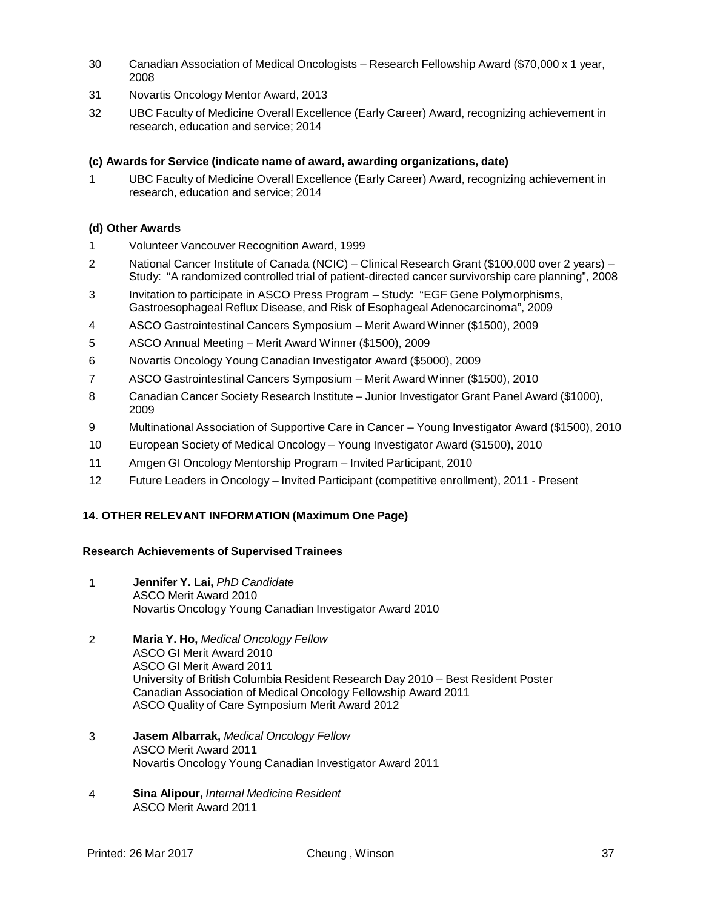- 30 Canadian Association of Medical Oncologists Research Fellowship Award (\$70,000 x 1 year, 2008
- 31 Novartis Oncology Mentor Award, 2013
- 32 UBC Faculty of Medicine Overall Excellence (Early Career) Award, recognizing achievement in research, education and service; 2014

# **(c) Awards for Service (indicate name of award, awarding organizations, date)**

1 UBC Faculty of Medicine Overall Excellence (Early Career) Award, recognizing achievement in research, education and service; 2014

# **(d) Other Awards**

- 1 Volunteer Vancouver Recognition Award, 1999
- 2 National Cancer Institute of Canada (NCIC) Clinical Research Grant (\$100,000 over 2 years) Study: "A randomized controlled trial of patient-directed cancer survivorship care planning", 2008
- 3 Invitation to participate in ASCO Press Program Study: "EGF Gene Polymorphisms, Gastroesophageal Reflux Disease, and Risk of Esophageal Adenocarcinoma", 2009
- 4 ASCO Gastrointestinal Cancers Symposium Merit Award Winner (\$1500), 2009
- 5 ASCO Annual Meeting Merit Award Winner (\$1500), 2009
- 6 Novartis Oncology Young Canadian Investigator Award (\$5000), 2009
- 7 ASCO Gastrointestinal Cancers Symposium Merit Award Winner (\$1500), 2010
- 8 Canadian Cancer Society Research Institute Junior Investigator Grant Panel Award (\$1000), 2009
- 9 Multinational Association of Supportive Care in Cancer Young Investigator Award (\$1500), 2010
- 10 European Society of Medical Oncology Young Investigator Award (\$1500), 2010
- 11 Amgen GI Oncology Mentorship Program Invited Participant, 2010
- 12 Future Leaders in Oncology Invited Participant (competitive enrollment), 2011 Present

# **14. OTHER RELEVANT INFORMATION (Maximum One Page)**

#### **Research Achievements of Supervised Trainees**

- 1 **Jennifer Y. Lai,** *PhD Candidate* ASCO Merit Award 2010 Novartis Oncology Young Canadian Investigator Award 2010
- 2 **Maria Y. Ho,** *Medical Oncology Fellow* ASCO GI Merit Award 2010 ASCO GI Merit Award 2011 University of British Columbia Resident Research Day 2010 – Best Resident Poster Canadian Association of Medical Oncology Fellowship Award 2011 ASCO Quality of Care Symposium Merit Award 2012
- 3 **Jasem Albarrak,** *Medical Oncology Fellow* ASCO Merit Award 2011 Novartis Oncology Young Canadian Investigator Award 2011
- 4 **Sina Alipour,** *Internal Medicine Resident* ASCO Merit Award 2011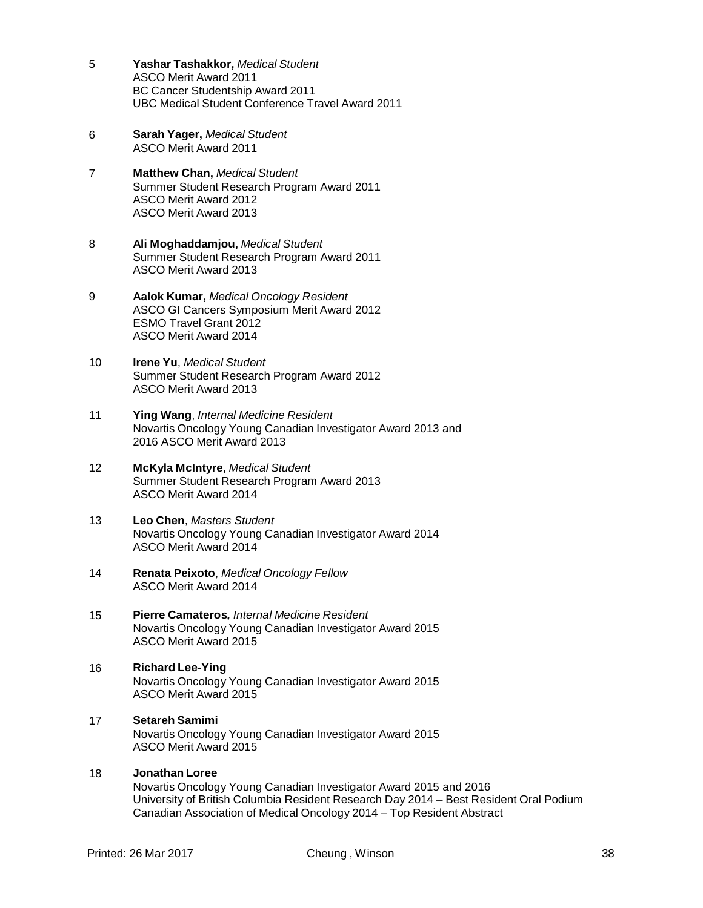- 5 **Yashar Tashakkor,** *Medical Student* ASCO Merit Award 2011 BC Cancer Studentship Award 2011 UBC Medical Student Conference Travel Award 2011
- 6 **Sarah Yager,** *Medical Student* ASCO Merit Award 2011
- 7 **Matthew Chan,** *Medical Student* Summer Student Research Program Award 2011 ASCO Merit Award 2012 ASCO Merit Award 2013
- 8 **Ali Moghaddamjou,** *Medical Student* Summer Student Research Program Award 2011 ASCO Merit Award 2013
- 9 **Aalok Kumar,** *Medical Oncology Resident* ASCO GI Cancers Symposium Merit Award 2012 ESMO Travel Grant 2012 ASCO Merit Award 2014
- 10 **Irene Yu**, *Medical Student* Summer Student Research Program Award 2012 ASCO Merit Award 2013
- 11 **Ying Wang**, *Internal Medicine Resident* Novartis Oncology Young Canadian Investigator Award 2013 and 2016 ASCO Merit Award 2013
- 12 **McKyla McIntyre**, *Medical Student* Summer Student Research Program Award 2013 ASCO Merit Award 2014
- 13 **Leo Chen**, *Masters Student* Novartis Oncology Young Canadian Investigator Award 2014 ASCO Merit Award 2014
- 14 **Renata Peixoto**, *Medical Oncology Fellow* ASCO Merit Award 2014
- 15 **Pierre Camateros***, Internal Medicine Resident* Novartis Oncology Young Canadian Investigator Award 2015 ASCO Merit Award 2015
- 16 **Richard Lee-Ying** Novartis Oncology Young Canadian Investigator Award 2015 ASCO Merit Award 2015
- 17 **Setareh Samimi** Novartis Oncology Young Canadian Investigator Award 2015 ASCO Merit Award 2015

# 18 **Jonathan Loree**

Novartis Oncology Young Canadian Investigator Award 2015 and 2016 University of British Columbia Resident Research Day 2014 – Best Resident Oral Podium Canadian Association of Medical Oncology 2014 – Top Resident Abstract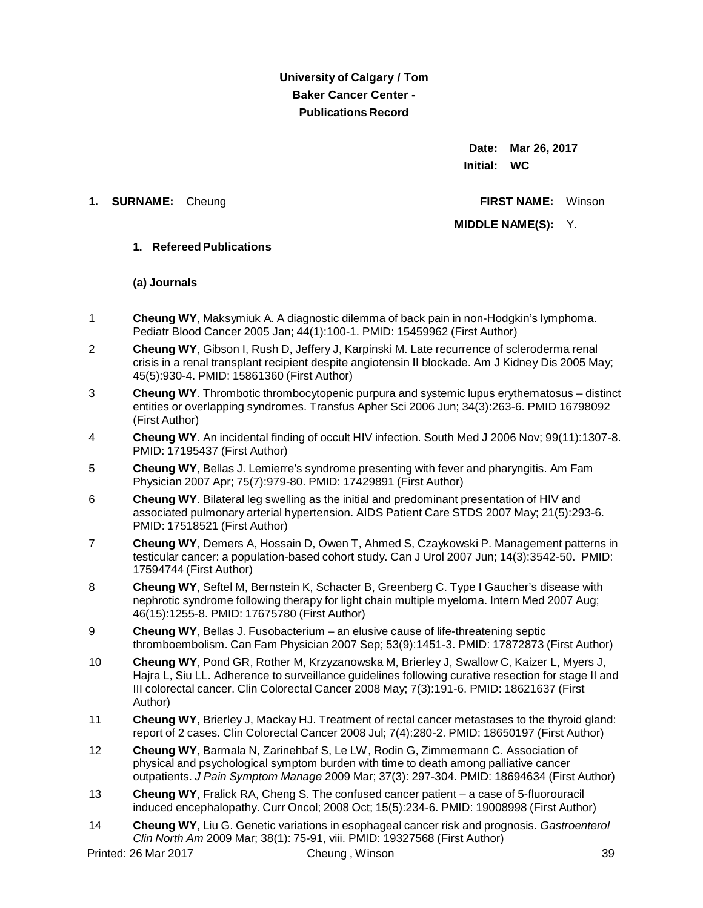**University of Calgary / Tom Baker Cancer Center - Publications Record**

> **Date: Mar 26, 2017 Initial: WC**

#### **1. SURNAME:** Cheung **FIRST NAME:** Winson

**MIDDLE NAME(S):** Y.

## **1. Refereed Publications**

#### **(a) Journals**

- 1 **Cheung WY**, Maksymiuk A. A diagnostic dilemma of back pain in non-Hodgkin's lymphoma. Pediatr Blood Cancer 2005 Jan; 44(1):100-1. PMID: 15459962 (First Author)
- 2 **Cheung WY**, Gibson I, Rush D, Jeffery J, Karpinski M. Late recurrence of scleroderma renal crisis in a renal transplant recipient despite angiotensin II blockade. Am J Kidney Dis 2005 May; 45(5):930-4. PMID: 15861360 (First Author)
- 3 **Cheung WY**. Thrombotic thrombocytopenic purpura and systemic lupus erythematosus distinct entities or overlapping syndromes. Transfus Apher Sci 2006 Jun; 34(3):263-6. PMID 16798092 (First Author)
- 4 **Cheung WY**. An incidental finding of occult HIV infection. South Med J 2006 Nov; 99(11):1307-8. PMID: 17195437 (First Author)
- 5 **Cheung WY**, Bellas J. Lemierre's syndrome presenting with fever and pharyngitis. Am Fam Physician 2007 Apr; 75(7):979-80. PMID: 17429891 (First Author)
- 6 **Cheung WY**. Bilateral leg swelling as the initial and predominant presentation of HIV and associated pulmonary arterial hypertension. AIDS Patient Care STDS 2007 May; 21(5):293-6. PMID: 17518521 (First Author)
- 7 **Cheung WY**, Demers A, Hossain D, Owen T, Ahmed S, Czaykowski P. Management patterns in testicular cancer: a population-based cohort study. Can J Urol 2007 Jun; 14(3):3542-50. PMID: 17594744 (First Author)
- 8 **Cheung WY**, Seftel M, Bernstein K, Schacter B, Greenberg C. Type I Gaucher's disease with nephrotic syndrome following therapy for light chain multiple myeloma. Intern Med 2007 Aug; 46(15):1255-8. PMID: 17675780 (First Author)
- 9 **Cheung WY**, Bellas J. Fusobacterium an elusive cause of life-threatening septic thromboembolism. Can Fam Physician 2007 Sep; 53(9):1451-3. PMID: 17872873 (First Author)
- 10 **Cheung WY**, Pond GR, Rother M, Krzyzanowska M, Brierley J, Swallow C, Kaizer L, Myers J, Hajra L, Siu LL. Adherence to surveillance guidelines following curative resection for stage II and III colorectal cancer. Clin Colorectal Cancer 2008 May; 7(3):191-6. PMID: 18621637 (First Author)
- 11 **Cheung WY**, Brierley J, Mackay HJ. Treatment of rectal cancer metastases to the thyroid gland: report of 2 cases. Clin Colorectal Cancer 2008 Jul; 7(4):280-2. PMID: 18650197 (First Author)
- 12 **Cheung WY**, Barmala N, Zarinehbaf S, Le LW, Rodin G, Zimmermann C. Association of physical and psychological symptom burden with time to death among palliative cancer outpatients. *J Pain Symptom Manage* 2009 Mar; 37(3): 297-304. PMID: 18694634 (First Author)
- 13 **Cheung WY**, Fralick RA, Cheng S. The confused cancer patient a case of 5-fluorouracil induced encephalopathy. Curr Oncol; 2008 Oct; 15(5):234-6. PMID: 19008998 (First Author)
- 14 **Cheung WY**, Liu G. Genetic variations in esophageal cancer risk and prognosis. *Gastroenterol Clin North Am* 2009 Mar; 38(1): 75-91, viii. PMID: 19327568 (First Author)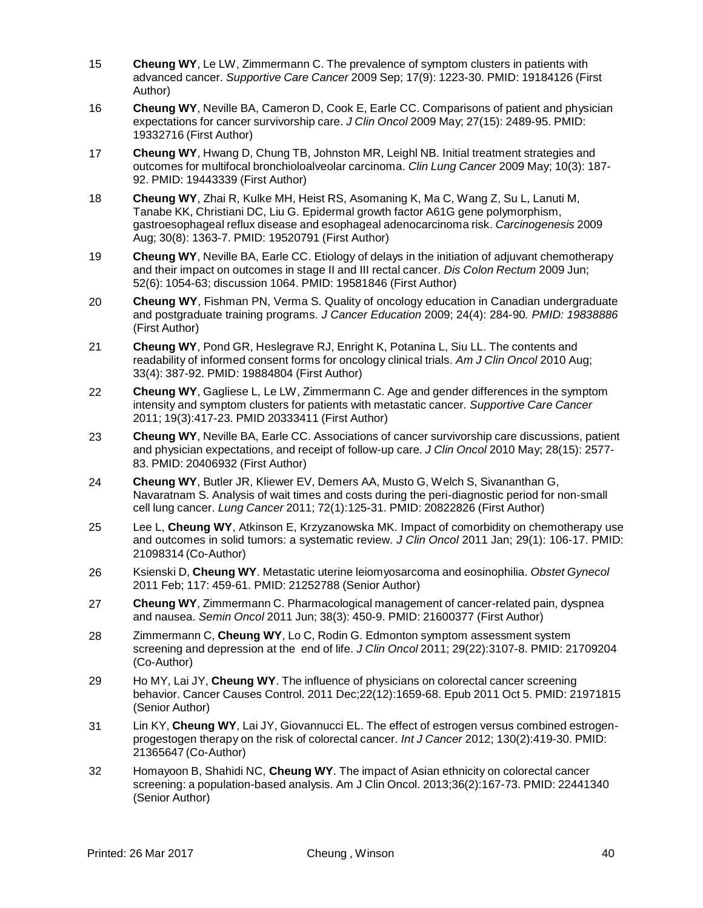- 15 **Cheung WY**, Le LW, Zimmermann C. The prevalence of symptom clusters in patients with advanced cancer. *Supportive Care Cancer* 2009 Sep; 17(9): 1223-30. PMID: 19184126 (First Author)
- 16 **Cheung WY**, Neville BA, Cameron D, Cook E, Earle CC. Comparisons of patient and physician expectations for cancer survivorship care. *J Clin Oncol* 2009 May; 27(15): 2489-95. PMID: 19332716 (First Author)
- 17 **Cheung WY**, Hwang D, Chung TB, Johnston MR, Leighl NB. Initial treatment strategies and outcomes for multifocal bronchioloalveolar carcinoma. *Clin Lung Cancer* 2009 May; 10(3): 187- 92. PMID: 19443339 (First Author)
- 18 **Cheung WY**, Zhai R, Kulke MH, Heist RS, Asomaning K, Ma C, Wang Z, Su L, Lanuti M, Tanabe KK, Christiani DC, Liu G. Epidermal growth factor A61G gene [polymorphism,](http://www.ncbi.nlm.nih.gov/pubmed/19520791?ordinalpos=2&itool=EntrezSystem2.PEntrez.Pubmed.Pubmed_ResultsPanel.Pubmed_DefaultReportPanel.Pubmed_RVDocSum) [gastroesophageal](http://www.ncbi.nlm.nih.gov/pubmed/19520791?ordinalpos=2&itool=EntrezSystem2.PEntrez.Pubmed.Pubmed_ResultsPanel.Pubmed_DefaultReportPanel.Pubmed_RVDocSum) reflux disease and esophageal adenocarcinoma risk. *Carcinogenesis* 2009 Aug; 30(8): 1363-7. PMID: 19520791 (First Author)
- 19 **Cheung WY**, Neville BA, Earle CC. Etiology of delays in the initiation of adjuvant chemotherapy and their impact on outcomes in stage II and III rectal cancer. *Dis Colon Rectum* 2009 Jun; 52(6): 1054-63; discussion 1064. PMID: 19581846 (First Author)
- 20 **Cheung WY**, Fishman PN, Verma S. Quality of oncology education in Canadian undergraduate and postgraduate training programs. *J Cancer Education* 2009; 24(4): 284-90*. PMID: 19838886* (First Author)
- 21 **Cheung WY**, Pond GR, Heslegrave RJ, Enright K, Potanina L, Siu LL. The contents and readability of informed consent forms for oncology clinical trials. *Am J Clin Oncol* 2010 Aug; 33(4): 387-92. PMID: 19884804 (First Author)
- 22 **Cheung WY**, Gagliese L, Le LW, Zimmermann C. Age and gender differences in the symptom intensity and symptom clusters for patients with metastatic cancer. *Supportive Care Cancer* 2011; 19(3):417-23. PMID 20333411 (First Author)
- 23 **Cheung WY**, Neville BA, Earle CC. Associations of cancer survivorship care discussions, patient and physician expectations, and receipt of follow-up care. *J Clin Oncol* 2010 May; 28(15): 2577- 83. PMID: 20406932 (First Author)
- 24 **Cheung WY**, Butler JR, Kliewer EV, Demers AA, Musto G, Welch S, Sivananthan G, Navaratnam S. Analysis of wait times and costs during the peri-diagnostic period for non-small cell lung cancer. *Lung Cancer* 2011; 72(1):125-31. PMID: 20822826 (First Author)
- 25 Lee L, **Cheung WY**, Atkinson E, Krzyzanowska MK. Impact of comorbidity on chemotherapy use and outcomes in solid tumors: a systematic review. *J Clin Oncol* 2011 Jan; 29(1): 106-17. PMID: 21098314 (Co-Author)
- 26 Ksienski D, **Cheung WY**. Metastatic uterine leiomyosarcoma and eosinophilia. *Obstet Gynecol* 2011 Feb; 117: 459-61. PMID: 21252788 (Senior Author)
- 27 **Cheung WY**, Zimmermann C. Pharmacological management of cancer-related pain, dyspnea and nausea. *Semin Oncol* 2011 Jun; 38(3): 450-9. PMID: 21600377 (First Author)
- 28 Zimmermann C, **Cheung WY**, Lo C, Rodin G. Edmonton symptom assessment system screening and depression at the end of life. *J Clin Oncol* 2011; 29(22):3107-8. PMID: 21709204 (Co-Author)
- 29 Ho [MY,](http://www.ncbi.nlm.nih.gov/pubmed?term=Ho%20MY%5BAuthor%5D&cauthor=true&cauthor_uid=21971815) Lai [JY,](http://www.ncbi.nlm.nih.gov/pubmed?term=Ho%20MY%5BAuthor%5D&cauthor=true&cauthor_uid=21971815) **[Cheung](http://www.ncbi.nlm.nih.gov/pubmed?term=Cheung%20WY%5BAuthor%5D&cauthor=true&cauthor_uid=21971815) WY**. The influence of physicians on colorectal cancer screening behavior. Cancer Causes [Control.](http://www.ncbi.nlm.nih.gov/pubmed/21971815) 2011 Dec;22(12):1659-68. Epub 2011 Oct 5. PMID: 21971815 (Senior Author)
- 31 Lin KY, **Cheung WY**, Lai JY, Giovannucci EL. The effect of estrogen versus combined estrogenprogestogen therapy on the risk of colorectal cancer. *Int J Cancer* 2012; 130(2):419-30. PMID: 21365647 (Co-Author)
- 32 Homayoon B, Shahidi NC, **Cheung WY**. The impact of Asian ethnicity on colorectal cancer screening: a population-based analysis. Am J Clin Oncol. 2013;36(2):167-73. PMID: 22441340 (Senior Author)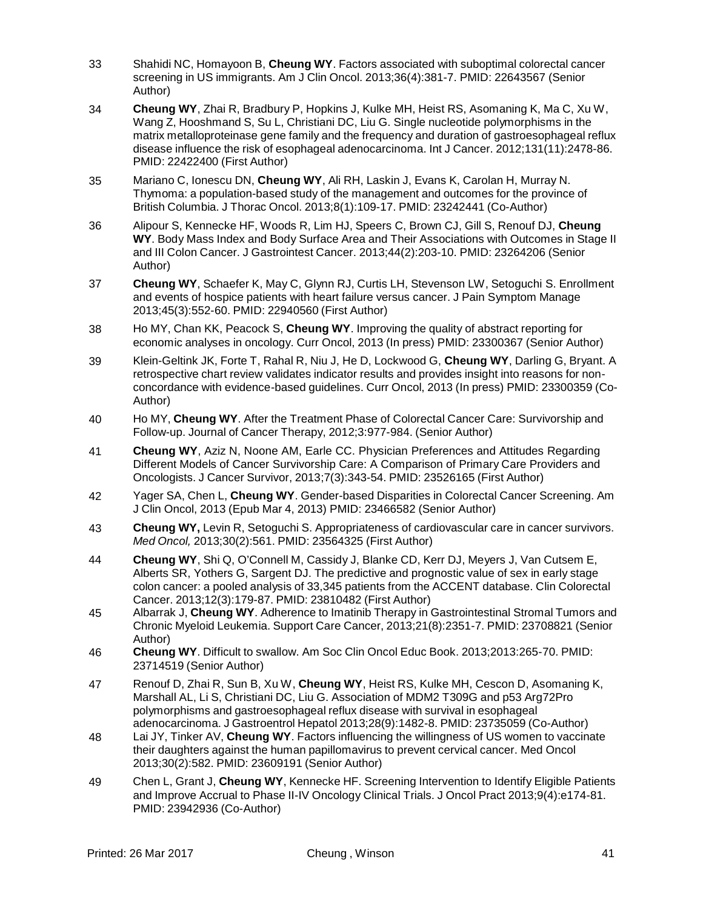- 33 Shahidi NC, Homayoon B, **Cheung WY**. Factors associated with suboptimal colorectal cancer screening in US immigrants. Am J Clin Oncol. 2013;36(4):381-7. PMID: 22643567 (Senior Author)
- 34 **Cheung WY**, Zhai R, Bradbury P, Hopkins J, Kulke MH, Heist RS, Asomaning K, Ma C, Xu W, Wang Z, Hooshmand S, Su L, Christiani DC, Liu G. Single nucleotide polymorphisms in the matrix metalloproteinase gene family and the frequency and duration of gastroesophageal reflux disease influence the risk of esophageal adenocarcinoma. Int J Cancer. 2012;131(11):2478-86. PMID: 22422400 (First Author)
- 35 Mariano C, Ionescu DN, **Cheung WY**, Ali RH, Laskin J, Evans K, Carolan H, Murray N. Thymoma: a population-based study of the management and outcomes for the province of British Columbia. J Thorac Oncol. 2013;8(1):109-17. PMID: 23242441 (Co-Author)
- 36 Alipour S, Kennecke HF, Woods R, Lim HJ, Speers C, Brown CJ, Gill S, Renouf DJ, **Cheung WY**. Body Mass Index and Body Surface Area and Their Associations with Outcomes in Stage II and III Colon Cancer. J Gastrointest Cancer. 2013;44(2):203-10. PMID: 23264206 (Senior Author)
- 37 **Cheung WY**, Schaefer K, May C, Glynn RJ, Curtis LH, Stevenson LW, Setoguchi S. Enrollment and events of hospice patients with heart failure versus cancer. J Pain Symptom Manage 2013;45(3):552-60. PMID: 22940560 (First Author)
- 38 Ho MY, Chan KK, Peacock S, **Cheung WY**. Improving the quality of abstract reporting for economic analyses in oncology. Curr Oncol, 2013 (In press) PMID: 23300367 (Senior Author)
- 39 Klein-Geltink JK, Forte T, Rahal R, Niu J, He D, Lockwood G, **Cheung WY**, Darling G, Bryant. [A](http://www.current-oncology.com/index.php/oncology/article/view/1224) [retrospective](http://www.current-oncology.com/index.php/oncology/article/view/1224) chart review validates indicator results and provides insight into reasons for nonconcordance with [evidence-based](http://www.current-oncology.com/index.php/oncology/article/view/1224) guidelines. Curr Oncol, 2013 (In press) PMID: 23300359 (Co-Author)
- 40 Ho MY, **Cheung WY**. After the Treatment Phase of Colorectal Cancer Care: Survivorship and Follow-up. Journal of Cancer Therapy, 2012;3:977-984. (Senior Author)
- 41 **Cheung WY**, Aziz N, Noone AM, Earle CC. Physician Preferences and Attitudes Regarding Different Models of Cancer Survivorship Care: A Comparison of Primary Care Providers and Oncologists. J Cancer Survivor, 2013;7(3):343-54. PMID: 23526165 (First Author)
- 42 Yager SA, Chen L, **Cheung WY**. Gender-based Disparities in Colorectal Cancer Screening. Am J Clin Oncol, 2013 (Epub Mar 4, 2013) PMID: 23466582 (Senior Author)
- 43 **Cheung WY,** Levin R, Setoguchi S. Appropriateness of cardiovascular care in cancer survivors. *Med Oncol,* 2013;30(2):561. PMID: 23564325 (First Author)
- 44 **Cheung WY**, Shi Q, O'Connell M, Cassidy J, Blanke CD, Kerr DJ, Meyers J, Van Cutsem E, Alberts SR, Yothers G, Sargent DJ. The predictive and prognostic value of sex in early stage colon cancer: a pooled analysis of 33,345 patients from the ACCENT database. Clin Colorectal Cancer. 2013;12(3):179-87. PMID: 23810482 (First Author)
- 45 Albarrak J, **Cheung WY**. Adherence to Imatinib Therapy in Gastrointestinal Stromal Tumors and Chronic Myeloid Leukemia. Support Care Cancer, 2013;21(8):2351-7. PMID: 23708821 (Senior Author)
- 46 **Cheung WY**. Difficult to swallow. Am Soc Clin Oncol Educ Book. 2013;2013:265-70. PMID: 23714519 (Senior Author)
- 47 Renouf D, Zhai R, Sun B, Xu W, **Cheung WY**, Heist RS, Kulke MH, Cescon D, Asomaning K, Marshall AL, Li S, Christiani DC, Liu G. Association of MDM2 T309G and p53 Arg72Pro polymorphisms and gastroesophageal reflux disease with survival in esophageal adenocarcinoma. J Gastroentrol Hepatol 2013;28(9):1482-8. PMID: 23735059 (Co-Author)
- 48 Lai JY, Tinker AV, **Cheung WY**. Factors influencing the willingness of US women to vaccinate their daughters against the human papillomavirus to prevent cervical cancer. Med Oncol 2013;30(2):582. PMID: 23609191 (Senior Author)
- 49 Chen L, Grant J, **Cheung WY**, Kennecke HF. Screening Intervention to Identify Eligible Patients and Improve Accrual to Phase II-IV Oncology Clinical Trials. J Oncol Pract 2013;9(4):e174-81. PMID: 23942936 (Co-Author)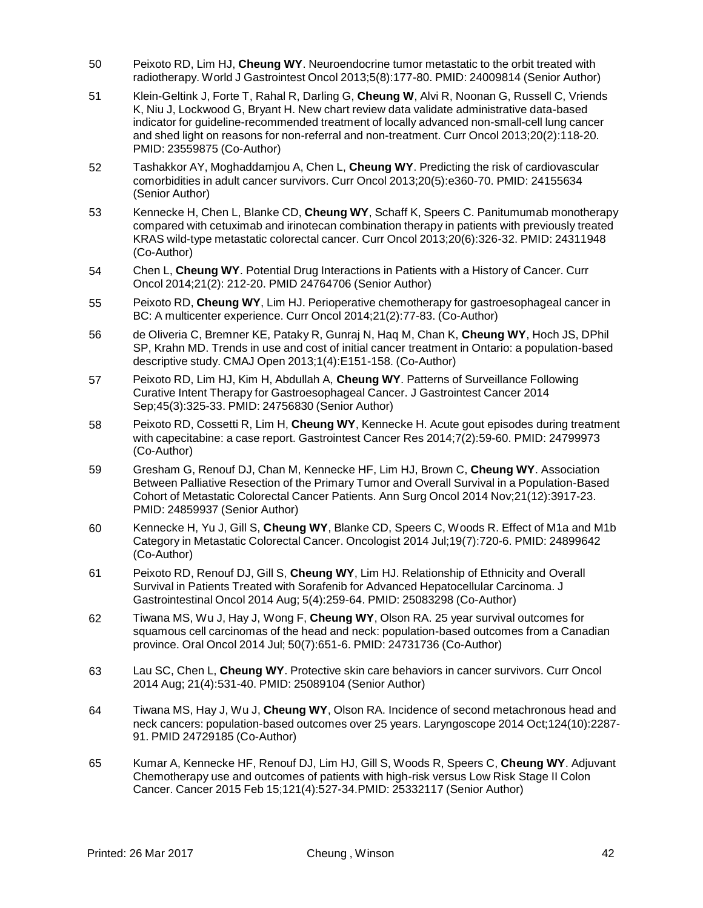- 50 Peixoto RD, Lim HJ, **Cheung WY**. Neuroendocrine tumor metastatic to the orbit treated with radiotherapy. World J Gastrointest Oncol 2013;5(8):177-80. PMID: 24009814 (Senior Author)
- 51 Klein-Geltink J, Forte T, Rahal R, Darling G, **Cheung W**, Alvi R, Noonan G, Russell C, Vriends K, Niu J, Lockwood G, Bryant H. New chart review data validate administrative data-based indicator for guideline-recommended treatment of locally advanced non-small-cell lung cancer and shed light on reasons for non-referral and non-treatment. Curr Oncol 2013;20(2):118-20. PMID: 23559875 (Co-Author)
- 52 Tashakkor AY, Moghaddamjou A, Chen L, **Cheung WY**. Predicting the risk of cardiovascular comorbidities in adult cancer survivors. Curr Oncol 2013;20(5):e360-70. PMID: 24155634 (Senior Author)
- 53 Kennecke H, Chen L, Blanke CD, **Cheung WY**, Schaff K, Speers C. Panitumumab monotherapy compared with cetuximab and irinotecan combination therapy in patients with previously treated KRAS wild-type metastatic colorectal cancer. Curr Oncol 2013;20(6):326-32. PMID: 24311948 (Co-Author)
- 54 Chen L, **Cheung WY**. Potential Drug Interactions in Patients with a History of Cancer. Curr Oncol 2014;21(2): 212-20. PMID 24764706 (Senior Author)
- 55 Peixoto RD, **Cheung WY**, Lim HJ. Perioperative chemotherapy for gastroesophageal cancer in BC: A multicenter experience. Curr Oncol 2014;21(2):77-83. (Co-Author)
- 56 de Oliveria C, Bremner KE, Pataky R, Gunraj N, Haq M, Chan K, **Cheung WY**, Hoch JS, DPhil SP, Krahn MD. Trends in use and cost of initial cancer treatment in Ontario: a population-based descriptive study. CMAJ Open 2013;1(4):E151-158. (Co-Author)
- 57 Peixoto RD, Lim HJ, Kim H, Abdullah A, **Cheung WY**. Patterns of Surveillance Following Curative Intent Therapy for Gastroesophageal Cancer. J Gastrointest Cancer 2014 Sep;45(3):325-33. PMID: 24756830 (Senior Author)
- 58 Peixoto RD, Cossetti R, Lim H, **Cheung WY**, Kennecke H. Acute gout episodes during treatment with capecitabine: a case report. Gastrointest Cancer Res 2014;7(2):59-60. PMID: 24799973 (Co-Author)
- 59 Gresham G, Renouf DJ, Chan M, Kennecke HF, Lim HJ, Brown C, **Cheung WY**. Association Between Palliative Resection of the Primary Tumor and Overall Survival in a Population-Based Cohort of Metastatic Colorectal Cancer Patients. Ann Surg Oncol 2014 Nov;21(12):3917-23. PMID: 24859937 (Senior Author)
- 60 Kennecke H, Yu J, Gill S, **Cheung WY**, Blanke CD, Speers C, Woods R. Effect of M1a and M1b Category in Metastatic Colorectal Cancer. Oncologist 2014 Jul;19(7):720-6. PMID: 24899642 (Co-Author)
- 61 Peixoto RD, Renouf DJ, Gill S, **Cheung WY**, Lim HJ. Relationship of Ethnicity and Overall Survival in Patients Treated with Sorafenib for Advanced Hepatocellular Carcinoma. J Gastrointestinal Oncol 2014 Aug; 5(4):259-64. PMID: 25083298 (Co-Author)
- 62 Tiwana MS, Wu J, Hay J, Wong F, **Cheung WY**, Olson RA. 25 year survival outcomes for squamous cell carcinomas of the head and neck: population-based outcomes from a Canadian province. Oral Oncol 2014 Jul; 50(7):651-6. PMID: 24731736 (Co-Author)
- 63 Lau SC, Chen L, **Cheung WY**. Protective skin care behaviors in cancer survivors. Curr Oncol 2014 Aug; 21(4):531-40. PMID: 25089104 (Senior Author)
- 64 Tiwana MS, Hay J, Wu J, **Cheung WY**, Olson RA. Incidence of second metachronous head and neck cancers: population-based outcomes over 25 years. Laryngoscope 2014 Oct;124(10):2287- 91. PMID 24729185 (Co-Author)
- 65 Kumar A, Kennecke HF, Renouf DJ, Lim HJ, Gill S, Woods R, Speers C, **Cheung WY**. Adjuvant Chemotherapy use and outcomes of patients with high-risk versus Low Risk Stage II Colon Cancer. Cancer 2015 Feb 15;121(4):527-34.PMID: 25332117 (Senior Author)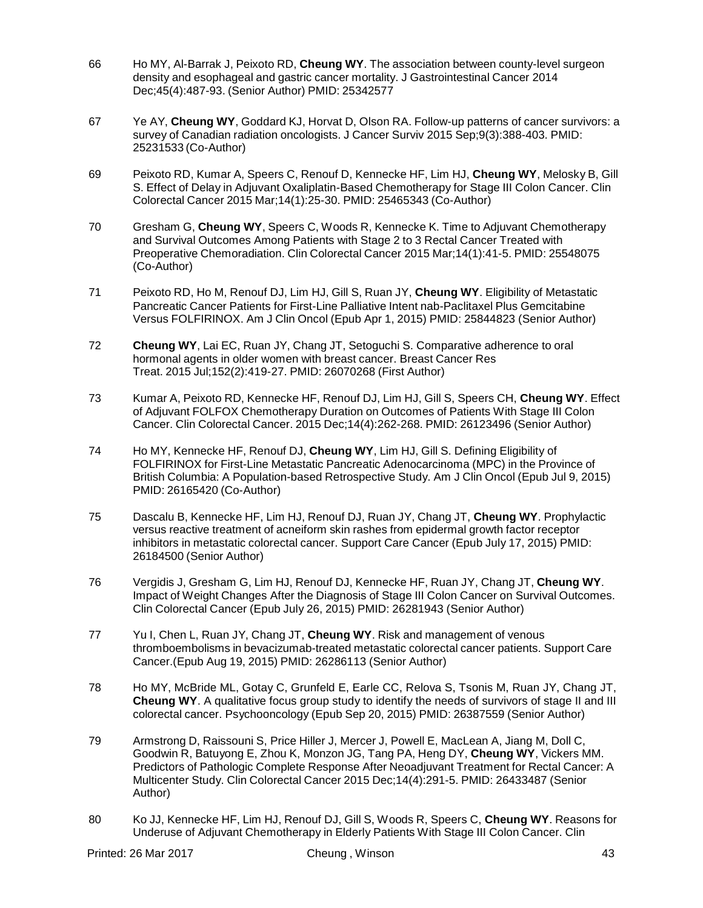- 66 Ho MY, Al-Barrak J, Peixoto RD, **Cheung WY**. The association between county-level surgeon density and esophageal and gastric cancer mortality. J Gastrointestinal Cancer 2014 Dec;45(4):487-93. (Senior Author) PMID: 25342577
- 67 Ye AY, **Cheung WY**, Goddard KJ, Horvat D, Olson RA. Follow-up patterns of cancer survivors: a survey of Canadian radiation oncologists. J Cancer Surviv 2015 Sep;9(3):388-403. PMID: 25231533 (Co-Author)
- 69 Peixoto RD, Kumar A, Speers C, Renouf D, Kennecke HF, Lim HJ, **Cheung WY**, Melosky B, Gill S. Effect of Delay in Adjuvant Oxaliplatin-Based Chemotherapy for Stage III Colon Cancer. Clin Colorectal Cancer 2015 Mar;14(1):25-30. PMID: 25465343 (Co-Author)
- 70 Gresham G, **Cheung WY**, Speers C, Woods R, Kennecke K. Time to Adjuvant Chemotherapy and Survival Outcomes Among Patients with Stage 2 to 3 Rectal Cancer Treated with Preoperative Chemoradiation. Clin Colorectal Cancer 2015 Mar;14(1):41-5. PMID: 25548075 (Co-Author)
- 71 Peixoto RD, Ho M, Renouf DJ, Lim HJ, Gill S, Ruan JY, **Cheung WY**. Eligibility of [Metastatic](http://www.ncbi.nlm.nih.gov/pubmed/25844823) Pancreatic Cancer Patients for First-Line Palliative Intent [nab-Paclitaxel](http://www.ncbi.nlm.nih.gov/pubmed/25844823) Plus Gemcitabine Versus [FOLFIRINOX.](http://www.ncbi.nlm.nih.gov/pubmed/25844823) Am J Clin Oncol (Epub Apr 1, 2015) PMID: 25844823 (Senior Author)
- 72 **Cheung WY**, Lai EC, Ruan JY, Chang JT, Setoguchi S. [Comparative](http://www.ncbi.nlm.nih.gov/pubmed/26070268) adherence to oral [hormonal](http://www.ncbi.nlm.nih.gov/pubmed/26070268) agents in older women with breast cancer. Breast Cancer Res Treat. 2015 Jul;152(2):419-27. PMID: 26070268 (First Author)
- 73 Kumar A, Peixoto RD, Kennecke HF, Renouf DJ, Lim HJ, Gill S, Speers CH, **Cheung WY**. [Effect](http://www.ncbi.nlm.nih.gov/pubmed/26123496) of Adjuvant FOLFOX [Chemotherapy](http://www.ncbi.nlm.nih.gov/pubmed/26123496) Duration on Outcomes of Patients With Stage III Colon [Cancer.](http://www.ncbi.nlm.nih.gov/pubmed/26123496) Clin Colorectal Cancer. 2015 Dec;14(4):262-268. PMID: 26123496 (Senior Author)
- 74 Ho MY, Kennecke HF, Renouf DJ, **Cheung WY**, Lim HJ, Gill S. Defining [Eligibility](http://www.ncbi.nlm.nih.gov/pubmed/26165420) of FOLFIRINOX for First-Line Metastatic Pancreatic [Adenocarcinoma](http://www.ncbi.nlm.nih.gov/pubmed/26165420) (MPC) in the Province of British Columbia: A [Population-based](http://www.ncbi.nlm.nih.gov/pubmed/26165420) Retrospective Study. Am J Clin Oncol (Epub Jul 9, 2015) PMID: 26165420 (Co-Author)
- 75 Dascalu B, Kennecke HF, Lim HJ, Renouf DJ, Ruan JY, Chang JT, **Cheung WY**. [Prophylactic](http://www.ncbi.nlm.nih.gov/pubmed/26184500) versus reactive treatment of acneiform skin rashes from [epidermal](http://www.ncbi.nlm.nih.gov/pubmed/26184500) growth factor receptor inhibitors in [metastatic](http://www.ncbi.nlm.nih.gov/pubmed/26184500) colorectal cancer. Support Care Cancer (Epub July 17, 2015) PMID: 26184500 (Senior Author)
- 76 Vergidis J, Gresham G, Lim HJ, Renouf DJ, Kennecke HF, Ruan JY, Chang JT, **Cheung WY**[.](http://www.ncbi.nlm.nih.gov/pubmed/26281943) Impact of Weight Changes After the Diagnosis of Stage III Colon Cancer on Survival [Outcomes.](http://www.ncbi.nlm.nih.gov/pubmed/26281943) Clin Colorectal Cancer (Epub July 26, 2015) PMID: 26281943 (Senior Author)
- 77 Yu I, Chen L, Ruan JY, Chang JT, **Cheung WY**. Risk and [management](http://www.ncbi.nlm.nih.gov/pubmed/26286113) of venous thromboembolisms in [bevacizumab-treated](http://www.ncbi.nlm.nih.gov/pubmed/26286113) metastatic colorectal cancer patients. Support Care Cancer.(Epub Aug 19, 2015) PMID: 26286113 (Senior Author)
- 78 Ho MY, McBride ML, Gotay C, Grunfeld E, Earle CC, Relova S, Tsonis M, Ruan JY, Chang JT, **Cheung WY**. A [qualitative](http://www.ncbi.nlm.nih.gov/pubmed/26387559) focus group study to identify the needs of survivors of stage II and III [colorectal](http://www.ncbi.nlm.nih.gov/pubmed/26387559) cancer. Psychooncology (Epub Sep 20, 2015) PMID: 26387559 (Senior Author)
- 79 Armstrong D, Raissouni S, Price Hiller J, Mercer J, Powell E, MacLean A, Jiang M, Doll C, Goodwin R, Batuyong E, Zhou K, Monzon JG, Tang PA, Heng DY, **Cheung WY**, Vickers MM[.](http://www.ncbi.nlm.nih.gov/pubmed/26433487) Predictors of Pathologic Complete Response After [Neoadjuvant](http://www.ncbi.nlm.nih.gov/pubmed/26433487) Treatment for Rectal Cancer: A [Multicenter](http://www.ncbi.nlm.nih.gov/pubmed/26433487) Study. Clin Colorectal Cancer 2015 Dec;14(4):291-5. PMID: 26433487 (Senior Author)
- 80 Ko JJ, Kennecke HF, Lim HJ, Renouf DJ, Gill S, Woods R, Speers C, **Cheung WY**. [Reasons](http://www.ncbi.nlm.nih.gov/pubmed/26520019) for Underuse of Adjuvant [Chemotherapy](http://www.ncbi.nlm.nih.gov/pubmed/26520019) in Elderly Patients With Stage III Colon Cancer. Clin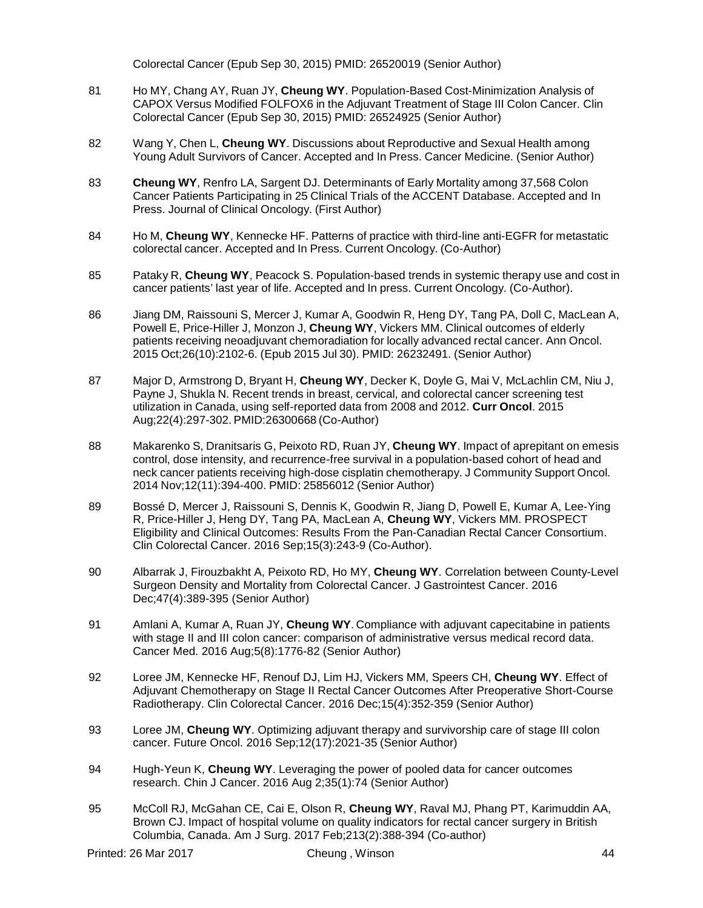Colorectal Cancer (Epub Sep 30, 2015) PMID: 26520019 (Senior Author)

- 81 Ho MY, Chang AY, Ruan JY, **Cheung WY**. Population-Based [Cost-Minimization](http://www.ncbi.nlm.nih.gov/pubmed/26524925) Analysis of CAPOX Versus Modified FOLFOX6 in the Adjuvant [Treatment](http://www.ncbi.nlm.nih.gov/pubmed/26524925) of Stage III Colon Cancer. Clin Colorectal Cancer (Epub Sep 30, 2015) PMID: 26524925 (Senior Author)
- 82 Wang Y, Chen L, **Cheung WY**. Discussions about Reproductive and Sexual Health among Young Adult Survivors of Cancer. Accepted and In Press. Cancer Medicine. (Senior Author)
- 83 **Cheung WY**, Renfro LA, Sargent DJ. Determinants of Early Mortality among 37,568 Colon Cancer Patients Participating in 25 Clinical Trials of the ACCENT Database. Accepted and In Press. Journal of Clinical Oncology. (First Author)
- 84 Ho M, **Cheung WY**, Kennecke HF. Patterns of practice with third-line anti-EGFR for metastatic colorectal cancer. Accepted and In Press. Current Oncology. (Co-Author)
- 85 Pataky R, **Cheung WY**, Peacock S. Population-based trends in systemic therapy use and cost in cancer patients' last year of life. Accepted and In press. Current Oncology. (Co-Author).
- 86 Jiang DM, Raissouni S, Mercer J, Kumar A, Goodwin R, Heng DY, Tang PA, Doll C, MacLean A, Powell E, Price-Hiller J, Monzon J, **Cheung WY**, Vickers MM. Clinical [outcomes](http://www.ncbi.nlm.nih.gov/pubmed/26232491) of elderly patients receiving neoadjuvant [chemoradiation](http://www.ncbi.nlm.nih.gov/pubmed/26232491) for locally advanced rectal cancer. Ann Oncol. 2015 Oct;26(10):2102-6. (Epub 2015 Jul 30). PMID: 26232491. (Senior Author)
- 87 Major D, Armstrong D, Bryant H, **Cheung WY**, Decker K, Doyle G, Mai V, McLachlin CM, Niu J, Payne J, Shukla N. Recent trends in breast, cervical, and colorectal cancer [screening](http://www.ncbi.nlm.nih.gov/pubmed/26300668) test utilization in Canada, using [self-reported](http://www.ncbi.nlm.nih.gov/pubmed/26300668) data from 2008 and 2012. **Curr Oncol**. 2015 Aug;22(4):297-302. PMID:26300668 (Co-Author)
- 88 Makarenko S, Dranitsaris G, Peixoto RD, Ruan JY, **Cheung WY**. Impact of [aprepitant](http://www.ncbi.nlm.nih.gov/pubmed/25856012) on emesis control, dose intensity, and recurrence-free survival in a [population-based](http://www.ncbi.nlm.nih.gov/pubmed/25856012) cohort of head and neck cancer patients receiving high-dose cisplatin [chemotherapy.](http://www.ncbi.nlm.nih.gov/pubmed/25856012) J Community Support Oncol. 2014 Nov;12(11):394-400. PMID: 25856012 (Senior Author)
- 89 Bossé D, Mercer J, Raissouni S, Dennis K, Goodwin R, Jiang D, Powell E, Kumar A, Lee-Ying R, Price-Hiller J, Heng DY, Tang PA, MacLean A, **Cheung WY**, Vickers MM. [PROSPECT](https://www.ncbi.nlm.nih.gov/pubmed/26964803)  [Eligibility and Clinical Outcomes: Results From the Pan-Canadian Rectal Cancer Consortium.](https://www.ncbi.nlm.nih.gov/pubmed/26964803) Clin Colorectal Cancer. 2016 Sep;15(3):243-9 (Co-Author).
- 90 Albarrak J, Firouzbakht A, Peixoto RD, Ho MY, **Cheung WY**. [Correlation between County-Level](https://www.ncbi.nlm.nih.gov/pubmed/27221330)  [Surgeon Density and Mortality from Colorectal Cancer.](https://www.ncbi.nlm.nih.gov/pubmed/27221330) J Gastrointest Cancer. 2016 Dec;47(4):389-395 (Senior Author)
- 91 Amlani A, Kumar A, Ruan JY, **Cheung WY**. [Compliance with adjuvant capecitabine in patients](https://www.ncbi.nlm.nih.gov/pubmed/27228415)  [with stage II and III colon cancer: comparison of administrative versus medical record data.](https://www.ncbi.nlm.nih.gov/pubmed/27228415) Cancer Med. 2016 Aug;5(8):1776-82 (Senior Author)
- 92 Loree JM, Kennecke HF, Renouf DJ, Lim HJ, Vickers MM, Speers CH, **Cheung WY**. [Effect of](https://www.ncbi.nlm.nih.gov/pubmed/27265355)  [Adjuvant Chemotherapy on Stage II Rectal Cancer Outcomes After Preoperative Short-Course](https://www.ncbi.nlm.nih.gov/pubmed/27265355)  [Radiotherapy.](https://www.ncbi.nlm.nih.gov/pubmed/27265355) Clin Colorectal Cancer. 2016 Dec;15(4):352-359 (Senior Author)
- 93 Loree JM, **Cheung WY**. [Optimizing adjuvant therapy and survivorship care of stage III colon](https://www.ncbi.nlm.nih.gov/pubmed/27301775)  [cancer.](https://www.ncbi.nlm.nih.gov/pubmed/27301775) Future Oncol. 2016 Sep;12(17):2021-35 (Senior Author)
- 94 Hugh-Yeun K, **Cheung WY**. [Leveraging the power of pooled data for cancer outcomes](https://www.ncbi.nlm.nih.gov/pubmed/27484162)  [research.](https://www.ncbi.nlm.nih.gov/pubmed/27484162) Chin J Cancer. 2016 Aug 2;35(1):74 (Senior Author)
- 95 McColl RJ, McGahan CE, Cai E, Olson R, **Cheung WY**, Raval MJ, Phang PT, Karimuddin AA, Brown CJ. [Impact of hospital volume on quality indicators for rectal cancer surgery in British](https://www.ncbi.nlm.nih.gov/pubmed/27575600)  [Columbia, Canada.](https://www.ncbi.nlm.nih.gov/pubmed/27575600) Am J Surg. 2017 Feb;213(2):388-394 (Co-author)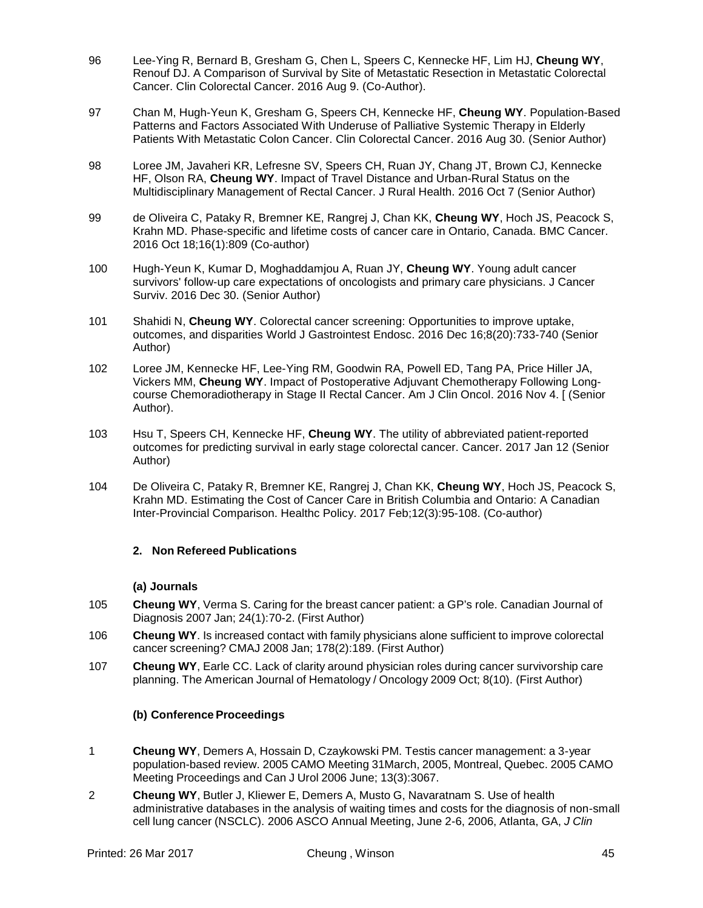- 96 Lee-Ying R, Bernard B, Gresham G, Chen L, Speers C, Kennecke HF, Lim HJ, **Cheung WY**, Renouf DJ. [A Comparison of Survival by Site of Metastatic Resection in Metastatic Colorectal](https://www.ncbi.nlm.nih.gov/pubmed/27637559)  [Cancer.](https://www.ncbi.nlm.nih.gov/pubmed/27637559) Clin Colorectal Cancer. 2016 Aug 9. (Co-Author).
- 97 Chan M, Hugh-Yeun K, Gresham G, Speers CH, Kennecke HF, **Cheung WY**. [Population-Based](https://www.ncbi.nlm.nih.gov/pubmed/27670894) [Patterns and Factors Associated With Underuse of Palliative Systemic Therapy in Elderly](https://www.ncbi.nlm.nih.gov/pubmed/27670894)  [Patients With Metastatic Colon Cancer.](https://www.ncbi.nlm.nih.gov/pubmed/27670894) Clin Colorectal Cancer. 2016 Aug 30. (Senior Author)
- 98 Loree JM, Javaheri KR, Lefresne SV, Speers CH, Ruan JY, Chang JT, Brown CJ, Kennecke HF, Olson RA, **Cheung WY**. [Impact of Travel Distance and Urban-Rural Status on the](https://www.ncbi.nlm.nih.gov/pubmed/27717002)  [Multidisciplinary Management of Rectal Cancer.](https://www.ncbi.nlm.nih.gov/pubmed/27717002) J Rural Health. 2016 Oct 7 (Senior Author)
- 99 de Oliveira C, Pataky R, Bremner KE, Rangrej J, Chan KK, **Cheung WY**, Hoch JS, Peacock S, Krahn MD. [Phase-specific and lifetime costs of cancer care in Ontario, Canada.](https://www.ncbi.nlm.nih.gov/pubmed/27756310) BMC Cancer. 2016 Oct 18;16(1):809 (Co-author)
- 100 Hugh-Yeun K, Kumar D, Moghaddamjou A, Ruan JY, **Cheung WY**. [Young adult cancer](https://www.ncbi.nlm.nih.gov/pubmed/28039569)  [survivors' follow-up care expectations of oncologists and primary care physicians.](https://www.ncbi.nlm.nih.gov/pubmed/28039569) J Cancer Surviv. 2016 Dec 30. (Senior Author)
- 101 Shahidi N, **Cheung WY**. [Colorectal cancer screening: Opportunities to improve uptake,](https://www.ncbi.nlm.nih.gov/pubmed/28042387)  [outcomes, and disparities](https://www.ncbi.nlm.nih.gov/pubmed/28042387) World J Gastrointest Endosc. 2016 Dec 16;8(20):733-740 (Senior Author)
- 102 Loree JM, Kennecke HF, Lee-Ying RM, Goodwin RA, Powell ED, Tang PA, Price Hiller JA, Vickers MM, **Cheung WY**. [Impact of Postoperative Adjuvant Chemotherapy Following Long](https://www.ncbi.nlm.nih.gov/pubmed/27819876)[course Chemoradiotherapy in Stage II Rectal Cancer.](https://www.ncbi.nlm.nih.gov/pubmed/27819876) Am J Clin Oncol. 2016 Nov 4. [ (Senior Author).
- 103 Hsu T, Speers CH, Kennecke HF, **Cheung WY**. [The utility of abbreviated patient-reported](https://www.ncbi.nlm.nih.gov/pubmed/28081292)  [outcomes for predicting survival in early stage colorectal cancer.](https://www.ncbi.nlm.nih.gov/pubmed/28081292) Cancer. 2017 Jan 12 (Senior Author)
- 104 De Oliveira C, Pataky R, Bremner KE, Rangrej J, Chan KK, **Cheung WY**, Hoch JS, Peacock S, Krahn MD. [Estimating the Cost of Cancer Care in British Columbia and Ontario: A Canadian](https://www.ncbi.nlm.nih.gov/pubmed/28277207)  [Inter-Provincial Comparison.](https://www.ncbi.nlm.nih.gov/pubmed/28277207) Healthc Policy. 2017 Feb;12(3):95-108. (Co-author)

#### **2. Non Refereed Publications**

### **(a) Journals**

- 105 **Cheung WY**, Verma S. Caring for the breast cancer patient: a GP's role. Canadian Journal of Diagnosis 2007 Jan; 24(1):70-2. (First Author)
- 106 **Cheung WY**. Is increased contact with family physicians alone sufficient to improve colorectal cancer screening? CMAJ 2008 Jan; 178(2):189. (First Author)
- 107 **Cheung WY**, Earle CC. Lack of clarity around physician roles during cancer survivorship care planning. The American Journal of Hematology / Oncology 2009 Oct; 8(10). (First Author)

# **(b) Conference Proceedings**

- 1 **Cheung WY**, Demers A, Hossain D, Czaykowski PM. Testis cancer management: a 3-year population-based review. 2005 CAMO Meeting 31March, 2005, Montreal, Quebec. 2005 CAMO Meeting Proceedings and Can J Urol 2006 June; 13(3):3067.
- 2 **Cheung WY**, Butler J, Kliewer E, Demers A, Musto G, Navaratnam S. Use of health administrative databases in the analysis of waiting times and costs for the diagnosis of non-small cell lung cancer (NSCLC). 2006 ASCO Annual Meeting, June 2-6, 2006, Atlanta, GA, *J Clin*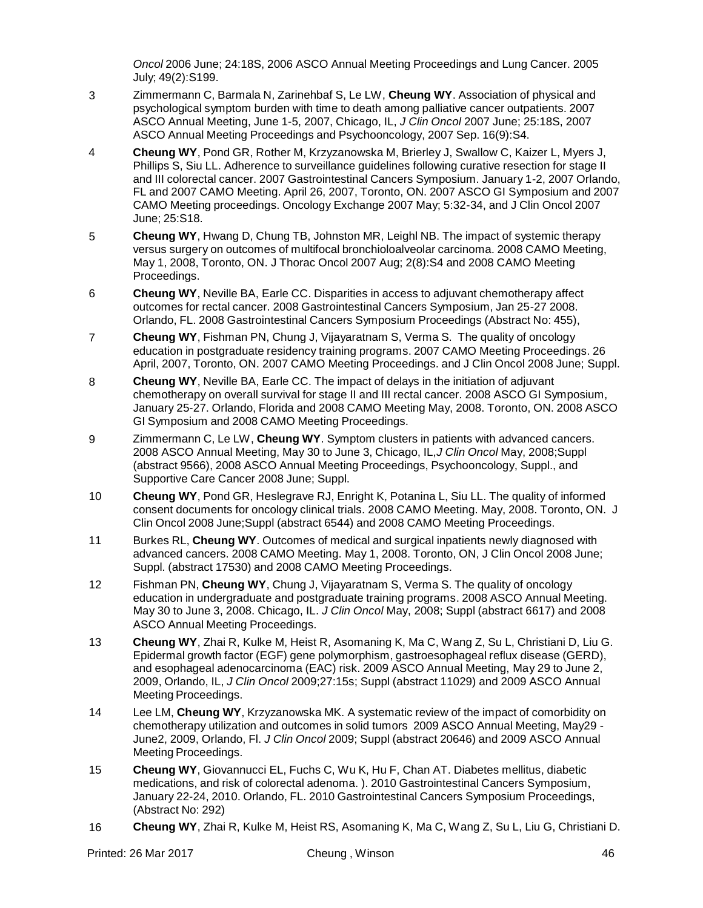*Oncol* 2006 June; 24:18S, 2006 ASCO Annual Meeting Proceedings and Lung Cancer. 2005 July; 49(2):S199.

- 3 Zimmermann C, Barmala N, Zarinehbaf S, Le LW, **Cheung WY**. Association of physical and psychological symptom burden with time to death among palliative cancer outpatients. 2007 ASCO Annual Meeting, June 1-5, 2007, Chicago, IL, *J Clin Oncol* 2007 June; 25:18S, 2007 ASCO Annual Meeting Proceedings and Psychooncology, 2007 Sep. 16(9):S4.
- 4 **Cheung WY**, Pond GR, Rother M, Krzyzanowska M, Brierley J, Swallow C, Kaizer L, Myers J, Phillips S, Siu LL. Adherence to surveillance guidelines following curative resection for stage II and III colorectal cancer. 2007 Gastrointestinal Cancers Symposium. January 1-2, 2007 Orlando, FL and 2007 CAMO Meeting. April 26, 2007, Toronto, ON. 2007 ASCO GI Symposium and 2007 CAMO Meeting proceedings. Oncology Exchange 2007 May; 5:32-34, and J Clin Oncol 2007 June; 25:S18.
- 5 **Cheung WY**, Hwang D, Chung TB, Johnston MR, Leighl NB. The impact of systemic therapy versus surgery on outcomes of multifocal bronchioloalveolar carcinoma. 2008 CAMO Meeting, May 1, 2008, Toronto, ON. J Thorac Oncol 2007 Aug; 2(8):S4 and 2008 CAMO Meeting Proceedings.
- 6 **Cheung WY**, Neville BA, Earle CC. Disparities in access to adjuvant chemotherapy affect outcomes for rectal cancer. 2008 Gastrointestinal Cancers Symposium, Jan 25-27 2008. Orlando, FL. 2008 Gastrointestinal Cancers Symposium Proceedings (Abstract No: 455),
- 7 **Cheung WY**, Fishman PN, Chung J, Vijayaratnam S, Verma S. The quality of oncology education in postgraduate residency training programs. 2007 CAMO Meeting Proceedings. 26 April, 2007, Toronto, ON. 2007 CAMO Meeting Proceedings. and J Clin Oncol 2008 June; Suppl.
- 8 **Cheung WY**, Neville BA, Earle CC. The impact of delays in the initiation of adjuvant chemotherapy on overall survival for stage II and III rectal cancer. 2008 ASCO GI Symposium, January 25-27. Orlando, Florida and 2008 CAMO Meeting May, 2008. Toronto, ON. 2008 ASCO GI Symposium and 2008 CAMO Meeting Proceedings.
- 9 Zimmermann C, Le LW, **Cheung WY**. Symptom clusters in patients with advanced cancers. 2008 ASCO Annual Meeting, May 30 to June 3, Chicago, IL,*J Clin Oncol* May, 2008;Suppl (abstract 9566), 2008 ASCO Annual Meeting Proceedings, Psychooncology, Suppl., and Supportive Care Cancer 2008 June; Suppl.
- 10 **Cheung WY**, Pond GR, Heslegrave RJ, Enright K, Potanina L, Siu LL. The quality of informed consent documents for oncology clinical trials. 2008 CAMO Meeting. May, 2008. Toronto, ON. J Clin Oncol 2008 June;Suppl (abstract 6544) and 2008 CAMO Meeting Proceedings.
- 11 Burkes RL, **Cheung WY**. Outcomes of medical and surgical inpatients newly diagnosed with advanced cancers. 2008 CAMO Meeting. May 1, 2008. Toronto, ON, J Clin Oncol 2008 June; Suppl. (abstract 17530) and 2008 CAMO Meeting Proceedings.
- 12 Fishman PN, **Cheung WY**, Chung J, Vijayaratnam S, Verma S. The quality of oncology education in undergraduate and postgraduate training programs. 2008 ASCO Annual Meeting. May 30 to June 3, 2008. Chicago, IL. *J Clin Oncol* May, 2008; Suppl (abstract 6617) and 2008 ASCO Annual Meeting Proceedings.
- 13 **Cheung WY**, Zhai R, Kulke M, Heist R, Asomaning K, Ma C, Wang Z, Su L, Christiani D, Liu G. Epidermal growth factor (EGF) gene polymorphism, gastroesophageal reflux disease (GERD), and esophageal adenocarcinoma (EAC) risk. 2009 ASCO Annual Meeting, May 29 to June 2, 2009, Orlando, IL, *J Clin Oncol* 2009;27:15s; Suppl (abstract 11029) and 2009 ASCO Annual Meeting Proceedings.
- 14 Lee LM, **Cheung WY**, Krzyzanowska MK. A systematic review of the impact of comorbidity on chemotherapy utilization and outcomes in solid tumors 2009 ASCO Annual Meeting, May29 - June2, 2009, Orlando, Fl. *J Clin Oncol* 2009; Suppl (abstract 20646) and 2009 ASCO Annual Meeting Proceedings.
- 15 **Cheung WY**, Giovannucci EL, Fuchs C, Wu K, Hu F, Chan AT. Diabetes mellitus, diabetic medications, and risk of colorectal adenoma. ). 2010 Gastrointestinal Cancers Symposium, January 22-24, 2010. Orlando, FL. 2010 Gastrointestinal Cancers Symposium Proceedings, (Abstract No: 292)
- 16 **Cheung WY**, Zhai R, Kulke M, Heist RS, Asomaning K, Ma C, Wang Z, Su L, Liu G, Christiani D.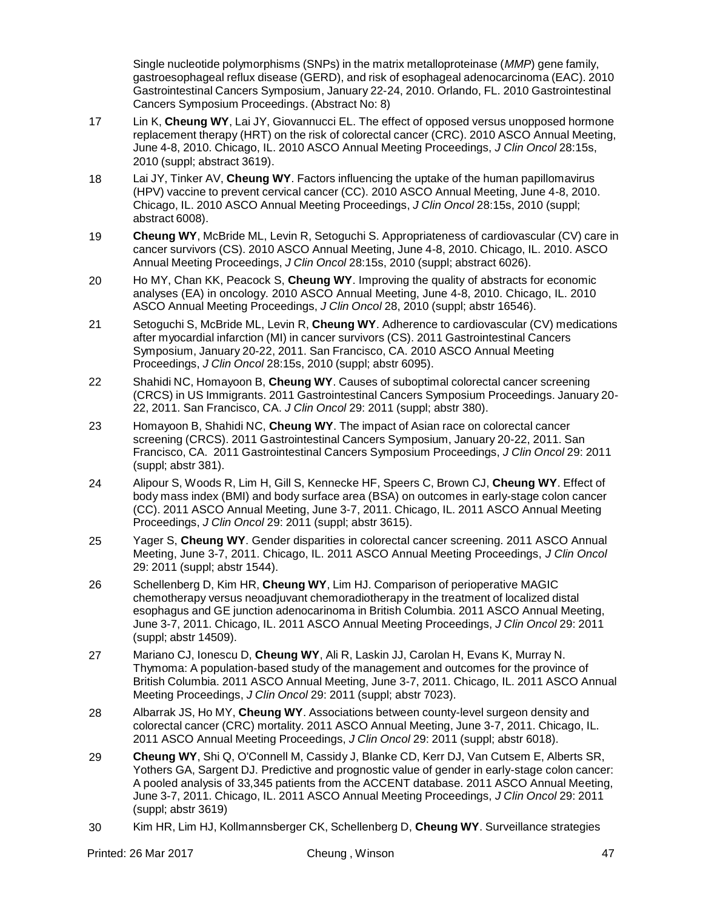Single nucleotide polymorphisms (SNPs) in the matrix metalloproteinase (*MMP*) gene family, gastroesophageal reflux disease (GERD), and risk of esophageal adenocarcinoma (EAC). 2010 Gastrointestinal Cancers Symposium, January 22-24, 2010. Orlando, FL. 2010 Gastrointestinal Cancers Symposium Proceedings. (Abstract No: 8)

- 17 Lin K, **Cheung WY**, Lai JY, Giovannucci EL. The effect of opposed versus unopposed hormone replacement therapy (HRT) on the risk of colorectal cancer (CRC). 2010 ASCO Annual Meeting, June 4-8, 2010. Chicago, IL. 2010 ASCO Annual Meeting Proceedings, *J Clin Oncol* 28:15s, 2010 (suppl; abstract 3619).
- 18 Lai JY, Tinker AV, **Cheung WY**. Factors influencing the uptake of the human papillomavirus (HPV) vaccine to prevent cervical cancer (CC). 2010 ASCO Annual Meeting, June 4-8, 2010. Chicago, IL. 2010 ASCO Annual Meeting Proceedings, *J Clin Oncol* 28:15s, 2010 (suppl; abstract 6008).
- 19 **Cheung WY**, McBride ML, Levin R, Setoguchi S. Appropriateness of cardiovascular (CV) care in cancer survivors (CS). 2010 ASCO Annual Meeting, June 4-8, 2010. Chicago, IL. 2010. ASCO Annual Meeting Proceedings, *J Clin Oncol* 28:15s, 2010 (suppl; abstract 6026).
- 20 Ho MY, Chan KK, Peacock S, **Cheung WY**. Improving the quality of abstracts for economic analyses (EA) in oncology. 2010 ASCO Annual Meeting, June 4-8, 2010. Chicago, IL. 2010 ASCO Annual Meeting Proceedings, *J Clin Oncol* 28, 2010 (suppl; abstr 16546).
- 21 Setoguchi S, McBride ML, Levin R, **Cheung WY**. Adherence to cardiovascular (CV) medications after myocardial infarction (MI) in cancer survivors (CS). 2011 Gastrointestinal Cancers Symposium, January 20-22, 2011. San Francisco, CA. 2010 ASCO Annual Meeting Proceedings, *J Clin Oncol* 28:15s, 2010 (suppl; abstr 6095).
- 22 Shahidi NC, Homayoon B, **Cheung WY**. Causes of suboptimal colorectal cancer screening (CRCS) in US Immigrants. 2011 Gastrointestinal Cancers Symposium Proceedings. January 20- 22, 2011. San Francisco, CA. *J Clin Oncol* 29: 2011 (suppl; abstr 380).
- 23 Homayoon B, Shahidi NC, **Cheung WY**. The impact of Asian race on colorectal cancer screening (CRCS). 2011 Gastrointestinal Cancers Symposium, January 20-22, 2011. San Francisco, CA. 2011 Gastrointestinal Cancers Symposium Proceedings, *J Clin Oncol* 29: 2011 (suppl; abstr 381).
- 24 Alipour S, Woods R, Lim H, Gill S, Kennecke HF, Speers C, Brown CJ, **Cheung WY**. Effect of body mass index (BMI) and body surface area (BSA) on outcomes in early-stage colon cancer (CC). 2011 ASCO Annual Meeting, June 3-7, 2011. Chicago, IL. 2011 ASCO Annual Meeting Proceedings, *J Clin Oncol* 29: 2011 (suppl; abstr 3615).
- 25 Yager S, **Cheung WY**. Gender disparities in colorectal cancer screening. 2011 ASCO Annual Meeting, June 3-7, 2011. Chicago, IL. 2011 ASCO Annual Meeting Proceedings, *J Clin Oncol* 29: 2011 (suppl; abstr 1544).
- 26 Schellenberg D, Kim HR, **Cheung WY**, Lim HJ. Comparison of perioperative MAGIC chemotherapy versus neoadjuvant chemoradiotherapy in the treatment of localized distal esophagus and GE junction adenocarinoma in British Columbia. 2011 ASCO Annual Meeting, June 3-7, 2011. Chicago, IL. 2011 ASCO Annual Meeting Proceedings, *J Clin Oncol* 29: 2011 (suppl; abstr 14509).
- 27 Mariano CJ, Ionescu D, **Cheung WY**, Ali R, Laskin JJ, Carolan H, Evans K, Murray N. Thymoma: A population-based study of the management and outcomes for the province of British Columbia. 2011 ASCO Annual Meeting, June 3-7, 2011. Chicago, IL. 2011 ASCO Annual Meeting Proceedings, *J Clin Oncol* 29: 2011 (suppl; abstr 7023).
- 28 Albarrak JS, Ho MY, **Cheung WY**. Associations between county-level surgeon density and colorectal cancer (CRC) mortality. 2011 ASCO Annual Meeting, June 3-7, 2011. Chicago, IL. 2011 ASCO Annual Meeting Proceedings, *J Clin Oncol* 29: 2011 (suppl; abstr 6018).
- 29 **Cheung WY**, Shi Q, O'Connell M, Cassidy J, Blanke CD, Kerr DJ, Van Cutsem E, Alberts SR, Yothers GA, Sargent DJ. Predictive and prognostic value of gender in early-stage colon cancer: A pooled analysis of 33,345 patients from the ACCENT database. 2011 ASCO Annual Meeting, June 3-7, 2011. Chicago, IL. 2011 ASCO Annual Meeting Proceedings, *J Clin Oncol* 29: 2011 (suppl; abstr 3619)
- 30 Kim HR, Lim HJ, Kollmannsberger CK, Schellenberg D, **Cheung WY**. Surveillance strategies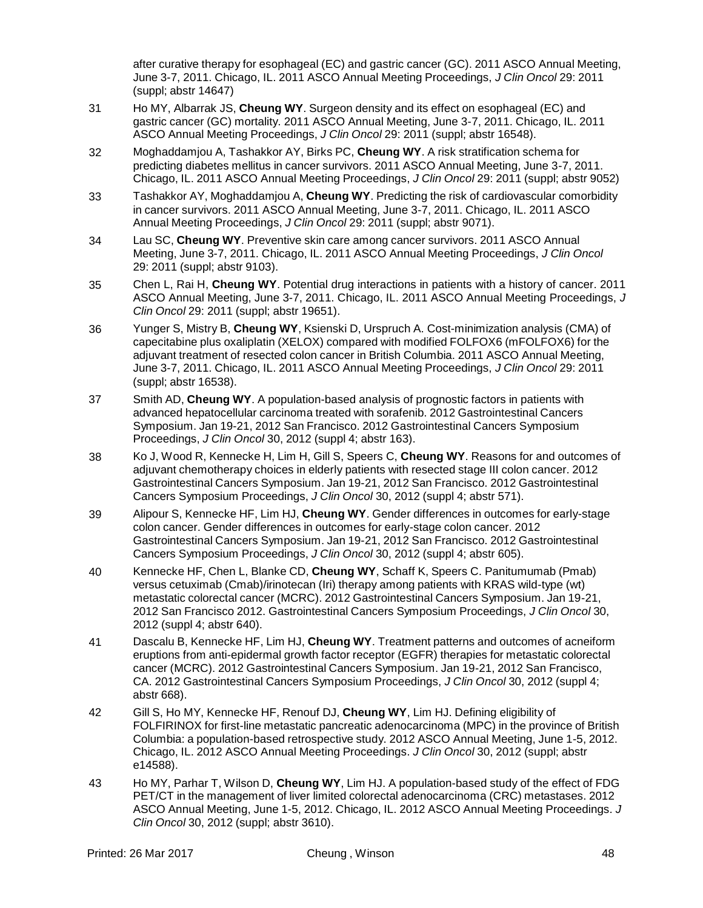after curative therapy for esophageal (EC) and gastric cancer (GC). 2011 ASCO Annual Meeting, June 3-7, 2011. Chicago, IL. 2011 ASCO Annual Meeting Proceedings, *J Clin Oncol* 29: 2011 (suppl; abstr 14647)

- 31 Ho MY, Albarrak JS, **Cheung WY**. Surgeon density and its effect on esophageal (EC) and gastric cancer (GC) mortality. 2011 ASCO Annual Meeting, June 3-7, 2011. Chicago, IL. 2011 ASCO Annual Meeting Proceedings, *J Clin Oncol* 29: 2011 (suppl; abstr 16548).
- 32 Moghaddamjou A, Tashakkor AY, Birks PC, **Cheung WY**. A risk stratification schema for predicting diabetes mellitus in cancer survivors. 2011 ASCO Annual Meeting, June 3-7, 2011. Chicago, IL. 2011 ASCO Annual Meeting Proceedings, *J Clin Oncol* 29: 2011 (suppl; abstr 9052)
- 33 Tashakkor AY, Moghaddamjou A, **Cheung WY**. Predicting the risk of cardiovascular comorbidity in cancer survivors. 2011 ASCO Annual Meeting, June 3-7, 2011. Chicago, IL. 2011 ASCO Annual Meeting Proceedings, *J Clin Oncol* 29: 2011 (suppl; abstr 9071).
- 34 Lau SC, **Cheung WY**. Preventive skin care among cancer survivors. 2011 ASCO Annual Meeting, June 3-7, 2011. Chicago, IL. 2011 ASCO Annual Meeting Proceedings, *J Clin Oncol* 29: 2011 (suppl; abstr 9103).
- 35 Chen L, Rai H, **Cheung WY**. Potential drug interactions in patients with a history of cancer. 2011 ASCO Annual Meeting, June 3-7, 2011. Chicago, IL. 2011 ASCO Annual Meeting Proceedings, *J Clin Oncol* 29: 2011 (suppl; abstr 19651).
- 36 Yunger S, Mistry B, **Cheung WY**, Ksienski D, Urspruch A. Cost-minimization analysis (CMA) of capecitabine plus oxaliplatin (XELOX) compared with modified FOLFOX6 (mFOLFOX6) for the adjuvant treatment of resected colon cancer in British Columbia. 2011 ASCO Annual Meeting, June 3-7, 2011. Chicago, IL. 2011 ASCO Annual Meeting Proceedings, *J Clin Oncol* 29: 2011 (suppl; abstr 16538).
- 37 Smith AD, **Cheung WY**. A population-based analysis of prognostic factors in patients with advanced hepatocellular carcinoma treated with sorafenib. 2012 Gastrointestinal Cancers Symposium. Jan 19-21, 2012 San Francisco. 2012 Gastrointestinal Cancers Symposium Proceedings, *J Clin Oncol* 30, 2012 (suppl 4; abstr 163).
- 38 Ko J, Wood R, Kennecke H, Lim H, Gill S, Speers C, **Cheung WY**. Reasons for and outcomes of adjuvant chemotherapy choices in elderly patients with resected stage III colon cancer. 2012 Gastrointestinal Cancers Symposium. Jan 19-21, 2012 San Francisco. 2012 Gastrointestinal Cancers Symposium Proceedings, *J Clin Oncol* 30, 2012 (suppl 4; abstr 571).
- 39 Alipour S, Kennecke HF, Lim HJ, **Cheung WY**. Gender differences in outcomes for early-stage colon cancer. Gender differences in outcomes for early-stage colon cancer. 2012 Gastrointestinal Cancers Symposium. Jan 19-21, 2012 San Francisco. 2012 Gastrointestinal Cancers Symposium Proceedings, *J Clin Oncol* 30, 2012 (suppl 4; abstr 605).
- 40 Kennecke HF, Chen L, Blanke CD, **Cheung WY**, Schaff K, Speers C. Panitumumab (Pmab) versus cetuximab (Cmab)/irinotecan (Iri) therapy among patients with KRAS wild-type (wt) metastatic colorectal cancer (MCRC). 2012 Gastrointestinal Cancers Symposium. Jan 19-21, 2012 San Francisco 2012. Gastrointestinal Cancers Symposium Proceedings, *J Clin Oncol* 30, 2012 (suppl 4; abstr 640).
- 41 Dascalu B, Kennecke HF, Lim HJ, **Cheung WY**. Treatment patterns and outcomes of acneiform eruptions from anti-epidermal growth factor receptor (EGFR) therapies for metastatic colorectal cancer (MCRC). 2012 Gastrointestinal Cancers Symposium. Jan 19-21, 2012 San Francisco, CA. 2012 Gastrointestinal Cancers Symposium Proceedings, *J Clin Oncol* 30, 2012 (suppl 4; abstr 668).
- 42 Gill S, Ho MY, Kennecke HF, Renouf DJ, **Cheung WY**, Lim HJ. Defining eligibility of FOLFIRINOX for first-line metastatic pancreatic adenocarcinoma (MPC) in the province of British Columbia: a population-based retrospective study. 2012 ASCO Annual Meeting, June 1-5, 2012. Chicago, IL. 2012 ASCO Annual Meeting Proceedings. *J Clin Oncol* 30, 2012 (suppl; abstr e14588).
- 43 Ho MY, Parhar T, Wilson D, **Cheung WY**, Lim HJ. A population-based study of the effect of FDG PET/CT in the management of liver limited colorectal adenocarcinoma (CRC) metastases. 2012 ASCO Annual Meeting, June 1-5, 2012. Chicago, IL. 2012 ASCO Annual Meeting Proceedings. *J Clin Oncol* 30, 2012 (suppl; abstr 3610).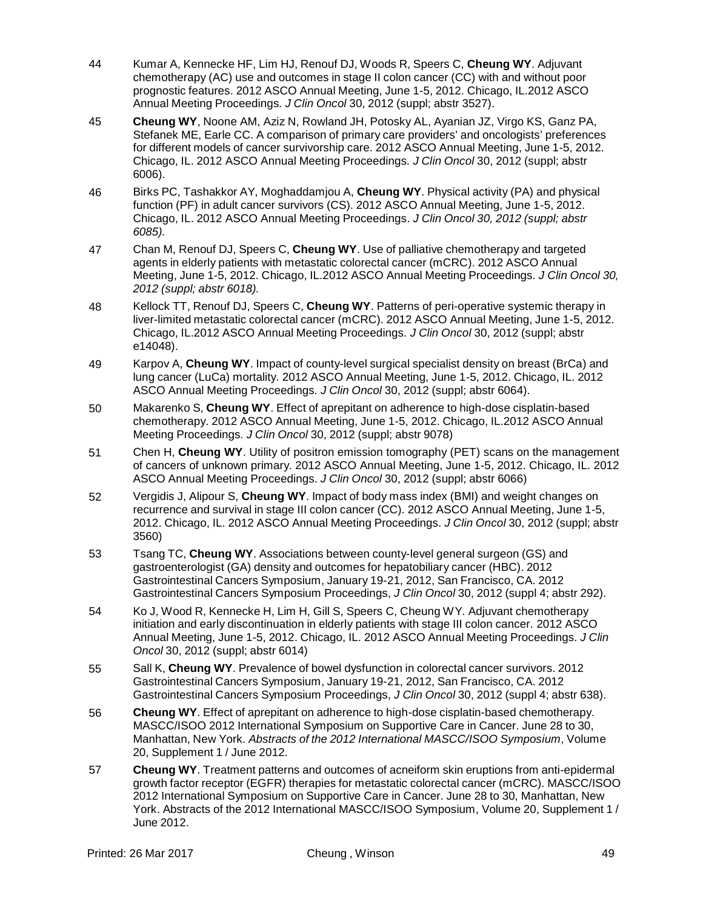- 44 Kumar A, Kennecke HF, Lim HJ, Renouf DJ, Woods R, Speers C, **Cheung WY**. Adjuvant chemotherapy (AC) use and outcomes in stage II colon cancer (CC) with and without poor prognostic features. 2012 ASCO Annual Meeting, June 1-5, 2012. Chicago, IL.2012 ASCO Annual Meeting Proceedings*. J Clin Oncol* 30, 2012 (suppl; abstr 3527).
- 45 **Cheung WY**, Noone AM, Aziz N, Rowland JH, Potosky AL, Ayanian JZ, Virgo KS, Ganz PA, Stefanek ME, Earle CC. A comparison of primary care providers' and oncologists' preferences for different models of cancer survivorship care. 2012 ASCO Annual Meeting, June 1-5, 2012. Chicago, IL. 2012 ASCO Annual Meeting Proceedings*. J Clin Oncol* 30, 2012 (suppl; abstr 6006).
- 46 Birks PC, Tashakkor AY, Moghaddamjou A, **Cheung WY**. Physical activity (PA) and physical function (PF) in adult cancer survivors (CS). 2012 ASCO Annual Meeting, June 1-5, 2012. Chicago, IL. 2012 ASCO Annual Meeting Proceedings. *J Clin Oncol 30, 2012 (suppl; abstr 6085).*
- 47 Chan M, Renouf DJ, Speers C, **Cheung WY**. Use of palliative chemotherapy and targeted agents in elderly patients with metastatic colorectal cancer (mCRC). 2012 ASCO Annual Meeting, June 1-5, 2012. Chicago, IL.2012 ASCO Annual Meeting Proceedings. *J Clin Oncol 30, 2012 (suppl; abstr 6018).*
- 48 Kellock TT, Renouf DJ, Speers C, **Cheung WY**. Patterns of peri-operative systemic therapy in liver-limited metastatic colorectal cancer (mCRC). 2012 ASCO Annual Meeting, June 1-5, 2012. Chicago, IL.2012 ASCO Annual Meeting Proceedings. *J Clin Oncol* 30, 2012 (suppl; abstr e14048).
- 49 Karpov A, **Cheung WY**. Impact of county-level surgical specialist density on breast (BrCa) and lung cancer (LuCa) mortality. 2012 ASCO Annual Meeting, June 1-5, 2012. Chicago, IL. 2012 ASCO Annual Meeting Proceedings*. J Clin Oncol* 30, 2012 (suppl; abstr 6064).
- 50 Makarenko S, **Cheung WY**. Effect of aprepitant on adherence to high-dose cisplatin-based chemotherapy. 2012 ASCO Annual Meeting, June 1-5, 2012. Chicago, IL.2012 ASCO Annual Meeting Proceedings*. J Clin Oncol* 30, 2012 (suppl; abstr 9078)
- 51 Chen H, **Cheung WY**. Utility of positron emission tomography (PET) scans on the management of cancers of unknown primary. 2012 ASCO Annual Meeting, June 1-5, 2012. Chicago, IL. 2012 ASCO Annual Meeting Proceedings. *J Clin Oncol* 30, 2012 (suppl; abstr 6066)
- 52 Vergidis J, Alipour S, **Cheung WY**. Impact of body mass index (BMI) and weight changes on recurrence and survival in stage III colon cancer (CC). 2012 ASCO Annual Meeting, June 1-5, 2012. Chicago, IL. 2012 ASCO Annual Meeting Proceedings. *J Clin Oncol* 30, 2012 (suppl; abstr 3560)
- 53 Tsang TC, **Cheung WY**. Associations between county-level general surgeon (GS) and gastroenterologist (GA) density and outcomes for hepatobiliary cancer (HBC). 2012 Gastrointestinal Cancers Symposium, January 19-21, 2012, San Francisco, CA. 2012 Gastrointestinal Cancers Symposium Proceedings, *J Clin Oncol* 30, 2012 (suppl 4; abstr 292).
- 54 Ko J, Wood R, Kennecke H, Lim H, Gill S, Speers C, Cheung WY. Adjuvant chemotherapy initiation and early discontinuation in elderly patients with stage III colon cancer. 2012 ASCO Annual Meeting, June 1-5, 2012. Chicago, IL. 2012 ASCO Annual Meeting Proceedings. *J Clin Oncol* 30, 2012 (suppl; abstr 6014)
- 55 Sall K, **Cheung WY**. Prevalence of bowel dysfunction in colorectal cancer survivors. 2012 Gastrointestinal Cancers Symposium, January 19-21, 2012, San Francisco, CA. 2012 Gastrointestinal Cancers Symposium Proceedings, *J Clin Oncol* 30, 2012 (suppl 4; abstr 638).
- 56 **Cheung WY**. Effect of aprepitant on adherence to high-dose cisplatin-based chemotherapy. MASCC/ISOO 2012 International Symposium on Supportive Care in Cancer. June 28 to 30, Manhattan, New York*. Abstracts of the 2012 International MASCC/ISOO Symposium*, [Volume](http://www.springerlink.com/content/0941-4355/20/) [20,](http://www.springerlink.com/content/0941-4355/20/) Supplement 1 / June 2012.
- 57 **Cheung WY**. Treatment patterns and outcomes of acneiform skin eruptions from anti-epidermal growth factor receptor (EGFR) therapies for metastatic colorectal cancer (mCRC). MASCC/ISOO 2012 International Symposium on Supportive Care in Cancer. June 28 to 30, Manhattan, New York. Abstracts of the 2012 International MASCC/ISOO Symposium, [Volume](http://www.springerlink.com/content/0941-4355/20/) 20, Supplement 1 / June 2012.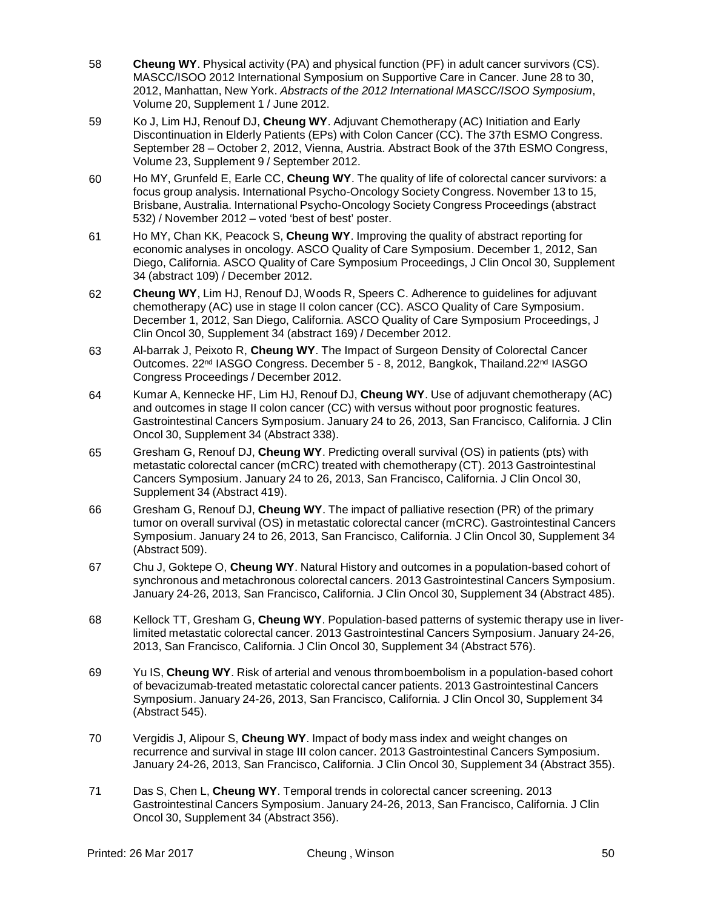- 58 **Cheung WY**. Physical activity (PA) and physical function (PF) in adult cancer survivors (CS). MASCC/ISOO 2012 International Symposium on Supportive Care in Cancer. June 28 to 30, 2012, Manhattan, New York. *Abstracts of the 2012 International MASCC/ISOO Symposium*[,](http://www.springerlink.com/content/0941-4355/20/) [Volume](http://www.springerlink.com/content/0941-4355/20/) 20, Supplement 1 / June 2012.
- 59 Ko J, Lim HJ, Renouf DJ, **Cheung WY**. Adjuvant Chemotherapy (AC) Initiation and Early Discontinuation in Elderly Patients (EPs) with Colon Cancer (CC). The 37th ESMO Congress. September 28 – October 2, 2012, Vienna, Austria. Abstract Book of the 37th ESMO Congress, Volume 23, Supplement 9 / September 2012.
- 60 Ho MY, Grunfeld E, Earle CC, **Cheung WY**. The quality of life of colorectal cancer survivors: a focus group analysis. International Psycho-Oncology Society Congress. November 13 to 15, Brisbane, Australia. International Psycho-Oncology Society Congress Proceedings (abstract 532) / November 2012 – voted 'best of best' poster.
- 61 Ho MY, Chan KK, Peacock S, **Cheung WY**. Improving the quality of abstract reporting for economic analyses in oncology. ASCO Quality of Care Symposium. December 1, 2012, San Diego, California. ASCO Quality of Care Symposium Proceedings, J Clin Oncol 30, Supplement 34 (abstract 109) / December 2012.
- 62 **Cheung WY**, Lim HJ, Renouf DJ, Woods R, Speers C. Adherence to guidelines for adjuvant chemotherapy (AC) use in stage II colon cancer (CC). ASCO Quality of Care Symposium. December 1, 2012, San Diego, California. ASCO Quality of Care Symposium Proceedings, J Clin Oncol 30, Supplement 34 (abstract 169) / December 2012.
- 63 Al-barrak J, Peixoto R, **Cheung WY**. The Impact of Surgeon Density of Colorectal Cancer Outcomes. 22<sup>nd</sup> IASGO Congress. December 5 - 8, 2012, Bangkok, Thailand.22<sup>nd</sup> IASGO Congress Proceedings / December 2012.
- 64 Kumar A, Kennecke HF, Lim HJ, Renouf DJ, **Cheung WY**. Use of adjuvant chemotherapy (AC) and outcomes in stage II colon cancer (CC) with versus without poor prognostic features. Gastrointestinal Cancers Symposium. January 24 to 26, 2013, San Francisco, California. J Clin Oncol 30, Supplement 34 (Abstract 338).
- 65 Gresham G, Renouf DJ, **Cheung WY**. Predicting overall survival (OS) in patients (pts) with metastatic colorectal cancer (mCRC) treated with chemotherapy (CT). 2013 Gastrointestinal Cancers Symposium. January 24 to 26, 2013, San Francisco, California. J Clin Oncol 30, Supplement 34 (Abstract 419).
- 66 Gresham G, Renouf DJ, **Cheung WY**. The impact of palliative resection (PR) of the primary tumor on overall survival (OS) in metastatic colorectal cancer (mCRC). Gastrointestinal Cancers Symposium. January 24 to 26, 2013, San Francisco, California. J Clin Oncol 30, Supplement 34 (Abstract 509).
- 67 Chu J, Goktepe O, **Cheung WY**. Natural History and outcomes in a population-based cohort of synchronous and metachronous colorectal cancers. 2013 Gastrointestinal Cancers Symposium. January 24-26, 2013, San Francisco, California. J Clin Oncol 30, Supplement 34 (Abstract 485).
- 68 Kellock TT, Gresham G, **Cheung WY**. Population-based patterns of systemic therapy use in liverlimited metastatic colorectal cancer. 2013 Gastrointestinal Cancers Symposium. January 24-26, 2013, San Francisco, California. J Clin Oncol 30, Supplement 34 (Abstract 576).
- 69 Yu IS, **Cheung WY**. Risk of arterial and venous thromboembolism in a population-based cohort of bevacizumab-treated metastatic colorectal cancer patients. 2013 Gastrointestinal Cancers Symposium. January 24-26, 2013, San Francisco, California. J Clin Oncol 30, Supplement 34 (Abstract 545).
- 70 Vergidis J, Alipour S, **Cheung WY**. Impact of body mass index and weight changes on recurrence and survival in stage III colon cancer. 2013 Gastrointestinal Cancers Symposium. January 24-26, 2013, San Francisco, California. J Clin Oncol 30, Supplement 34 (Abstract 355).
- 71 Das S, Chen L, **Cheung WY**. Temporal trends in colorectal cancer screening. 2013 Gastrointestinal Cancers Symposium. January 24-26, 2013, San Francisco, California. J Clin Oncol 30, Supplement 34 (Abstract 356).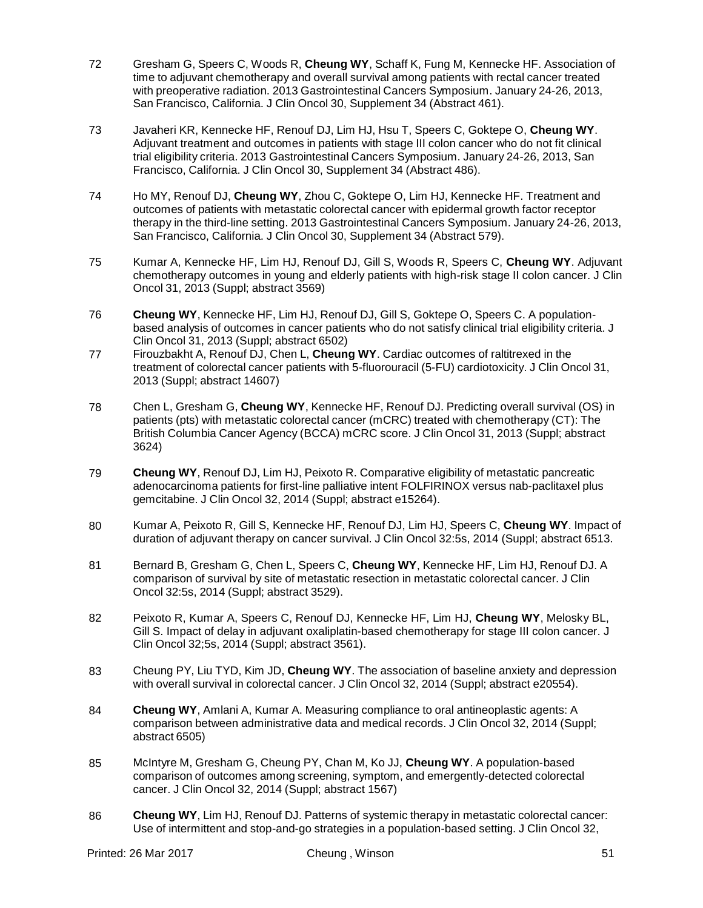- 72 Gresham G, Speers C, Woods R, **Cheung WY**, Schaff K, Fung M, Kennecke HF. Association of time to adjuvant chemotherapy and overall survival among patients with rectal cancer treated with preoperative radiation. 2013 Gastrointestinal Cancers Symposium. January 24-26, 2013, San Francisco, California. J Clin Oncol 30, Supplement 34 (Abstract 461).
- 73 Javaheri KR, Kennecke HF, Renouf DJ, Lim HJ, Hsu T, Speers C, Goktepe O, **Cheung WY**. Adjuvant treatment and outcomes in patients with stage III colon cancer who do not fit clinical trial eligibility criteria. 2013 Gastrointestinal Cancers Symposium. January 24-26, 2013, San Francisco, California. J Clin Oncol 30, Supplement 34 (Abstract 486).
- 74 Ho MY, Renouf DJ, **Cheung WY**, Zhou C, Goktepe O, Lim HJ, Kennecke HF. Treatment and outcomes of patients with metastatic colorectal cancer with epidermal growth factor receptor therapy in the third-line setting. 2013 Gastrointestinal Cancers Symposium. January 24-26, 2013, San Francisco, California. J Clin Oncol 30, Supplement 34 (Abstract 579).
- 75 Kumar A, Kennecke HF, Lim HJ, Renouf DJ, Gill S, Woods R, Speers C, **Cheung WY**. Adjuvant chemotherapy outcomes in young and elderly patients with high-risk stage II colon cancer. J Clin Oncol 31, 2013 (Suppl; abstract 3569)
- 76 **Cheung WY**, Kennecke HF, Lim HJ, Renouf DJ, Gill S, Goktepe O, Speers C. A populationbased analysis of outcomes in cancer patients who do not satisfy clinical trial eligibility criteria. J Clin Oncol 31, 2013 (Suppl; abstract 6502)
- 77 Firouzbakht A, Renouf DJ, Chen L, **Cheung WY**. Cardiac outcomes of raltitrexed in the treatment of colorectal cancer patients with 5-fluorouracil (5-FU) cardiotoxicity. J Clin Oncol 31, 2013 (Suppl; abstract 14607)
- 78 Chen L, Gresham G, **Cheung WY**, Kennecke HF, Renouf DJ. Predicting overall survival (OS) in patients (pts) with metastatic colorectal cancer (mCRC) treated with chemotherapy (CT): The British Columbia Cancer Agency (BCCA) mCRC score. J Clin Oncol 31, 2013 (Suppl; abstract 3624)
- 79 **Cheung WY**, Renouf DJ, Lim HJ, Peixoto R. Comparative eligibility of metastatic pancreatic adenocarcinoma patients for first-line palliative intent FOLFIRINOX versus nab-paclitaxel plus gemcitabine. J Clin Oncol 32, 2014 (Suppl; abstract e15264).
- 80 Kumar A, Peixoto R, Gill S, Kennecke HF, Renouf DJ, Lim HJ, Speers C, **Cheung WY**. Impact of duration of adjuvant therapy on cancer survival. J Clin Oncol 32:5s, 2014 (Suppl; abstract 6513.
- 81 Bernard B, Gresham G, Chen L, Speers C, **Cheung WY**, Kennecke HF, Lim HJ, Renouf DJ. A comparison of survival by site of metastatic resection in metastatic colorectal cancer. J Clin Oncol 32:5s, 2014 (Suppl; abstract 3529).
- 82 Peixoto R, Kumar A, Speers C, Renouf DJ, Kennecke HF, Lim HJ, **Cheung WY**, Melosky BL, Gill S. Impact of delay in adjuvant oxaliplatin-based chemotherapy for stage III colon cancer. J Clin Oncol 32;5s, 2014 (Suppl; abstract 3561).
- 83 Cheung PY, Liu TYD, Kim JD, **Cheung WY**. The association of baseline anxiety and depression with overall survival in colorectal cancer. J Clin Oncol 32, 2014 (Suppl; abstract e20554).
- 84 **Cheung WY**, Amlani A, Kumar A. Measuring compliance to oral antineoplastic agents: A comparison between administrative data and medical records. J Clin Oncol 32, 2014 (Suppl; abstract 6505)
- 85 McIntyre M, Gresham G, Cheung PY, Chan M, Ko JJ, **Cheung WY**. A population-based comparison of outcomes among screening, symptom, and emergently-detected colorectal cancer. J Clin Oncol 32, 2014 (Suppl; abstract 1567)
- 86 **Cheung WY**, Lim HJ, Renouf DJ. Patterns of systemic therapy in metastatic colorectal cancer: Use of intermittent and stop-and-go strategies in a population-based setting. J Clin Oncol 32,